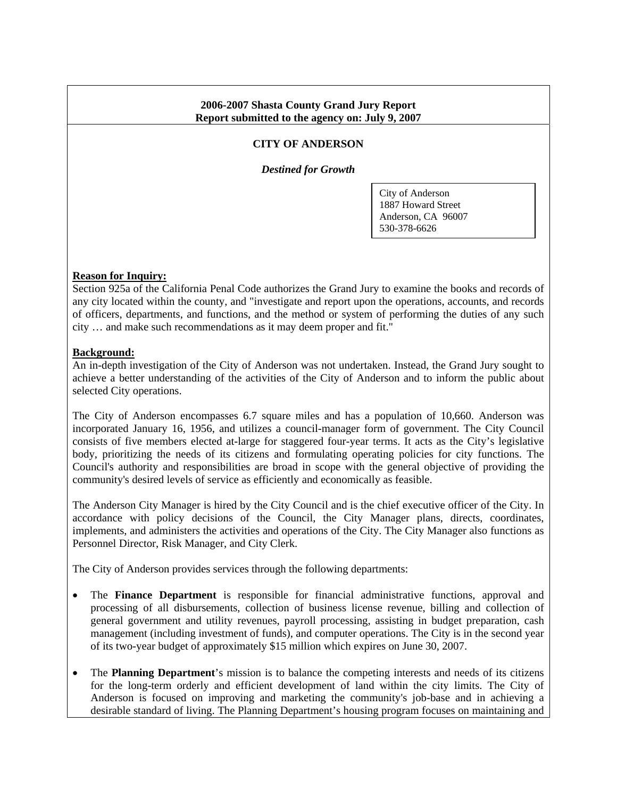#### **2006-2007 Shasta County Grand Jury Report Report submitted to the agency on: July 9, 2007**

### **CITY OF ANDERSON**

*Destined for Growth* 

City of Anderson 1887 Howard Street Anderson, CA 96007 530-378-6626

#### **Reason for Inquiry:**

Section 925a of the California Penal Code authorizes the Grand Jury to examine the books and records of any city located within the county, and "investigate and report upon the operations, accounts, and records of officers, departments, and functions, and the method or system of performing the duties of any such city … and make such recommendations as it may deem proper and fit."

#### **Background:**

An in-depth investigation of the City of Anderson was not undertaken. Instead, the Grand Jury sought to achieve a better understanding of the activities of the City of Anderson and to inform the public about selected City operations.

The City of Anderson encompasses 6.7 square miles and has a population of 10,660. Anderson was incorporated January 16, 1956, and utilizes a council-manager form of government. The City Council consists of five members elected at-large for staggered four-year terms. It acts as the City's legislative body, prioritizing the needs of its citizens and formulating operating policies for city functions. The Council's authority and responsibilities are broad in scope with the general objective of providing the community's desired levels of service as efficiently and economically as feasible.

The Anderson City Manager is hired by the City Council and is the chief executive officer of the City. In accordance with policy decisions of the Council, the City Manager plans, directs, coordinates, implements, and administers the activities and operations of the City. The City Manager also functions as Personnel Director, Risk Manager, and City Clerk.

The City of Anderson provides services through the following departments:

- The **Finance Department** is responsible for financial administrative functions, approval and processing of all disbursements, collection of business license revenue, billing and collection of general government and utility revenues, payroll processing, assisting in budget preparation, cash management (including investment of funds), and computer operations. The City is in the second year of its two-year budget of approximately \$15 million which expires on June 30, 2007.
- The **Planning Department**'s mission is to balance the competing interests and needs of its citizens for the long-term orderly and efficient development of land within the city limits. The City of Anderson is focused on improving and marketing the community's job-base and in achieving a desirable standard of living. The Planning Department's housing program focuses on maintaining and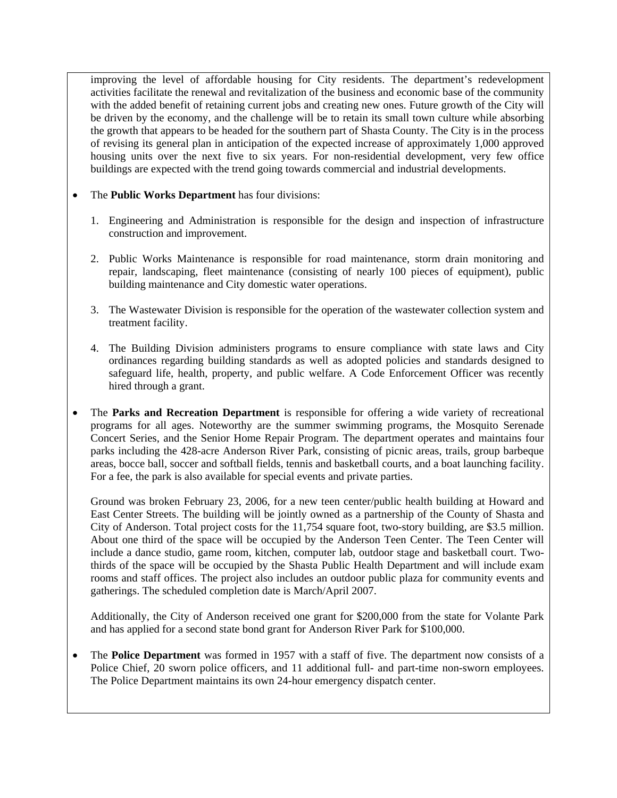improving the level of affordable housing for City residents. The department's redevelopment activities facilitate the renewal and revitalization of the business and economic base of the community with the added benefit of retaining current jobs and creating new ones. Future growth of the City will be driven by the economy, and the challenge will be to retain its small town culture while absorbing the growth that appears to be headed for the southern part of Shasta County. The City is in the process of revising its general plan in anticipation of the expected increase of approximately 1,000 approved housing units over the next five to six years. For non-residential development, very few office buildings are expected with the trend going towards commercial and industrial developments.

### • The **Public Works Department** has four divisions:

- 1. Engineering and Administration is responsible for the design and inspection of infrastructure construction and improvement.
- 2. Public Works Maintenance is responsible for road maintenance, storm drain monitoring and repair, landscaping, fleet maintenance (consisting of nearly 100 pieces of equipment), public building maintenance and City domestic water operations.
- 3. The Wastewater Division is responsible for the operation of the wastewater collection system and treatment facility.
- 4. The Building Division administers programs to ensure compliance with state laws and City ordinances regarding building standards as well as adopted policies and standards designed to safeguard life, health, property, and public welfare. A Code Enforcement Officer was recently hired through a grant.
- The **Parks and Recreation Department** is responsible for offering a wide variety of recreational programs for all ages. Noteworthy are the summer swimming programs, the Mosquito Serenade Concert Series, and the Senior Home Repair Program. The department operates and maintains four parks including the 428-acre Anderson River Park, consisting of picnic areas, trails, group barbeque areas, bocce ball, soccer and softball fields, tennis and basketball courts, and a boat launching facility. For a fee, the park is also available for special events and private parties.

Ground was broken February 23, 2006, for a new teen center/public health building at Howard and East Center Streets. The building will be jointly owned as a partnership of the County of Shasta and City of Anderson. Total project costs for the 11,754 square foot, two-story building, are \$3.5 million. About one third of the space will be occupied by the Anderson Teen Center. The Teen Center will include a dance studio, game room, kitchen, computer lab, outdoor stage and basketball court. Twothirds of the space will be occupied by the Shasta Public Health Department and will include exam rooms and staff offices. The project also includes an outdoor public plaza for community events and gatherings. The scheduled completion date is March/April 2007.

Additionally, the City of Anderson received one grant for \$200,000 from the state for Volante Park and has applied for a second state bond grant for Anderson River Park for \$100,000.

• The **Police Department** was formed in 1957 with a staff of five. The department now consists of a Police Chief, 20 sworn police officers, and 11 additional full- and part-time non-sworn employees. The Police Department maintains its own 24-hour emergency dispatch center.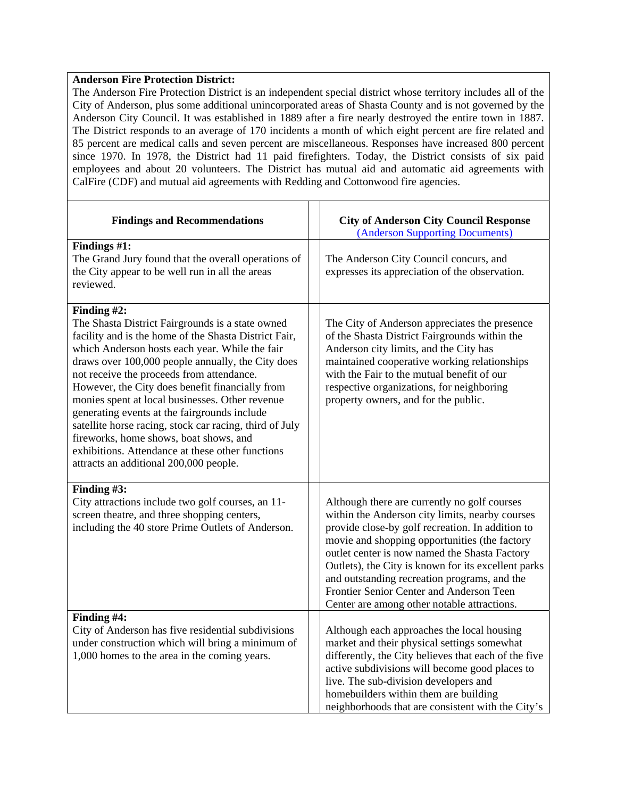### **Anderson Fire Protection District:**

The Anderson Fire Protection District is an independent special district whose territory includes all of the City of Anderson, plus some additional unincorporated areas of Shasta County and is not governed by the Anderson City Council. It was established in 1889 after a fire nearly destroyed the entire town in 1887. The District responds to an average of 170 incidents a month of which eight percent are fire related and 85 percent are medical calls and seven percent are miscellaneous. Responses have increased 800 percent since 1970. In 1978, the District had 11 paid firefighters. Today, the District consists of six paid employees and about 20 volunteers. The District has mutual aid and automatic aid agreements with CalFire (CDF) and mutual aid agreements with Redding and Cottonwood fire agencies.

| <b>Findings and Recommendations</b>                                                                                                                                                                                                                                                                                                                                                                                                                                                                                                                                                                                                   | <b>City of Anderson City Council Response</b><br>(Anderson Supporting Documents)                                                                                                                                                                                                                                                                                                                                                                        |
|---------------------------------------------------------------------------------------------------------------------------------------------------------------------------------------------------------------------------------------------------------------------------------------------------------------------------------------------------------------------------------------------------------------------------------------------------------------------------------------------------------------------------------------------------------------------------------------------------------------------------------------|---------------------------------------------------------------------------------------------------------------------------------------------------------------------------------------------------------------------------------------------------------------------------------------------------------------------------------------------------------------------------------------------------------------------------------------------------------|
| Findings #1:<br>The Grand Jury found that the overall operations of<br>the City appear to be well run in all the areas<br>reviewed.                                                                                                                                                                                                                                                                                                                                                                                                                                                                                                   | The Anderson City Council concurs, and<br>expresses its appreciation of the observation.                                                                                                                                                                                                                                                                                                                                                                |
| Finding #2:<br>The Shasta District Fairgrounds is a state owned<br>facility and is the home of the Shasta District Fair,<br>which Anderson hosts each year. While the fair<br>draws over 100,000 people annually, the City does<br>not receive the proceeds from attendance.<br>However, the City does benefit financially from<br>monies spent at local businesses. Other revenue<br>generating events at the fairgrounds include<br>satellite horse racing, stock car racing, third of July<br>fireworks, home shows, boat shows, and<br>exhibitions. Attendance at these other functions<br>attracts an additional 200,000 people. | The City of Anderson appreciates the presence<br>of the Shasta District Fairgrounds within the<br>Anderson city limits, and the City has<br>maintained cooperative working relationships<br>with the Fair to the mutual benefit of our<br>respective organizations, for neighboring<br>property owners, and for the public.                                                                                                                             |
| Finding #3:<br>City attractions include two golf courses, an 11-<br>screen theatre, and three shopping centers,<br>including the 40 store Prime Outlets of Anderson.                                                                                                                                                                                                                                                                                                                                                                                                                                                                  | Although there are currently no golf courses<br>within the Anderson city limits, nearby courses<br>provide close-by golf recreation. In addition to<br>movie and shopping opportunities (the factory<br>outlet center is now named the Shasta Factory<br>Outlets), the City is known for its excellent parks<br>and outstanding recreation programs, and the<br>Frontier Senior Center and Anderson Teen<br>Center are among other notable attractions. |
| Finding #4:<br>City of Anderson has five residential subdivisions<br>under construction which will bring a minimum of<br>1,000 homes to the area in the coming years.                                                                                                                                                                                                                                                                                                                                                                                                                                                                 | Although each approaches the local housing<br>market and their physical settings somewhat<br>differently, the City believes that each of the five<br>active subdivisions will become good places to<br>live. The sub-division developers and<br>homebuilders within them are building<br>neighborhoods that are consistent with the City's                                                                                                              |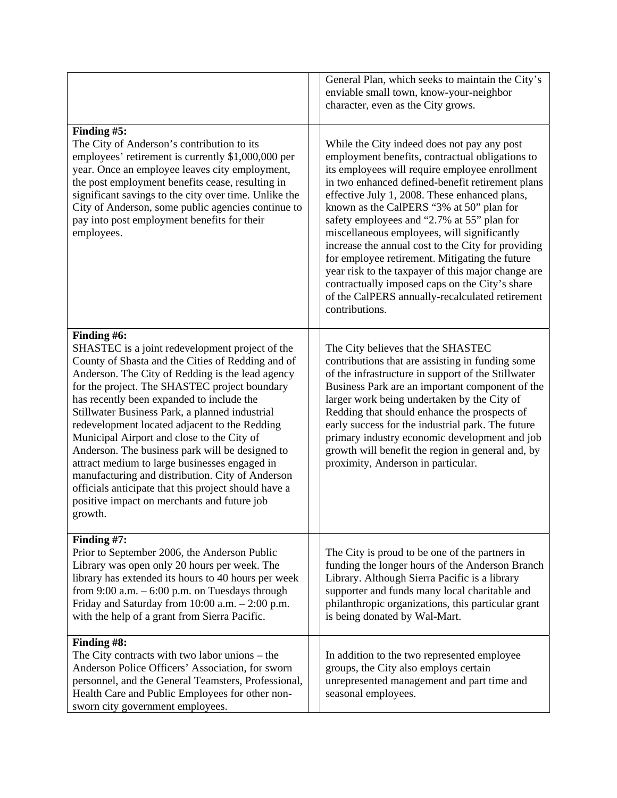|                                                                                                                                                                                                                                                                                                                                                                                                                                                                                                                                                                                                                                                                                                  | General Plan, which seeks to maintain the City's<br>enviable small town, know-your-neighbor<br>character, even as the City grows.                                                                                                                                                                                                                                                                                                                                                                                                                                                                                                                                                   |
|--------------------------------------------------------------------------------------------------------------------------------------------------------------------------------------------------------------------------------------------------------------------------------------------------------------------------------------------------------------------------------------------------------------------------------------------------------------------------------------------------------------------------------------------------------------------------------------------------------------------------------------------------------------------------------------------------|-------------------------------------------------------------------------------------------------------------------------------------------------------------------------------------------------------------------------------------------------------------------------------------------------------------------------------------------------------------------------------------------------------------------------------------------------------------------------------------------------------------------------------------------------------------------------------------------------------------------------------------------------------------------------------------|
| Finding #5:<br>The City of Anderson's contribution to its<br>employees' retirement is currently \$1,000,000 per<br>year. Once an employee leaves city employment,<br>the post employment benefits cease, resulting in<br>significant savings to the city over time. Unlike the<br>City of Anderson, some public agencies continue to<br>pay into post employment benefits for their<br>employees.                                                                                                                                                                                                                                                                                                | While the City indeed does not pay any post<br>employment benefits, contractual obligations to<br>its employees will require employee enrollment<br>in two enhanced defined-benefit retirement plans<br>effective July 1, 2008. These enhanced plans,<br>known as the CalPERS "3% at 50" plan for<br>safety employees and "2.7% at 55" plan for<br>miscellaneous employees, will significantly<br>increase the annual cost to the City for providing<br>for employee retirement. Mitigating the future<br>year risk to the taxpayer of this major change are<br>contractually imposed caps on the City's share<br>of the CalPERS annually-recalculated retirement<br>contributions. |
| Finding #6:<br>SHASTEC is a joint redevelopment project of the<br>County of Shasta and the Cities of Redding and of<br>Anderson. The City of Redding is the lead agency<br>for the project. The SHASTEC project boundary<br>has recently been expanded to include the<br>Stillwater Business Park, a planned industrial<br>redevelopment located adjacent to the Redding<br>Municipal Airport and close to the City of<br>Anderson. The business park will be designed to<br>attract medium to large businesses engaged in<br>manufacturing and distribution. City of Anderson<br>officials anticipate that this project should have a<br>positive impact on merchants and future job<br>growth. | The City believes that the SHASTEC<br>contributions that are assisting in funding some<br>of the infrastructure in support of the Stillwater<br>Business Park are an important component of the<br>larger work being undertaken by the City of<br>Redding that should enhance the prospects of<br>early success for the industrial park. The future<br>primary industry economic development and job<br>growth will benefit the region in general and, by<br>proximity, Anderson in particular.                                                                                                                                                                                     |
| Finding #7:<br>Prior to September 2006, the Anderson Public<br>Library was open only 20 hours per week. The<br>library has extended its hours to 40 hours per week<br>from $9:00$ a.m. $-6:00$ p.m. on Tuesdays through<br>Friday and Saturday from $10:00$ a.m. $- 2:00$ p.m.<br>with the help of a grant from Sierra Pacific.                                                                                                                                                                                                                                                                                                                                                                  | The City is proud to be one of the partners in<br>funding the longer hours of the Anderson Branch<br>Library. Although Sierra Pacific is a library<br>supporter and funds many local charitable and<br>philanthropic organizations, this particular grant<br>is being donated by Wal-Mart.                                                                                                                                                                                                                                                                                                                                                                                          |
| Finding #8:<br>The City contracts with two labor unions $-$ the<br>Anderson Police Officers' Association, for sworn<br>personnel, and the General Teamsters, Professional,<br>Health Care and Public Employees for other non-<br>sworn city government employees.                                                                                                                                                                                                                                                                                                                                                                                                                                | In addition to the two represented employee<br>groups, the City also employs certain<br>unrepresented management and part time and<br>seasonal employees.                                                                                                                                                                                                                                                                                                                                                                                                                                                                                                                           |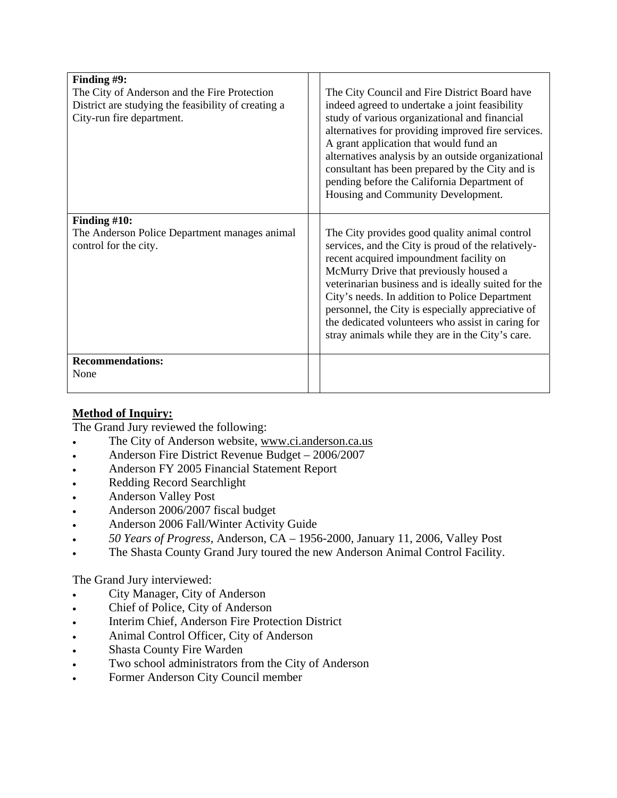| Finding #9:<br>The City of Anderson and the Fire Protection<br>District are studying the feasibility of creating a<br>City-run fire department. | The City Council and Fire District Board have<br>indeed agreed to undertake a joint feasibility<br>study of various organizational and financial<br>alternatives for providing improved fire services.<br>A grant application that would fund an<br>alternatives analysis by an outside organizational<br>consultant has been prepared by the City and is<br>pending before the California Department of<br>Housing and Community Development.                  |
|-------------------------------------------------------------------------------------------------------------------------------------------------|-----------------------------------------------------------------------------------------------------------------------------------------------------------------------------------------------------------------------------------------------------------------------------------------------------------------------------------------------------------------------------------------------------------------------------------------------------------------|
| Finding $#10$ :<br>The Anderson Police Department manages animal<br>control for the city.                                                       | The City provides good quality animal control<br>services, and the City is proud of the relatively-<br>recent acquired impoundment facility on<br>McMurry Drive that previously housed a<br>veterinarian business and is ideally suited for the<br>City's needs. In addition to Police Department<br>personnel, the City is especially appreciative of<br>the dedicated volunteers who assist in caring for<br>stray animals while they are in the City's care. |
| <b>Recommendations:</b><br>None                                                                                                                 |                                                                                                                                                                                                                                                                                                                                                                                                                                                                 |

# **Method of Inquiry:**

The Grand Jury reviewed the following:

- The City of Anderson website, www.ci.anderson.ca.us
- Anderson Fire District Revenue Budget 2006/2007
- Anderson FY 2005 Financial Statement Report
- Redding Record Searchlight
- Anderson Valley Post
- Anderson 2006/2007 fiscal budget
- Anderson 2006 Fall/Winter Activity Guide
- *50 Years of Progress*, Anderson, CA 1956-2000, January 11, 2006, Valley Post
- The Shasta County Grand Jury toured the new Anderson Animal Control Facility.

The Grand Jury interviewed:

- City Manager, City of Anderson
- Chief of Police, City of Anderson
- Interim Chief, Anderson Fire Protection District
- Animal Control Officer, City of Anderson
- Shasta County Fire Warden
- Two school administrators from the City of Anderson
- Former Anderson City Council member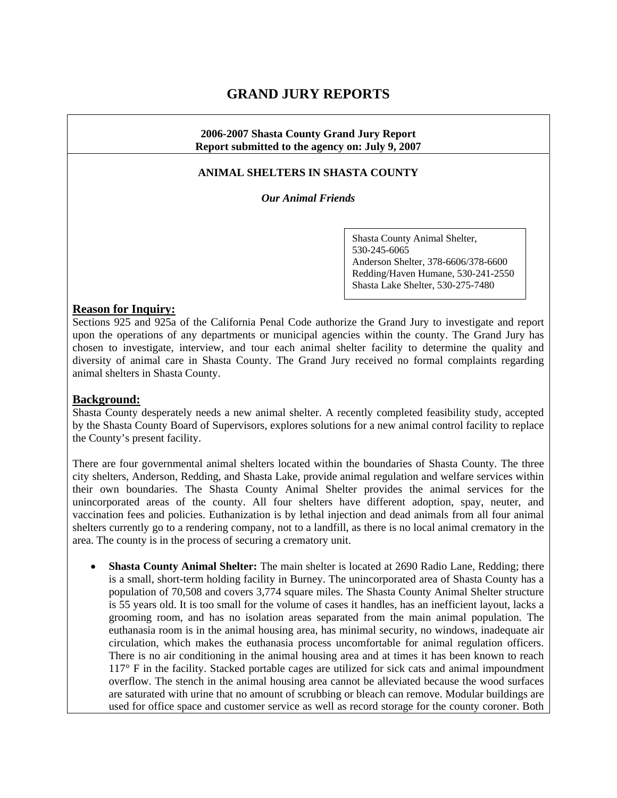# **GRAND JURY REPORTS**

#### **2006-2007 Shasta County Grand Jury Report Report submitted to the agency on: July 9, 2007**

#### **ANIMAL SHELTERS IN SHASTA COUNTY**

*Our Animal Friends*

Shasta County Animal Shelter, 530-245-6065 Anderson Shelter, 378-6606/378-6600 Redding/Haven Humane, 530-241-2550 Shasta Lake Shelter, 530-275-7480

#### **Reason for Inquiry:**

Sections 925 and 925a of the California Penal Code authorize the Grand Jury to investigate and report upon the operations of any departments or municipal agencies within the county. The Grand Jury has chosen to investigate, interview, and tour each animal shelter facility to determine the quality and diversity of animal care in Shasta County. The Grand Jury received no formal complaints regarding animal shelters in Shasta County.

#### **Background:**

Shasta County desperately needs a new animal shelter. A recently completed feasibility study, accepted by the Shasta County Board of Supervisors, explores solutions for a new animal control facility to replace the County's present facility.

There are four governmental animal shelters located within the boundaries of Shasta County. The three city shelters, Anderson, Redding, and Shasta Lake, provide animal regulation and welfare services within their own boundaries. The Shasta County Animal Shelter provides the animal services for the unincorporated areas of the county. All four shelters have different adoption, spay, neuter, and vaccination fees and policies. Euthanization is by lethal injection and dead animals from all four animal shelters currently go to a rendering company, not to a landfill, as there is no local animal crematory in the area. The county is in the process of securing a crematory unit.

• **Shasta County Animal Shelter:** The main shelter is located at 2690 Radio Lane, Redding; there is a small, short-term holding facility in Burney. The unincorporated area of Shasta County has a population of 70,508 and covers 3,774 square miles. The Shasta County Animal Shelter structure is 55 years old. It is too small for the volume of cases it handles, has an inefficient layout, lacks a grooming room, and has no isolation areas separated from the main animal population. The euthanasia room is in the animal housing area, has minimal security, no windows, inadequate air circulation, which makes the euthanasia process uncomfortable for animal regulation officers. There is no air conditioning in the animal housing area and at times it has been known to reach 117° F in the facility. Stacked portable cages are utilized for sick cats and animal impoundment overflow. The stench in the animal housing area cannot be alleviated because the wood surfaces are saturated with urine that no amount of scrubbing or bleach can remove. Modular buildings are used for office space and customer service as well as record storage for the county coroner. Both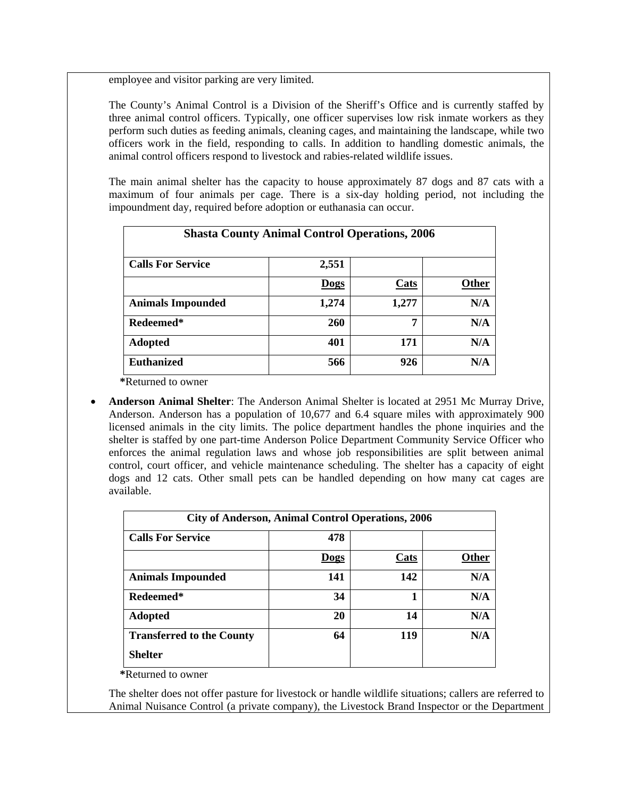employee and visitor parking are very limited.

The County's Animal Control is a Division of the Sheriff's Office and is currently staffed by three animal control officers. Typically, one officer supervises low risk inmate workers as they perform such duties as feeding animals, cleaning cages, and maintaining the landscape, while two officers work in the field, responding to calls. In addition to handling domestic animals, the animal control officers respond to livestock and rabies-related wildlife issues.

The main animal shelter has the capacity to house approximately 87 dogs and 87 cats with a maximum of four animals per cage. There is a six-day holding period, not including the impoundment day, required before adoption or euthanasia can occur.

| <b>Shasta County Animal Control Operations, 2006</b> |            |       |              |  |
|------------------------------------------------------|------------|-------|--------------|--|
| <b>Calls For Service</b>                             | 2,551      |       |              |  |
|                                                      | Dogs       | Cats  | <b>Other</b> |  |
| <b>Animals Impounded</b>                             | 1,274      | 1,277 | N/A          |  |
| Redeemed*                                            | <b>260</b> | 7     | N/A          |  |
| <b>Adopted</b>                                       | 401        | 171   | N/A          |  |
| <b>Euthanized</b>                                    | 566        | 926   | N/A          |  |

**\***Returned to owner

• **Anderson Animal Shelter**: The Anderson Animal Shelter is located at 2951 Mc Murray Drive, Anderson. Anderson has a population of 10,677 and 6.4 square miles with approximately 900 licensed animals in the city limits. The police department handles the phone inquiries and the shelter is staffed by one part-time Anderson Police Department Community Service Officer who enforces the animal regulation laws and whose job responsibilities are split between animal control, court officer, and vehicle maintenance scheduling. The shelter has a capacity of eight dogs and 12 cats. Other small pets can be handled depending on how many cat cages are available.

| <b>City of Anderson, Animal Control Operations, 2006</b> |      |      |       |  |
|----------------------------------------------------------|------|------|-------|--|
| <b>Calls For Service</b>                                 | 478  |      |       |  |
|                                                          | Dogs | Cats | Other |  |
| <b>Animals Impounded</b>                                 | 141  | 142  | N/A   |  |
| Redeemed*                                                | 34   | 1    | N/A   |  |
| <b>Adopted</b>                                           | 20   | 14   | N/A   |  |
| <b>Transferred to the County</b>                         | 64   | 119  | N/A   |  |
| <b>Shelter</b>                                           |      |      |       |  |

**\***Returned to owner

The shelter does not offer pasture for livestock or handle wildlife situations; callers are referred to Animal Nuisance Control (a private company), the Livestock Brand Inspector or the Department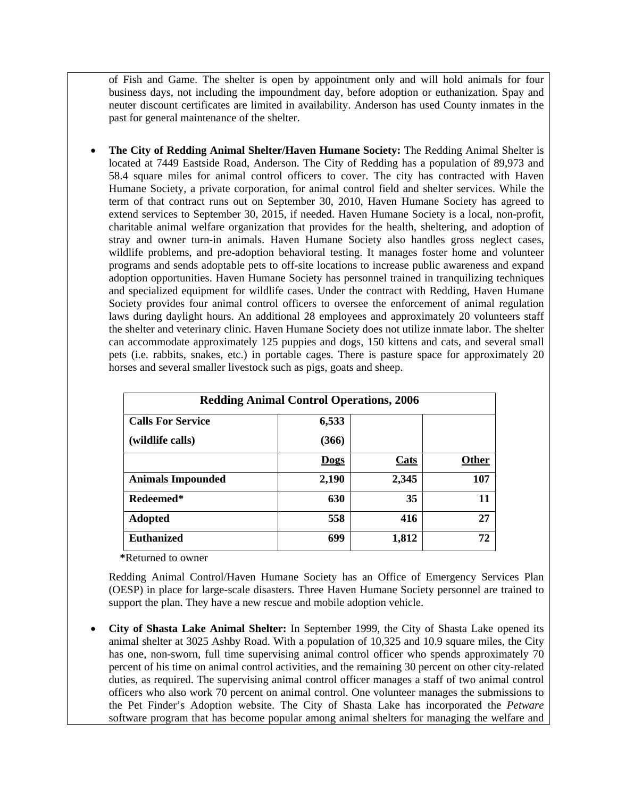of Fish and Game. The shelter is open by appointment only and will hold animals for four business days, not including the impoundment day, before adoption or euthanization. Spay and neuter discount certificates are limited in availability. Anderson has used County inmates in the past for general maintenance of the shelter.

• **The City of Redding Animal Shelter/Haven Humane Society:** The Redding Animal Shelter is located at 7449 Eastside Road, Anderson. The City of Redding has a population of 89,973 and 58.4 square miles for animal control officers to cover. The city has contracted with Haven Humane Society, a private corporation, for animal control field and shelter services. While the term of that contract runs out on September 30, 2010, Haven Humane Society has agreed to extend services to September 30, 2015, if needed. Haven Humane Society is a local, non-profit, charitable animal welfare organization that provides for the health, sheltering, and adoption of stray and owner turn-in animals. Haven Humane Society also handles gross neglect cases, wildlife problems, and pre-adoption behavioral testing. It manages foster home and volunteer programs and sends adoptable pets to off-site locations to increase public awareness and expand adoption opportunities. Haven Humane Society has personnel trained in tranquilizing techniques and specialized equipment for wildlife cases. Under the contract with Redding, Haven Humane Society provides four animal control officers to oversee the enforcement of animal regulation laws during daylight hours. An additional 28 employees and approximately 20 volunteers staff the shelter and veterinary clinic. Haven Humane Society does not utilize inmate labor. The shelter can accommodate approximately 125 puppies and dogs, 150 kittens and cats, and several small pets (i.e. rabbits, snakes, etc.) in portable cages. There is pasture space for approximately 20 horses and several smaller livestock such as pigs, goats and sheep.

| <b>Redding Animal Control Operations, 2006</b> |             |             |              |  |
|------------------------------------------------|-------------|-------------|--------------|--|
| <b>Calls For Service</b>                       | 6,533       |             |              |  |
| (wildlife calls)                               | (366)       |             |              |  |
|                                                | <b>Dogs</b> | <b>Cats</b> | <b>Other</b> |  |
| <b>Animals Impounded</b>                       | 2,190       | 2,345       | 107          |  |
| Redeemed*                                      | 630         | 35          | 11           |  |
| <b>Adopted</b>                                 | 558         | 416         | 27           |  |
| <b>Euthanized</b>                              | 699         | 1,812       | 72           |  |

 **\***Returned to owner

Redding Animal Control/Haven Humane Society has an Office of Emergency Services Plan (OESP) in place for large-scale disasters. Three Haven Humane Society personnel are trained to support the plan. They have a new rescue and mobile adoption vehicle.

• **City of Shasta Lake Animal Shelter:** In September 1999, the City of Shasta Lake opened its animal shelter at 3025 Ashby Road. With a population of 10,325 and 10.9 square miles, the City has one, non-sworn, full time supervising animal control officer who spends approximately 70 percent of his time on animal control activities, and the remaining 30 percent on other city-related duties, as required. The supervising animal control officer manages a staff of two animal control officers who also work 70 percent on animal control. One volunteer manages the submissions to the Pet Finder's Adoption website. The City of Shasta Lake has incorporated the *Petware* software program that has become popular among animal shelters for managing the welfare and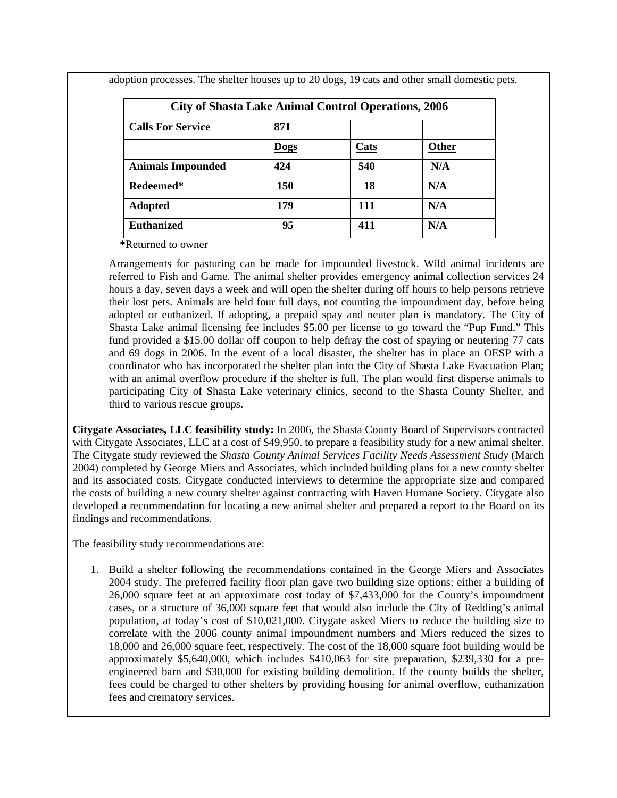| <b>City of Shasta Lake Animal Control Operations, 2006</b> |             |      |       |
|------------------------------------------------------------|-------------|------|-------|
| <b>Calls For Service</b>                                   | 871         |      |       |
|                                                            | <b>Dogs</b> | Cats | Other |
| <b>Animals Impounded</b>                                   | 424         | 540  | N/A   |
| Redeemed*                                                  | 150         | 18   | N/A   |
| <b>Adopted</b>                                             | 179         | 111  | N/A   |
| <b>Euthanized</b>                                          | 95          | 411  | N/A   |

adoption processes. The shelter houses up to 20 dogs, 19 cats and other small domestic pets.

 **\***Returned to owner

Arrangements for pasturing can be made for impounded livestock. Wild animal incidents are referred to Fish and Game. The animal shelter provides emergency animal collection services 24 hours a day, seven days a week and will open the shelter during off hours to help persons retrieve their lost pets. Animals are held four full days, not counting the impoundment day, before being adopted or euthanized. If adopting, a prepaid spay and neuter plan is mandatory. The City of Shasta Lake animal licensing fee includes \$5.00 per license to go toward the "Pup Fund." This fund provided a \$15.00 dollar off coupon to help defray the cost of spaying or neutering 77 cats and 69 dogs in 2006. In the event of a local disaster, the shelter has in place an OESP with a coordinator who has incorporated the shelter plan into the City of Shasta Lake Evacuation Plan; with an animal overflow procedure if the shelter is full. The plan would first disperse animals to participating City of Shasta Lake veterinary clinics, second to the Shasta County Shelter, and third to various rescue groups.

**Citygate Associates, LLC feasibility study:** In 2006, the Shasta County Board of Supervisors contracted with Citygate Associates, LLC at a cost of \$49,950, to prepare a feasibility study for a new animal shelter. The Citygate study reviewed the *Shasta County Animal Services Facility Needs Assessment Study* (March 2004) completed by George Miers and Associates, which included building plans for a new county shelter and its associated costs. Citygate conducted interviews to determine the appropriate size and compared the costs of building a new county shelter against contracting with Haven Humane Society. Citygate also developed a recommendation for locating a new animal shelter and prepared a report to the Board on its findings and recommendations.

The feasibility study recommendations are:

1. Build a shelter following the recommendations contained in the George Miers and Associates 2004 study. The preferred facility floor plan gave two building size options: either a building of 26,000 square feet at an approximate cost today of \$7,433,000 for the County's impoundment cases, or a structure of 36,000 square feet that would also include the City of Redding's animal population, at today's cost of \$10,021,000. Citygate asked Miers to reduce the building size to correlate with the 2006 county animal impoundment numbers and Miers reduced the sizes to 18,000 and 26,000 square feet, respectively. The cost of the 18,000 square foot building would be approximately \$5,640,000, which includes \$410,063 for site preparation, \$239,330 for a preengineered barn and \$30,000 for existing building demolition. If the county builds the shelter, fees could be charged to other shelters by providing housing for animal overflow, euthanization fees and crematory services.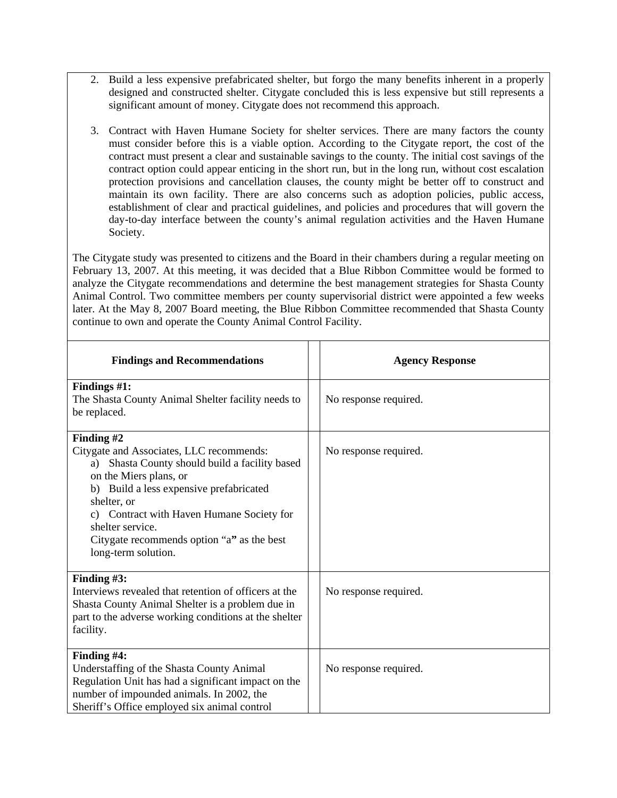- 2. Build a less expensive prefabricated shelter, but forgo the many benefits inherent in a properly designed and constructed shelter. Citygate concluded this is less expensive but still represents a significant amount of money. Citygate does not recommend this approach.
- 3. Contract with Haven Humane Society for shelter services. There are many factors the county must consider before this is a viable option. According to the Citygate report, the cost of the contract must present a clear and sustainable savings to the county. The initial cost savings of the contract option could appear enticing in the short run, but in the long run, without cost escalation protection provisions and cancellation clauses, the county might be better off to construct and maintain its own facility. There are also concerns such as adoption policies, public access, establishment of clear and practical guidelines, and policies and procedures that will govern the day-to-day interface between the county's animal regulation activities and the Haven Humane Society.

The Citygate study was presented to citizens and the Board in their chambers during a regular meeting on February 13, 2007. At this meeting, it was decided that a Blue Ribbon Committee would be formed to analyze the Citygate recommendations and determine the best management strategies for Shasta County Animal Control. Two committee members per county supervisorial district were appointed a few weeks later. At the May 8, 2007 Board meeting, the Blue Ribbon Committee recommended that Shasta County continue to own and operate the County Animal Control Facility.

| <b>Findings and Recommendations</b>                                                                                                                                                                                                                                                                                                   | <b>Agency Response</b> |
|---------------------------------------------------------------------------------------------------------------------------------------------------------------------------------------------------------------------------------------------------------------------------------------------------------------------------------------|------------------------|
| Findings #1:<br>The Shasta County Animal Shelter facility needs to<br>be replaced.                                                                                                                                                                                                                                                    | No response required.  |
| Finding #2<br>Citygate and Associates, LLC recommends:<br>Shasta County should build a facility based<br>a)<br>on the Miers plans, or<br>b) Build a less expensive prefabricated<br>shelter, or<br>c) Contract with Haven Humane Society for<br>shelter service.<br>Citygate recommends option "a" as the best<br>long-term solution. | No response required.  |
| Finding #3:<br>Interviews revealed that retention of officers at the<br>Shasta County Animal Shelter is a problem due in<br>part to the adverse working conditions at the shelter<br>facility.                                                                                                                                        | No response required.  |
| Finding #4:<br>Understaffing of the Shasta County Animal<br>Regulation Unit has had a significant impact on the<br>number of impounded animals. In 2002, the<br>Sheriff's Office employed six animal control                                                                                                                          | No response required.  |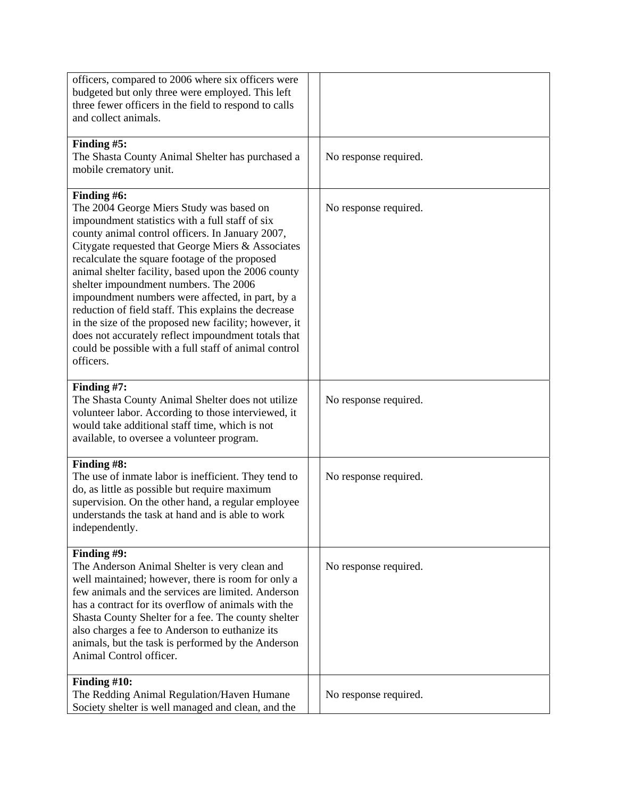| officers, compared to 2006 where six officers were<br>budgeted but only three were employed. This left<br>three fewer officers in the field to respond to calls<br>and collect animals.                                                                                                                                                                                                                                                                                                                                                                                                                                                                                 |                       |
|-------------------------------------------------------------------------------------------------------------------------------------------------------------------------------------------------------------------------------------------------------------------------------------------------------------------------------------------------------------------------------------------------------------------------------------------------------------------------------------------------------------------------------------------------------------------------------------------------------------------------------------------------------------------------|-----------------------|
| Finding #5:<br>The Shasta County Animal Shelter has purchased a<br>mobile crematory unit.                                                                                                                                                                                                                                                                                                                                                                                                                                                                                                                                                                               | No response required. |
| Finding #6:<br>The 2004 George Miers Study was based on<br>impoundment statistics with a full staff of six<br>county animal control officers. In January 2007,<br>Citygate requested that George Miers & Associates<br>recalculate the square footage of the proposed<br>animal shelter facility, based upon the 2006 county<br>shelter impoundment numbers. The 2006<br>impoundment numbers were affected, in part, by a<br>reduction of field staff. This explains the decrease<br>in the size of the proposed new facility; however, it<br>does not accurately reflect impoundment totals that<br>could be possible with a full staff of animal control<br>officers. | No response required. |
| Finding #7:<br>The Shasta County Animal Shelter does not utilize<br>volunteer labor. According to those interviewed, it<br>would take additional staff time, which is not<br>available, to oversee a volunteer program.                                                                                                                                                                                                                                                                                                                                                                                                                                                 | No response required. |
| Finding #8:<br>The use of inmate labor is inefficient. They tend to<br>do, as little as possible but require maximum<br>supervision. On the other hand, a regular employee<br>understands the task at hand and is able to work<br>independently.                                                                                                                                                                                                                                                                                                                                                                                                                        | No response required. |
| Finding #9:<br>The Anderson Animal Shelter is very clean and<br>well maintained; however, there is room for only a<br>few animals and the services are limited. Anderson<br>has a contract for its overflow of animals with the<br>Shasta County Shelter for a fee. The county shelter<br>also charges a fee to Anderson to euthanize its<br>animals, but the task is performed by the Anderson<br>Animal Control officer.                                                                                                                                                                                                                                              | No response required. |
| Finding #10:<br>The Redding Animal Regulation/Haven Humane<br>Society shelter is well managed and clean, and the                                                                                                                                                                                                                                                                                                                                                                                                                                                                                                                                                        | No response required. |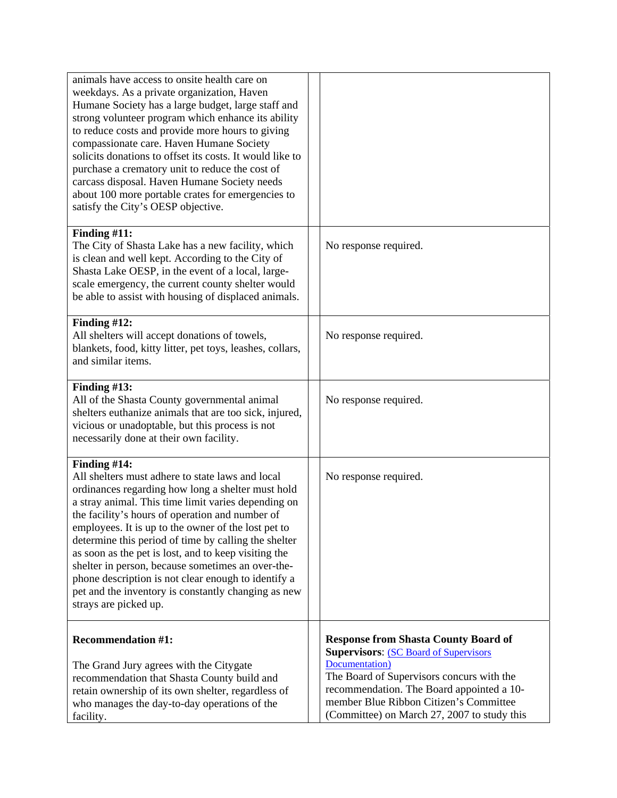| animals have access to onsite health care on<br>weekdays. As a private organization, Haven<br>Humane Society has a large budget, large staff and<br>strong volunteer program which enhance its ability<br>to reduce costs and provide more hours to giving<br>compassionate care. Haven Humane Society<br>solicits donations to offset its costs. It would like to<br>purchase a crematory unit to reduce the cost of<br>carcass disposal. Haven Humane Society needs<br>about 100 more portable crates for emergencies to<br>satisfy the City's OESP objective.                                   |                                                                                                                                                                                                                                                                                                   |
|----------------------------------------------------------------------------------------------------------------------------------------------------------------------------------------------------------------------------------------------------------------------------------------------------------------------------------------------------------------------------------------------------------------------------------------------------------------------------------------------------------------------------------------------------------------------------------------------------|---------------------------------------------------------------------------------------------------------------------------------------------------------------------------------------------------------------------------------------------------------------------------------------------------|
| Finding $#11$ :<br>The City of Shasta Lake has a new facility, which<br>is clean and well kept. According to the City of<br>Shasta Lake OESP, in the event of a local, large-<br>scale emergency, the current county shelter would<br>be able to assist with housing of displaced animals.                                                                                                                                                                                                                                                                                                         | No response required.                                                                                                                                                                                                                                                                             |
| Finding $#12$ :<br>All shelters will accept donations of towels,<br>blankets, food, kitty litter, pet toys, leashes, collars,<br>and similar items.                                                                                                                                                                                                                                                                                                                                                                                                                                                | No response required.                                                                                                                                                                                                                                                                             |
| Finding $#13$ :<br>All of the Shasta County governmental animal<br>shelters euthanize animals that are too sick, injured,<br>vicious or unadoptable, but this process is not<br>necessarily done at their own facility.                                                                                                                                                                                                                                                                                                                                                                            | No response required.                                                                                                                                                                                                                                                                             |
| Finding #14:<br>All shelters must adhere to state laws and local<br>ordinances regarding how long a shelter must hold<br>a stray animal. This time limit varies depending on<br>the facility's hours of operation and number of<br>employees. It is up to the owner of the lost pet to<br>determine this period of time by calling the shelter<br>as soon as the pet is lost, and to keep visiting the<br>shelter in person, because sometimes an over-the-<br>phone description is not clear enough to identify a<br>pet and the inventory is constantly changing as new<br>strays are picked up. | No response required.                                                                                                                                                                                                                                                                             |
| <b>Recommendation #1:</b><br>The Grand Jury agrees with the Citygate<br>recommendation that Shasta County build and<br>retain ownership of its own shelter, regardless of<br>who manages the day-to-day operations of the<br>facility.                                                                                                                                                                                                                                                                                                                                                             | <b>Response from Shasta County Board of</b><br><b>Supervisors: (SC Board of Supervisors)</b><br>Documentation)<br>The Board of Supervisors concurs with the<br>recommendation. The Board appointed a 10-<br>member Blue Ribbon Citizen's Committee<br>(Committee) on March 27, 2007 to study this |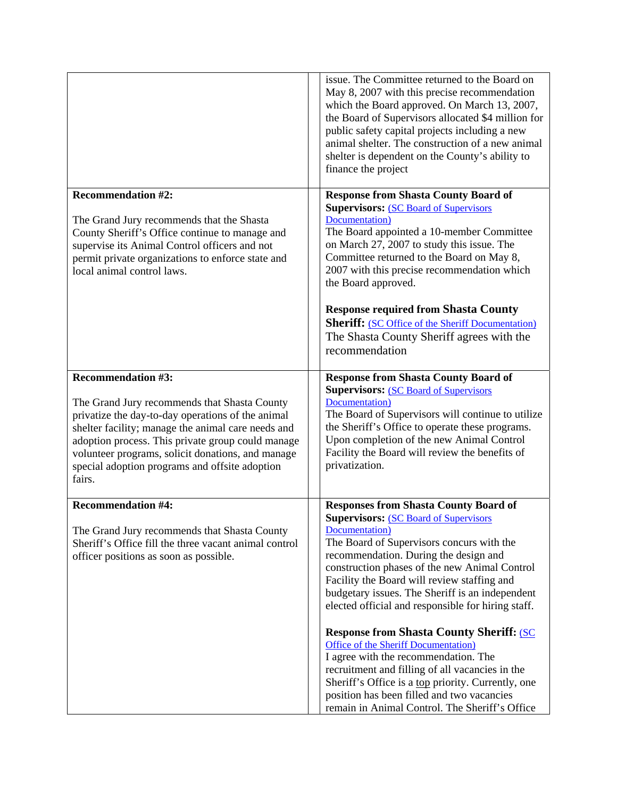|                                                                                                                                                                                                                                                                                                                                                            | issue. The Committee returned to the Board on<br>May 8, 2007 with this precise recommendation<br>which the Board approved. On March 13, 2007,<br>the Board of Supervisors allocated \$4 million for<br>public safety capital projects including a new<br>animal shelter. The construction of a new animal<br>shelter is dependent on the County's ability to<br>finance the project                                                                                                                                                                                                                                                                                                                                                                                        |
|------------------------------------------------------------------------------------------------------------------------------------------------------------------------------------------------------------------------------------------------------------------------------------------------------------------------------------------------------------|----------------------------------------------------------------------------------------------------------------------------------------------------------------------------------------------------------------------------------------------------------------------------------------------------------------------------------------------------------------------------------------------------------------------------------------------------------------------------------------------------------------------------------------------------------------------------------------------------------------------------------------------------------------------------------------------------------------------------------------------------------------------------|
| <b>Recommendation #2:</b><br>The Grand Jury recommends that the Shasta<br>County Sheriff's Office continue to manage and<br>supervise its Animal Control officers and not<br>permit private organizations to enforce state and<br>local animal control laws.                                                                                               | <b>Response from Shasta County Board of</b><br><b>Supervisors: (SC Board of Supervisors)</b><br>Documentation)<br>The Board appointed a 10-member Committee<br>on March 27, 2007 to study this issue. The<br>Committee returned to the Board on May 8,<br>2007 with this precise recommendation which<br>the Board approved.<br><b>Response required from Shasta County</b><br><b>Sheriff:</b> (SC Office of the Sheriff Documentation)<br>The Shasta County Sheriff agrees with the<br>recommendation                                                                                                                                                                                                                                                                     |
| <b>Recommendation #3:</b><br>The Grand Jury recommends that Shasta County<br>privatize the day-to-day operations of the animal<br>shelter facility; manage the animal care needs and<br>adoption process. This private group could manage<br>volunteer programs, solicit donations, and manage<br>special adoption programs and offsite adoption<br>fairs. | <b>Response from Shasta County Board of</b><br><b>Supervisors: (SC Board of Supervisors)</b><br>Documentation)<br>The Board of Supervisors will continue to utilize<br>the Sheriff's Office to operate these programs.<br>Upon completion of the new Animal Control<br>Facility the Board will review the benefits of<br>privatization.                                                                                                                                                                                                                                                                                                                                                                                                                                    |
| <b>Recommendation #4:</b><br>The Grand Jury recommends that Shasta County<br>Sheriff's Office fill the three vacant animal control<br>officer positions as soon as possible.                                                                                                                                                                               | <b>Responses from Shasta County Board of</b><br><b>Supervisors: (SC Board of Supervisors)</b><br>Documentation)<br>The Board of Supervisors concurs with the<br>recommendation. During the design and<br>construction phases of the new Animal Control<br>Facility the Board will review staffing and<br>budgetary issues. The Sheriff is an independent<br>elected official and responsible for hiring staff.<br><b>Response from Shasta County Sheriff: (SC)</b><br><b>Office of the Sheriff Documentation</b> )<br>I agree with the recommendation. The<br>recruitment and filling of all vacancies in the<br>Sheriff's Office is a <u>top</u> priority. Currently, one<br>position has been filled and two vacancies<br>remain in Animal Control. The Sheriff's Office |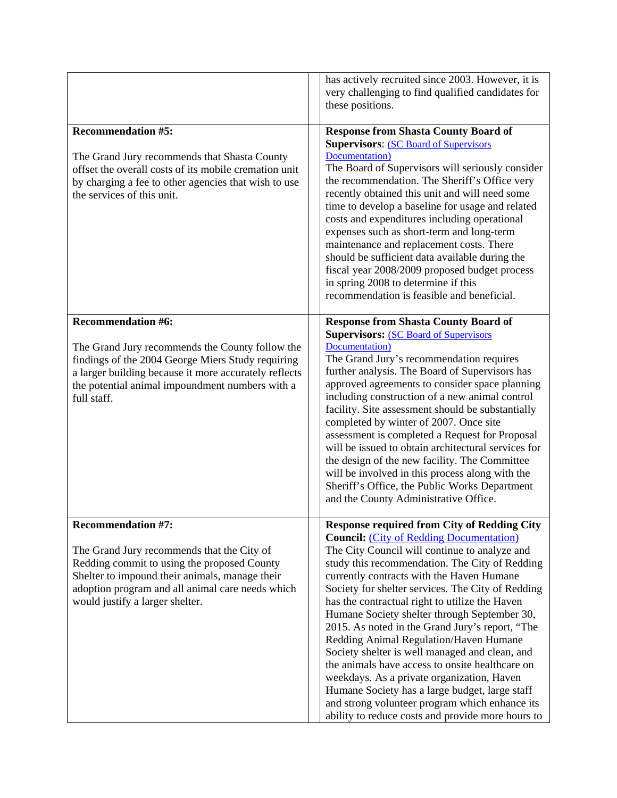|                                                                                                                                                                                                                                                                 | has actively recruited since 2003. However, it is<br>very challenging to find qualified candidates for<br>these positions.                                                                                                                                                                                                                                                                                                                                                                                                                                                                                                                                                                                                                                                                                            |
|-----------------------------------------------------------------------------------------------------------------------------------------------------------------------------------------------------------------------------------------------------------------|-----------------------------------------------------------------------------------------------------------------------------------------------------------------------------------------------------------------------------------------------------------------------------------------------------------------------------------------------------------------------------------------------------------------------------------------------------------------------------------------------------------------------------------------------------------------------------------------------------------------------------------------------------------------------------------------------------------------------------------------------------------------------------------------------------------------------|
| <b>Recommendation #5:</b><br>The Grand Jury recommends that Shasta County<br>offset the overall costs of its mobile cremation unit<br>by charging a fee to other agencies that wish to use<br>the services of this unit.                                        | <b>Response from Shasta County Board of</b><br><b>Supervisors: (SC Board of Supervisors)</b><br>Documentation)<br>The Board of Supervisors will seriously consider<br>the recommendation. The Sheriff's Office very<br>recently obtained this unit and will need some<br>time to develop a baseline for usage and related<br>costs and expenditures including operational<br>expenses such as short-term and long-term<br>maintenance and replacement costs. There<br>should be sufficient data available during the<br>fiscal year 2008/2009 proposed budget process<br>in spring 2008 to determine if this<br>recommendation is feasible and beneficial.                                                                                                                                                            |
| <b>Recommendation #6:</b><br>The Grand Jury recommends the County follow the<br>findings of the 2004 George Miers Study requiring<br>a larger building because it more accurately reflects<br>the potential animal impoundment numbers with a<br>full staff.    | <b>Response from Shasta County Board of</b><br><b>Supervisors: (SC Board of Supervisors)</b><br>Documentation)<br>The Grand Jury's recommendation requires<br>further analysis. The Board of Supervisors has<br>approved agreements to consider space planning<br>including construction of a new animal control<br>facility. Site assessment should be substantially<br>completed by winter of 2007. Once site<br>assessment is completed a Request for Proposal<br>will be issued to obtain architectural services for<br>the design of the new facility. The Committee<br>will be involved in this process along with the<br>Sheriff's Office, the Public Works Department<br>and the County Administrative Office.                                                                                                |
| <b>Recommendation #7:</b><br>The Grand Jury recommends that the City of<br>Redding commit to using the proposed County<br>Shelter to impound their animals, manage their<br>adoption program and all animal care needs which<br>would justify a larger shelter. | <b>Response required from City of Redding City</b><br><b>Council:</b> (City of Redding Documentation)<br>The City Council will continue to analyze and<br>study this recommendation. The City of Redding<br>currently contracts with the Haven Humane<br>Society for shelter services. The City of Redding<br>has the contractual right to utilize the Haven<br>Humane Society shelter through September 30,<br>2015. As noted in the Grand Jury's report, "The<br>Redding Animal Regulation/Haven Humane<br>Society shelter is well managed and clean, and<br>the animals have access to onsite healthcare on<br>weekdays. As a private organization, Haven<br>Humane Society has a large budget, large staff<br>and strong volunteer program which enhance its<br>ability to reduce costs and provide more hours to |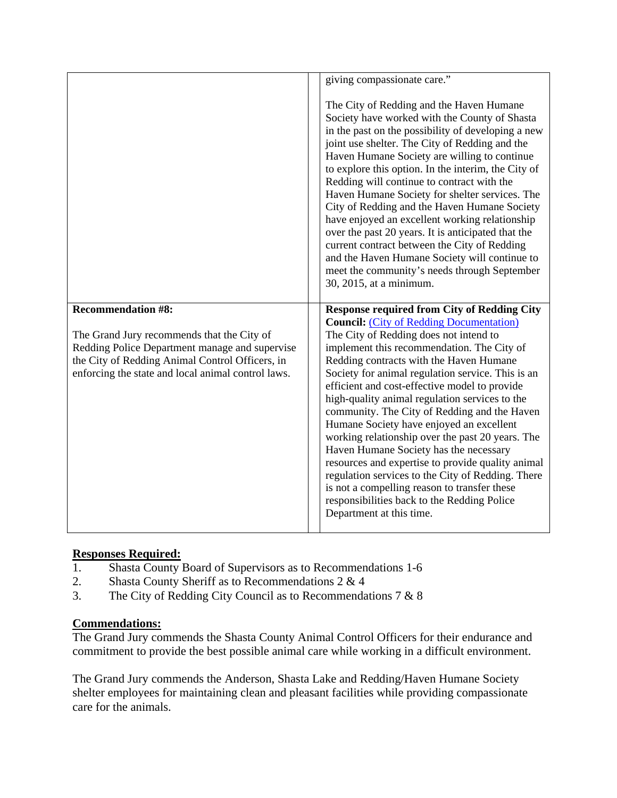|                                                 | giving compassionate care."                                                                                                                                                                                                                                                                                                                                                                                                                                                                                                                                                                                                                                                                                                                  |
|-------------------------------------------------|----------------------------------------------------------------------------------------------------------------------------------------------------------------------------------------------------------------------------------------------------------------------------------------------------------------------------------------------------------------------------------------------------------------------------------------------------------------------------------------------------------------------------------------------------------------------------------------------------------------------------------------------------------------------------------------------------------------------------------------------|
|                                                 | The City of Redding and the Haven Humane<br>Society have worked with the County of Shasta<br>in the past on the possibility of developing a new<br>joint use shelter. The City of Redding and the<br>Haven Humane Society are willing to continue<br>to explore this option. In the interim, the City of<br>Redding will continue to contract with the<br>Haven Humane Society for shelter services. The<br>City of Redding and the Haven Humane Society<br>have enjoyed an excellent working relationship<br>over the past 20 years. It is anticipated that the<br>current contract between the City of Redding<br>and the Haven Humane Society will continue to<br>meet the community's needs through September<br>30, 2015, at a minimum. |
|                                                 |                                                                                                                                                                                                                                                                                                                                                                                                                                                                                                                                                                                                                                                                                                                                              |
|                                                 |                                                                                                                                                                                                                                                                                                                                                                                                                                                                                                                                                                                                                                                                                                                                              |
| <b>Recommendation #8:</b>                       | <b>Response required from City of Redding City</b>                                                                                                                                                                                                                                                                                                                                                                                                                                                                                                                                                                                                                                                                                           |
| The Grand Jury recommends that the City of      | <b>Council:</b> (City of Redding Documentation)<br>The City of Redding does not intend to                                                                                                                                                                                                                                                                                                                                                                                                                                                                                                                                                                                                                                                    |
| Redding Police Department manage and supervise  | implement this recommendation. The City of                                                                                                                                                                                                                                                                                                                                                                                                                                                                                                                                                                                                                                                                                                   |
| the City of Redding Animal Control Officers, in | Redding contracts with the Haven Humane                                                                                                                                                                                                                                                                                                                                                                                                                                                                                                                                                                                                                                                                                                      |

# **Responses Required:**

- 1. Shasta County Board of Supervisors as to Recommendations 1-6
- 2. Shasta County Sheriff as to Recommendations 2 & 4
- 3. The City of Redding City Council as to Recommendations 7 & 8

# **Commendations:**

The Grand Jury commends the Shasta County Animal Control Officers for their endurance and commitment to provide the best possible animal care while working in a difficult environment.

The Grand Jury commends the Anderson, Shasta Lake and Redding/Haven Humane Society shelter employees for maintaining clean and pleasant facilities while providing compassionate care for the animals.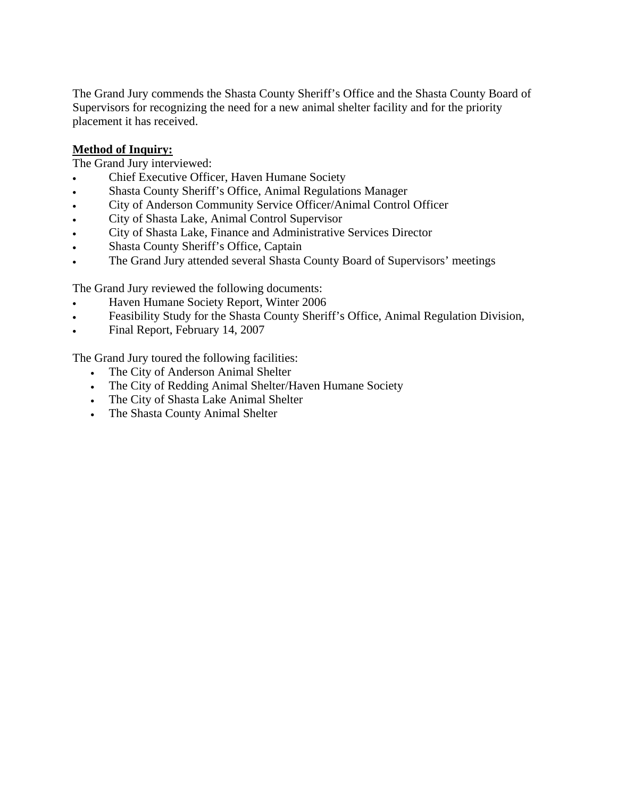The Grand Jury commends the Shasta County Sheriff's Office and the Shasta County Board of Supervisors for recognizing the need for a new animal shelter facility and for the priority placement it has received.

# **Method of Inquiry:**

The Grand Jury interviewed:

- Chief Executive Officer, Haven Humane Society
- Shasta County Sheriff's Office, Animal Regulations Manager
- City of Anderson Community Service Officer/Animal Control Officer
- City of Shasta Lake, Animal Control Supervisor
- City of Shasta Lake, Finance and Administrative Services Director
- Shasta County Sheriff's Office, Captain
- The Grand Jury attended several Shasta County Board of Supervisors' meetings

The Grand Jury reviewed the following documents:

- Haven Humane Society Report, Winter 2006
- Feasibility Study for the Shasta County Sheriff's Office, Animal Regulation Division,
- Final Report, February 14, 2007

The Grand Jury toured the following facilities:

- The City of Anderson Animal Shelter
- The City of Redding Animal Shelter/Haven Humane Society
- The City of Shasta Lake Animal Shelter
- The Shasta County Animal Shelter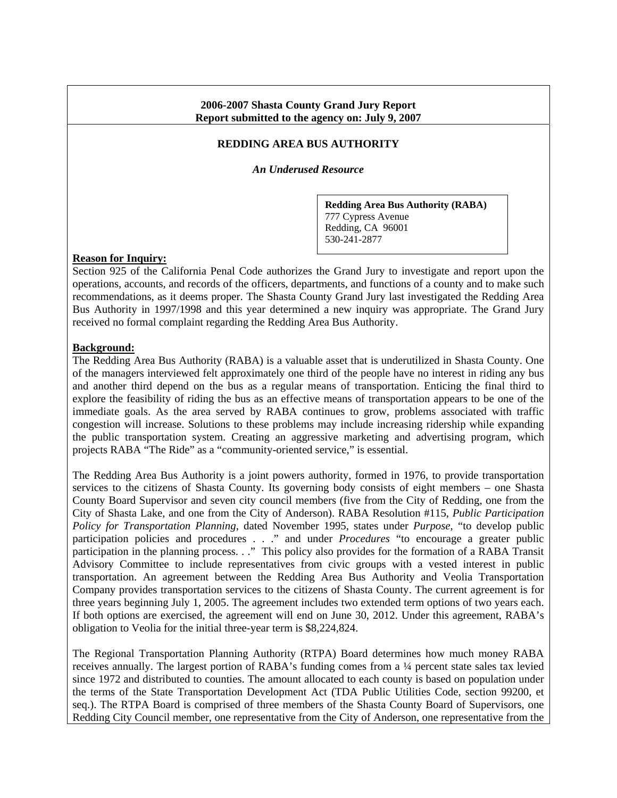#### **2006-2007 Shasta County Grand Jury Report Report submitted to the agency on: July 9, 2007**

### **REDDING AREA BUS AUTHORITY**

*An Underused Resource* 

**Redding Area Bus Authority (RABA)**  777 Cypress Avenue Redding, CA 96001 530-241-2877

#### **Reason for Inquiry:**

Section 925 of the California Penal Code authorizes the Grand Jury to investigate and report upon the operations, accounts, and records of the officers, departments, and functions of a county and to make such recommendations, as it deems proper. The Shasta County Grand Jury last investigated the Redding Area Bus Authority in 1997/1998 and this year determined a new inquiry was appropriate. The Grand Jury received no formal complaint regarding the Redding Area Bus Authority.

#### **Background:**

The Redding Area Bus Authority (RABA) is a valuable asset that is underutilized in Shasta County. One of the managers interviewed felt approximately one third of the people have no interest in riding any bus and another third depend on the bus as a regular means of transportation. Enticing the final third to explore the feasibility of riding the bus as an effective means of transportation appears to be one of the immediate goals. As the area served by RABA continues to grow, problems associated with traffic congestion will increase. Solutions to these problems may include increasing ridership while expanding the public transportation system. Creating an aggressive marketing and advertising program, which projects RABA "The Ride" as a "community-oriented service," is essential.

The Redding Area Bus Authority is a joint powers authority, formed in 1976, to provide transportation services to the citizens of Shasta County. Its governing body consists of eight members – one Shasta County Board Supervisor and seven city council members (five from the City of Redding, one from the City of Shasta Lake, and one from the City of Anderson). RABA Resolution #115, *Public Participation Policy for Transportation Planning,* dated November 1995, states under *Purpose*, "to develop public participation policies and procedures . . ." and under *Procedures* "to encourage a greater public participation in the planning process. . ." This policy also provides for the formation of a RABA Transit Advisory Committee to include representatives from civic groups with a vested interest in public transportation. An agreement between the Redding Area Bus Authority and Veolia Transportation Company provides transportation services to the citizens of Shasta County. The current agreement is for three years beginning July 1, 2005. The agreement includes two extended term options of two years each. If both options are exercised, the agreement will end on June 30, 2012. Under this agreement, RABA's obligation to Veolia for the initial three-year term is \$8,224,824.

The Regional Transportation Planning Authority (RTPA) Board determines how much money RABA receives annually. The largest portion of RABA's funding comes from a ¼ percent state sales tax levied since 1972 and distributed to counties. The amount allocated to each county is based on population under the terms of the State Transportation Development Act (TDA Public Utilities Code, section 99200, et seq.). The RTPA Board is comprised of three members of the Shasta County Board of Supervisors, one Redding City Council member, one representative from the City of Anderson, one representative from the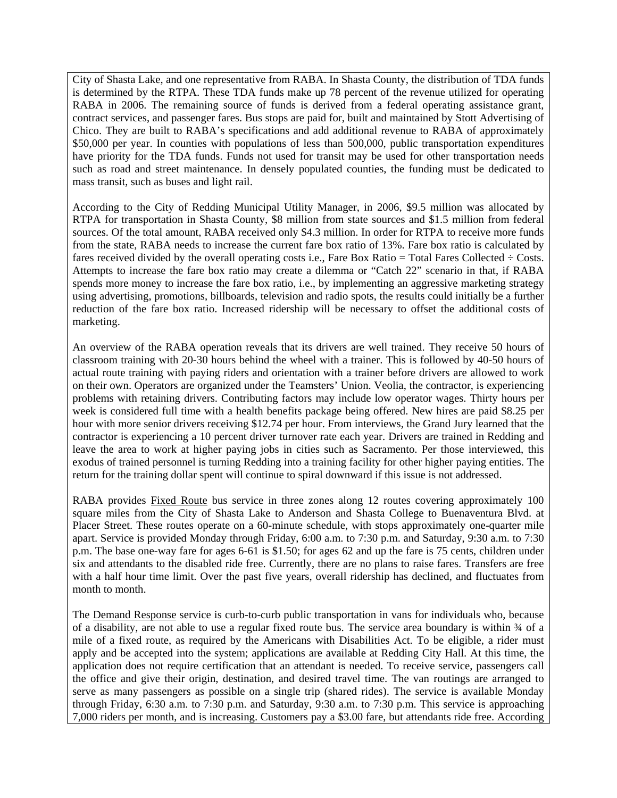City of Shasta Lake, and one representative from RABA. In Shasta County, the distribution of TDA funds is determined by the RTPA. These TDA funds make up 78 percent of the revenue utilized for operating RABA in 2006. The remaining source of funds is derived from a federal operating assistance grant, contract services, and passenger fares. Bus stops are paid for, built and maintained by Stott Advertising of Chico. They are built to RABA's specifications and add additional revenue to RABA of approximately \$50,000 per year. In counties with populations of less than 500,000, public transportation expenditures have priority for the TDA funds. Funds not used for transit may be used for other transportation needs such as road and street maintenance. In densely populated counties, the funding must be dedicated to mass transit, such as buses and light rail.

According to the City of Redding Municipal Utility Manager, in 2006, \$9.5 million was allocated by RTPA for transportation in Shasta County, \$8 million from state sources and \$1.5 million from federal sources. Of the total amount, RABA received only \$4.3 million. In order for RTPA to receive more funds from the state, RABA needs to increase the current fare box ratio of 13%. Fare box ratio is calculated by fares received divided by the overall operating costs i.e., Fare Box Ratio = Total Fares Collected  $\div$  Costs. Attempts to increase the fare box ratio may create a dilemma or "Catch 22" scenario in that, if RABA spends more money to increase the fare box ratio, i.e., by implementing an aggressive marketing strategy using advertising, promotions, billboards, television and radio spots, the results could initially be a further reduction of the fare box ratio. Increased ridership will be necessary to offset the additional costs of marketing.

An overview of the RABA operation reveals that its drivers are well trained. They receive 50 hours of classroom training with 20-30 hours behind the wheel with a trainer. This is followed by 40-50 hours of actual route training with paying riders and orientation with a trainer before drivers are allowed to work on their own. Operators are organized under the Teamsters' Union. Veolia, the contractor, is experiencing problems with retaining drivers. Contributing factors may include low operator wages. Thirty hours per week is considered full time with a health benefits package being offered. New hires are paid \$8.25 per hour with more senior drivers receiving \$12.74 per hour. From interviews, the Grand Jury learned that the contractor is experiencing a 10 percent driver turnover rate each year. Drivers are trained in Redding and leave the area to work at higher paying jobs in cities such as Sacramento. Per those interviewed, this exodus of trained personnel is turning Redding into a training facility for other higher paying entities. The return for the training dollar spent will continue to spiral downward if this issue is not addressed.

RABA provides Fixed Route bus service in three zones along 12 routes covering approximately 100 square miles from the City of Shasta Lake to Anderson and Shasta College to Buenaventura Blvd. at Placer Street. These routes operate on a 60-minute schedule, with stops approximately one-quarter mile apart. Service is provided Monday through Friday, 6:00 a.m. to 7:30 p.m. and Saturday, 9:30 a.m. to 7:30 p.m. The base one-way fare for ages 6-61 is \$1.50; for ages 62 and up the fare is 75 cents, children under six and attendants to the disabled ride free. Currently, there are no plans to raise fares. Transfers are free with a half hour time limit. Over the past five years, overall ridership has declined, and fluctuates from month to month.

The Demand Response service is curb-to-curb public transportation in vans for individuals who, because of a disability, are not able to use a regular fixed route bus. The service area boundary is within ¾ of a mile of a fixed route, as required by the Americans with Disabilities Act. To be eligible, a rider must apply and be accepted into the system; applications are available at Redding City Hall. At this time, the application does not require certification that an attendant is needed. To receive service, passengers call the office and give their origin, destination, and desired travel time. The van routings are arranged to serve as many passengers as possible on a single trip (shared rides). The service is available Monday through Friday, 6:30 a.m. to 7:30 p.m. and Saturday, 9:30 a.m. to 7:30 p.m. This service is approaching 7,000 riders per month, and is increasing. Customers pay a \$3.00 fare, but attendants ride free. According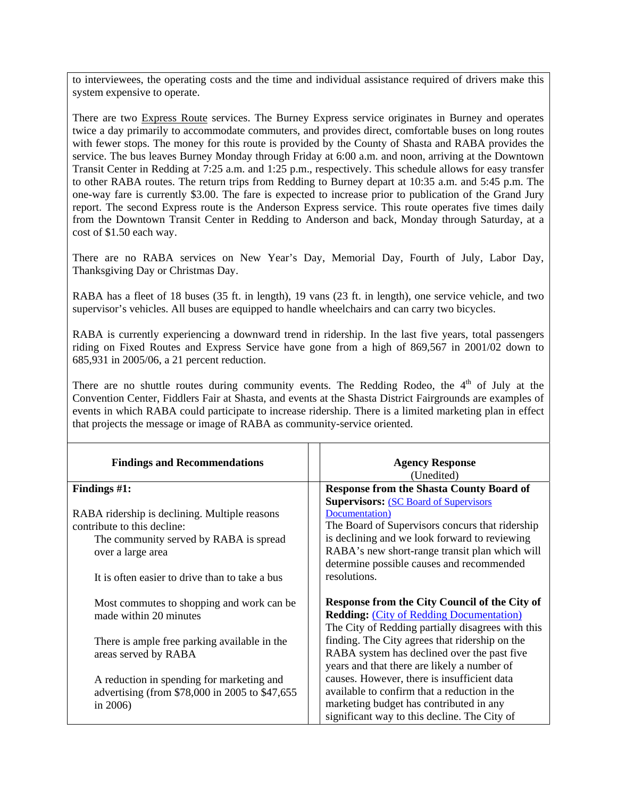to interviewees, the operating costs and the time and individual assistance required of drivers make this system expensive to operate.

There are two Express Route services. The Burney Express service originates in Burney and operates twice a day primarily to accommodate commuters, and provides direct, comfortable buses on long routes with fewer stops. The money for this route is provided by the County of Shasta and RABA provides the service. The bus leaves Burney Monday through Friday at 6:00 a.m. and noon, arriving at the Downtown Transit Center in Redding at 7:25 a.m. and 1:25 p.m., respectively. This schedule allows for easy transfer to other RABA routes. The return trips from Redding to Burney depart at 10:35 a.m. and 5:45 p.m. The one-way fare is currently \$3.00. The fare is expected to increase prior to publication of the Grand Jury report. The second Express route is the Anderson Express service. This route operates five times daily from the Downtown Transit Center in Redding to Anderson and back, Monday through Saturday, at a cost of \$1.50 each way.

There are no RABA services on New Year's Day, Memorial Day, Fourth of July, Labor Day, Thanksgiving Day or Christmas Day.

RABA has a fleet of 18 buses (35 ft. in length), 19 vans (23 ft. in length), one service vehicle, and two supervisor's vehicles. All buses are equipped to handle wheelchairs and can carry two bicycles.

RABA is currently experiencing a downward trend in ridership. In the last five years, total passengers riding on Fixed Routes and Express Service have gone from a high of 869,567 in 2001/02 down to 685,931 in 2005/06, a 21 percent reduction.

There are no shuttle routes during community events. The Redding Rodeo, the  $4<sup>th</sup>$  of July at the Convention Center, Fiddlers Fair at Shasta, and events at the Shasta District Fairgrounds are examples of events in which RABA could participate to increase ridership. There is a limited marketing plan in effect that projects the message or image of RABA as community-service oriented.

| <b>Findings and Recommendations</b>                                                                                                                                                           | <b>Agency Response</b><br>(Unedited)                                                                                                                                                                                                                                               |
|-----------------------------------------------------------------------------------------------------------------------------------------------------------------------------------------------|------------------------------------------------------------------------------------------------------------------------------------------------------------------------------------------------------------------------------------------------------------------------------------|
| Findings $#1$ :                                                                                                                                                                               | <b>Response from the Shasta County Board of</b>                                                                                                                                                                                                                                    |
| RABA ridership is declining. Multiple reasons<br>contribute to this decline:<br>The community served by RABA is spread<br>over a large area<br>It is often easier to drive than to take a bus | <b>Supervisors: (SC Board of Supervisors)</b><br>Documentation)<br>The Board of Supervisors concurs that ridership<br>is declining and we look forward to reviewing<br>RABA's new short-range transit plan which will<br>determine possible causes and recommended<br>resolutions. |
| Most commutes to shopping and work can be<br>made within 20 minutes                                                                                                                           | Response from the City Council of the City of<br><b>Redding: (City of Redding Documentation)</b><br>The City of Redding partially disagrees with this                                                                                                                              |
| There is ample free parking available in the<br>areas served by RABA                                                                                                                          | finding. The City agrees that ridership on the<br>RABA system has declined over the past five<br>years and that there are likely a number of                                                                                                                                       |
| A reduction in spending for marketing and<br>advertising (from \$78,000 in 2005 to \$47,655<br>in $2006$ )                                                                                    | causes. However, there is insufficient data<br>available to confirm that a reduction in the<br>marketing budget has contributed in any<br>significant way to this decline. The City of                                                                                             |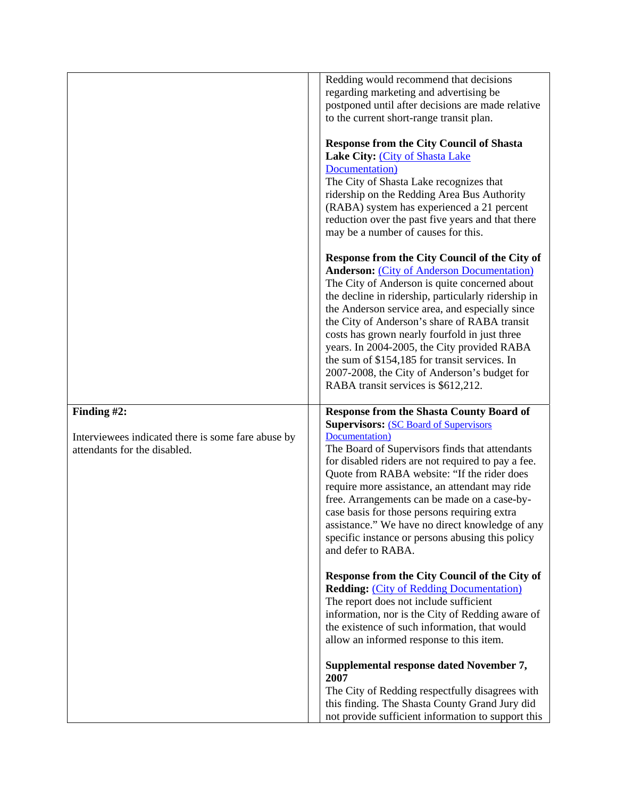|                                                                                                   | Redding would recommend that decisions<br>regarding marketing and advertising be<br>postponed until after decisions are made relative<br>to the current short-range transit plan.                                                                                                                                                                                                                                                                                                                                                                        |
|---------------------------------------------------------------------------------------------------|----------------------------------------------------------------------------------------------------------------------------------------------------------------------------------------------------------------------------------------------------------------------------------------------------------------------------------------------------------------------------------------------------------------------------------------------------------------------------------------------------------------------------------------------------------|
|                                                                                                   | <b>Response from the City Council of Shasta</b><br>Lake City: (City of Shasta Lake<br>Documentation)<br>The City of Shasta Lake recognizes that<br>ridership on the Redding Area Bus Authority<br>(RABA) system has experienced a 21 percent<br>reduction over the past five years and that there<br>may be a number of causes for this.                                                                                                                                                                                                                 |
|                                                                                                   | Response from the City Council of the City of<br><b>Anderson: (City of Anderson Documentation)</b><br>The City of Anderson is quite concerned about<br>the decline in ridership, particularly ridership in<br>the Anderson service area, and especially since<br>the City of Anderson's share of RABA transit<br>costs has grown nearly fourfold in just three<br>years. In 2004-2005, the City provided RABA<br>the sum of \$154,185 for transit services. In<br>2007-2008, the City of Anderson's budget for<br>RABA transit services is \$612,212.    |
| Finding #2:<br>Interviewees indicated there is some fare abuse by<br>attendants for the disabled. | <b>Response from the Shasta County Board of</b><br><b>Supervisors: (SC Board of Supervisors)</b><br>Documentation)<br>The Board of Supervisors finds that attendants<br>for disabled riders are not required to pay a fee.<br>Quote from RABA website: "If the rider does<br>require more assistance, an attendant may ride<br>free. Arrangements can be made on a case-by-<br>case basis for those persons requiring extra<br>assistance." We have no direct knowledge of any<br>specific instance or persons abusing this policy<br>and defer to RABA. |
|                                                                                                   | Response from the City Council of the City of<br><b>Redding: (City of Redding Documentation)</b><br>The report does not include sufficient<br>information, nor is the City of Redding aware of<br>the existence of such information, that would<br>allow an informed response to this item.                                                                                                                                                                                                                                                              |
|                                                                                                   | Supplemental response dated November 7,<br>2007<br>The City of Redding respectfully disagrees with<br>this finding. The Shasta County Grand Jury did<br>not provide sufficient information to support this                                                                                                                                                                                                                                                                                                                                               |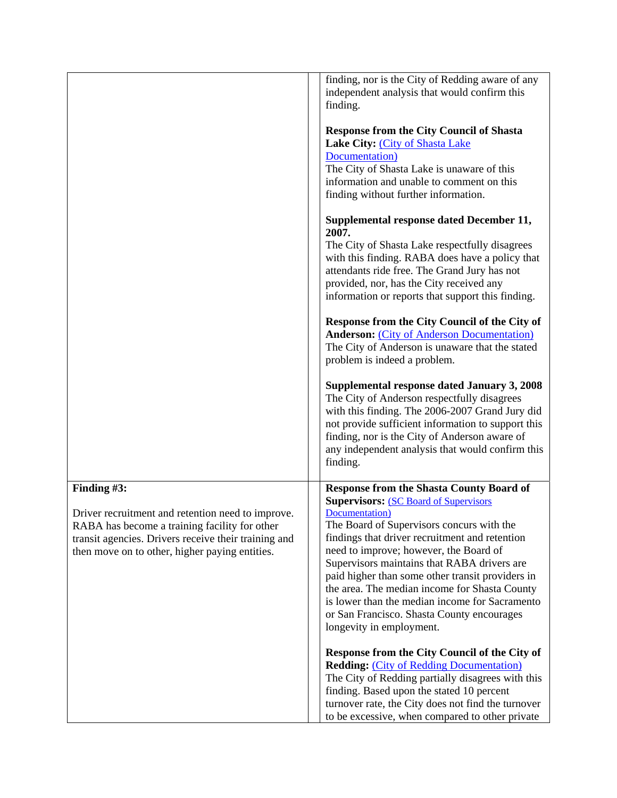|                                                                                                                                                                                                                             | finding, nor is the City of Redding aware of any<br>independent analysis that would confirm this<br>finding.                                                                                                                                                                                                                                                                                                                                                                                                                                |
|-----------------------------------------------------------------------------------------------------------------------------------------------------------------------------------------------------------------------------|---------------------------------------------------------------------------------------------------------------------------------------------------------------------------------------------------------------------------------------------------------------------------------------------------------------------------------------------------------------------------------------------------------------------------------------------------------------------------------------------------------------------------------------------|
|                                                                                                                                                                                                                             | <b>Response from the City Council of Shasta</b><br>Lake City: (City of Shasta Lake<br>Documentation)<br>The City of Shasta Lake is unaware of this<br>information and unable to comment on this<br>finding without further information.                                                                                                                                                                                                                                                                                                     |
|                                                                                                                                                                                                                             | Supplemental response dated December 11,<br>2007.<br>The City of Shasta Lake respectfully disagrees<br>with this finding. RABA does have a policy that<br>attendants ride free. The Grand Jury has not                                                                                                                                                                                                                                                                                                                                      |
|                                                                                                                                                                                                                             | provided, nor, has the City received any<br>information or reports that support this finding.                                                                                                                                                                                                                                                                                                                                                                                                                                               |
|                                                                                                                                                                                                                             | Response from the City Council of the City of<br><b>Anderson:</b> (City of Anderson Documentation)<br>The City of Anderson is unaware that the stated<br>problem is indeed a problem.                                                                                                                                                                                                                                                                                                                                                       |
|                                                                                                                                                                                                                             | Supplemental response dated January 3, 2008<br>The City of Anderson respectfully disagrees<br>with this finding. The 2006-2007 Grand Jury did<br>not provide sufficient information to support this<br>finding, nor is the City of Anderson aware of<br>any independent analysis that would confirm this<br>finding.                                                                                                                                                                                                                        |
| Finding #3:<br>Driver recruitment and retention need to improve.<br>RABA has become a training facility for other<br>transit agencies. Drivers receive their training and<br>then move on to other, higher paying entities. | <b>Response from the Shasta County Board of</b><br><b>Supervisors: (SC Board of Supervisors)</b><br>Documentation)<br>The Board of Supervisors concurs with the<br>findings that driver recruitment and retention<br>need to improve; however, the Board of<br>Supervisors maintains that RABA drivers are<br>paid higher than some other transit providers in<br>the area. The median income for Shasta County<br>is lower than the median income for Sacramento<br>or San Francisco. Shasta County encourages<br>longevity in employment. |
|                                                                                                                                                                                                                             | Response from the City Council of the City of<br><b>Redding: (City of Redding Documentation)</b><br>The City of Redding partially disagrees with this<br>finding. Based upon the stated 10 percent<br>turnover rate, the City does not find the turnover<br>to be excessive, when compared to other private                                                                                                                                                                                                                                 |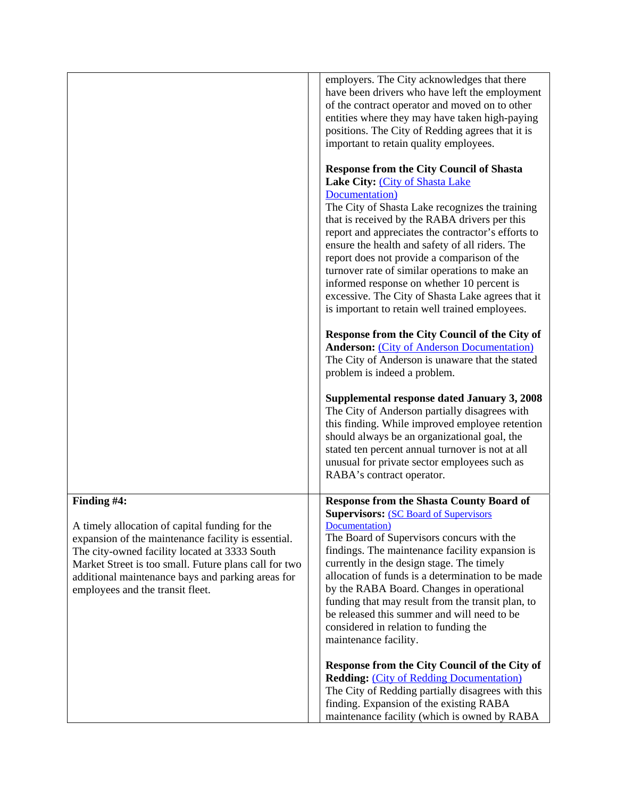|                                                                                                                                                                                                                                                                                                                         | employers. The City acknowledges that there<br>have been drivers who have left the employment<br>of the contract operator and moved on to other<br>entities where they may have taken high-paying<br>positions. The City of Redding agrees that it is<br>important to retain quality employees.                                                                                                                                                                                                                                                                         |
|-------------------------------------------------------------------------------------------------------------------------------------------------------------------------------------------------------------------------------------------------------------------------------------------------------------------------|-------------------------------------------------------------------------------------------------------------------------------------------------------------------------------------------------------------------------------------------------------------------------------------------------------------------------------------------------------------------------------------------------------------------------------------------------------------------------------------------------------------------------------------------------------------------------|
|                                                                                                                                                                                                                                                                                                                         | <b>Response from the City Council of Shasta</b><br>Lake City: (City of Shasta Lake<br>Documentation)<br>The City of Shasta Lake recognizes the training<br>that is received by the RABA drivers per this<br>report and appreciates the contractor's efforts to<br>ensure the health and safety of all riders. The<br>report does not provide a comparison of the<br>turnover rate of similar operations to make an<br>informed response on whether 10 percent is<br>excessive. The City of Shasta Lake agrees that it<br>is important to retain well trained employees. |
|                                                                                                                                                                                                                                                                                                                         | Response from the City Council of the City of<br><b>Anderson: (City of Anderson Documentation)</b><br>The City of Anderson is unaware that the stated<br>problem is indeed a problem.                                                                                                                                                                                                                                                                                                                                                                                   |
|                                                                                                                                                                                                                                                                                                                         | Supplemental response dated January 3, 2008<br>The City of Anderson partially disagrees with<br>this finding. While improved employee retention<br>should always be an organizational goal, the<br>stated ten percent annual turnover is not at all<br>unusual for private sector employees such as<br>RABA's contract operator.                                                                                                                                                                                                                                        |
| Finding #4:<br>A timely allocation of capital funding for the<br>expansion of the maintenance facility is essential.<br>The city-owned facility located at 3333 South<br>Market Street is too small. Future plans call for two<br>additional maintenance bays and parking areas for<br>employees and the transit fleet. | <b>Response from the Shasta County Board of</b><br><b>Supervisors: (SC Board of Supervisors)</b><br>Documentation)<br>The Board of Supervisors concurs with the<br>findings. The maintenance facility expansion is<br>currently in the design stage. The timely<br>allocation of funds is a determination to be made<br>by the RABA Board. Changes in operational<br>funding that may result from the transit plan, to<br>be released this summer and will need to be<br>considered in relation to funding the<br>maintenance facility.                                 |
|                                                                                                                                                                                                                                                                                                                         | Response from the City Council of the City of<br><b>Redding: (City of Redding Documentation)</b><br>The City of Redding partially disagrees with this<br>finding. Expansion of the existing RABA<br>maintenance facility (which is owned by RABA                                                                                                                                                                                                                                                                                                                        |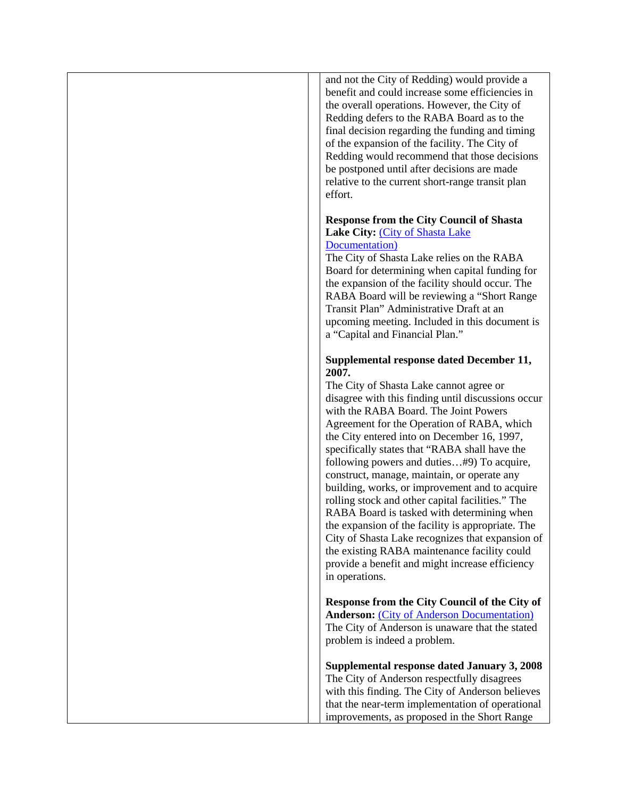and not the City of Redding) would provide a benefit and could increase some efficiencies in the overall operations. However, the City of Redding defers to the RABA Board as to the final decision regarding the funding and timing of the expansion of the facility. The City of Redding would recommend that those decisions be postponed until after decisions are made relative to the current short-range transit plan effort.

#### **Response from the City Council of Shasta Lake City:** [\(City of Shasta Lake](http://www.co.shasta.ca.us/html/Grand_Jury/docs/0607_Responses/shastalake_responses.pdf)  [Documentation\)](http://www.co.shasta.ca.us/html/Grand_Jury/docs/0607_Responses/shastalake_responses.pdf)

The City of Shasta Lake relies on the RABA Board for determining when capital funding for the expansion of the facility should occur. The RABA Board will be reviewing a "Short Range Transit Plan" Administrative Draft at an upcoming meeting. Included in this document is a "Capital and Financial Plan."

#### **Supplemental response dated December 11, 2007.**

The City of Shasta Lake cannot agree or disagree with this finding until discussions occur with the RABA Board. The Joint Powers Agreement for the Operation of RABA, which the City entered into on December 16, 1997, specifically states that "RABA shall have the following powers and duties…#9) To acquire, construct, manage, maintain, or operate any building, works, or improvement and to acquire rolling stock and other capital facilities." The RABA Board is tasked with determining when the expansion of the facility is appropriate. The City of Shasta Lake recognizes that expansion of the existing RABA maintenance facility could provide a benefit and might increase efficiency in operations.

**Response from the City Council of the City of Anderson:** [\(City of Anderson Documentation\)](http://www.co.shasta.ca.us/html/Grand_Jury/docs/0607_Responses/anderson_responses.pdf) The City of Anderson is unaware that the stated problem is indeed a problem.

**Supplemental response dated January 3, 2008** The City of Anderson respectfully disagrees with this finding. The City of Anderson believes that the near-term implementation of operational improvements, as proposed in the Short Range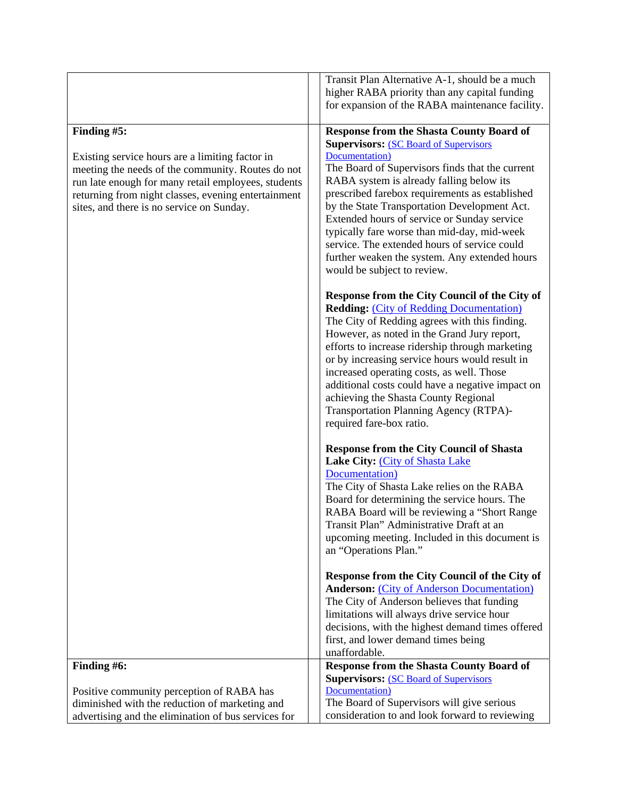|                                                     | Transit Plan Alternative A-1, should be a much                                                   |
|-----------------------------------------------------|--------------------------------------------------------------------------------------------------|
|                                                     | higher RABA priority than any capital funding                                                    |
|                                                     | for expansion of the RABA maintenance facility.                                                  |
| Finding #5:                                         | <b>Response from the Shasta County Board of</b><br><b>Supervisors: (SC Board of Supervisors)</b> |
| Existing service hours are a limiting factor in     | Documentation)                                                                                   |
| meeting the needs of the community. Routes do not   | The Board of Supervisors finds that the current                                                  |
| run late enough for many retail employees, students | RABA system is already falling below its                                                         |
| returning from night classes, evening entertainment | prescribed farebox requirements as established                                                   |
| sites, and there is no service on Sunday.           | by the State Transportation Development Act.                                                     |
|                                                     | Extended hours of service or Sunday service                                                      |
|                                                     | typically fare worse than mid-day, mid-week                                                      |
|                                                     | service. The extended hours of service could<br>further weaken the system. Any extended hours    |
|                                                     | would be subject to review.                                                                      |
|                                                     |                                                                                                  |
|                                                     | Response from the City Council of the City of<br><b>Redding: (City of Redding Documentation)</b> |
|                                                     | The City of Redding agrees with this finding.                                                    |
|                                                     | However, as noted in the Grand Jury report,                                                      |
|                                                     | efforts to increase ridership through marketing                                                  |
|                                                     | or by increasing service hours would result in<br>increased operating costs, as well. Those      |
|                                                     | additional costs could have a negative impact on                                                 |
|                                                     | achieving the Shasta County Regional                                                             |
|                                                     | Transportation Planning Agency (RTPA)-                                                           |
|                                                     | required fare-box ratio.                                                                         |
|                                                     | <b>Response from the City Council of Shasta</b>                                                  |
|                                                     | Lake City: (City of Shasta Lake                                                                  |
|                                                     | Documentation)                                                                                   |
|                                                     | The City of Shasta Lake relies on the RABA                                                       |
|                                                     | Board for determining the service hours. The<br>RABA Board will be reviewing a "Short Range"     |
|                                                     | Transit Plan" Administrative Draft at an                                                         |
|                                                     | upcoming meeting. Included in this document is                                                   |
|                                                     | an "Operations Plan."                                                                            |
|                                                     | Response from the City Council of the City of                                                    |
|                                                     | <b>Anderson: (City of Anderson Documentation)</b>                                                |
|                                                     | The City of Anderson believes that funding                                                       |
|                                                     | limitations will always drive service hour<br>decisions, with the highest demand times offered   |
|                                                     | first, and lower demand times being                                                              |
|                                                     | unaffordable.                                                                                    |
| Finding #6:                                         | <b>Response from the Shasta County Board of</b>                                                  |
|                                                     | <b>Supervisors: (SC Board of Supervisors)</b>                                                    |
| Positive community perception of RABA has           | Documentation)                                                                                   |
| diminished with the reduction of marketing and      | The Board of Supervisors will give serious                                                       |
| advertising and the elimination of bus services for | consideration to and look forward to reviewing                                                   |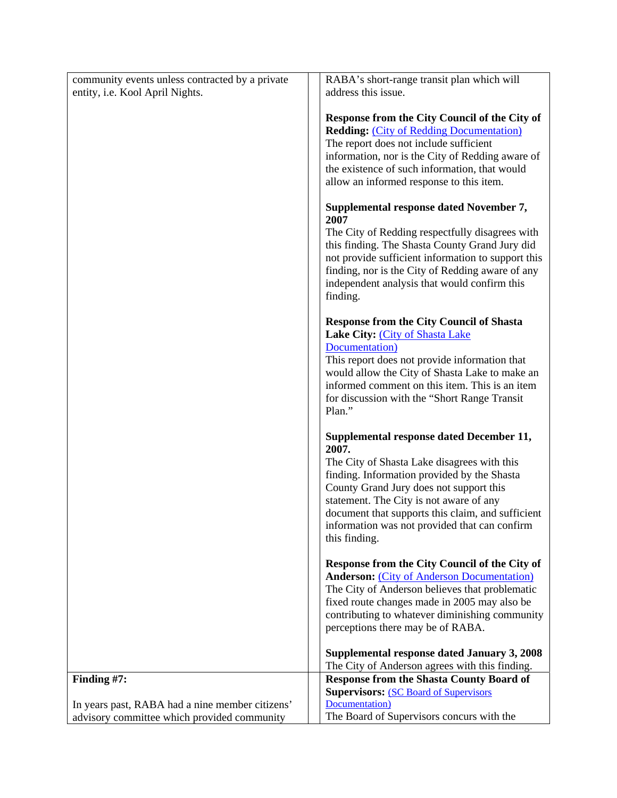| community events unless contracted by a private                                                | RABA's short-range transit plan which will                                                                                                                                                                                                                                                                                                                   |
|------------------------------------------------------------------------------------------------|--------------------------------------------------------------------------------------------------------------------------------------------------------------------------------------------------------------------------------------------------------------------------------------------------------------------------------------------------------------|
| entity, i.e. Kool April Nights.                                                                | address this issue.                                                                                                                                                                                                                                                                                                                                          |
|                                                                                                | Response from the City Council of the City of<br><b>Redding: (City of Redding Documentation)</b><br>The report does not include sufficient<br>information, nor is the City of Redding aware of<br>the existence of such information, that would<br>allow an informed response to this item.                                                                  |
|                                                                                                | Supplemental response dated November 7,<br>2007<br>The City of Redding respectfully disagrees with<br>this finding. The Shasta County Grand Jury did<br>not provide sufficient information to support this<br>finding, nor is the City of Redding aware of any<br>independent analysis that would confirm this<br>finding.                                   |
|                                                                                                | <b>Response from the City Council of Shasta</b><br>Lake City: (City of Shasta Lake<br>Documentation)<br>This report does not provide information that<br>would allow the City of Shasta Lake to make an<br>informed comment on this item. This is an item<br>for discussion with the "Short Range Transit"<br>Plan."                                         |
|                                                                                                | Supplemental response dated December 11,<br>2007.<br>The City of Shasta Lake disagrees with this<br>finding. Information provided by the Shasta<br>County Grand Jury does not support this<br>statement. The City is not aware of any<br>document that supports this claim, and sufficient<br>information was not provided that can confirm<br>this finding. |
|                                                                                                | Response from the City Council of the City of<br><b>Anderson:</b> (City of Anderson Documentation)<br>The City of Anderson believes that problematic<br>fixed route changes made in 2005 may also be<br>contributing to whatever diminishing community<br>perceptions there may be of RABA.                                                                  |
|                                                                                                | Supplemental response dated January 3, 2008                                                                                                                                                                                                                                                                                                                  |
|                                                                                                | The City of Anderson agrees with this finding.                                                                                                                                                                                                                                                                                                               |
| Finding #7:                                                                                    | <b>Response from the Shasta County Board of</b><br><b>Supervisors: (SC Board of Supervisors)</b>                                                                                                                                                                                                                                                             |
| In years past, RABA had a nine member citizens'<br>advisory committee which provided community | Documentation)<br>The Board of Supervisors concurs with the                                                                                                                                                                                                                                                                                                  |
|                                                                                                |                                                                                                                                                                                                                                                                                                                                                              |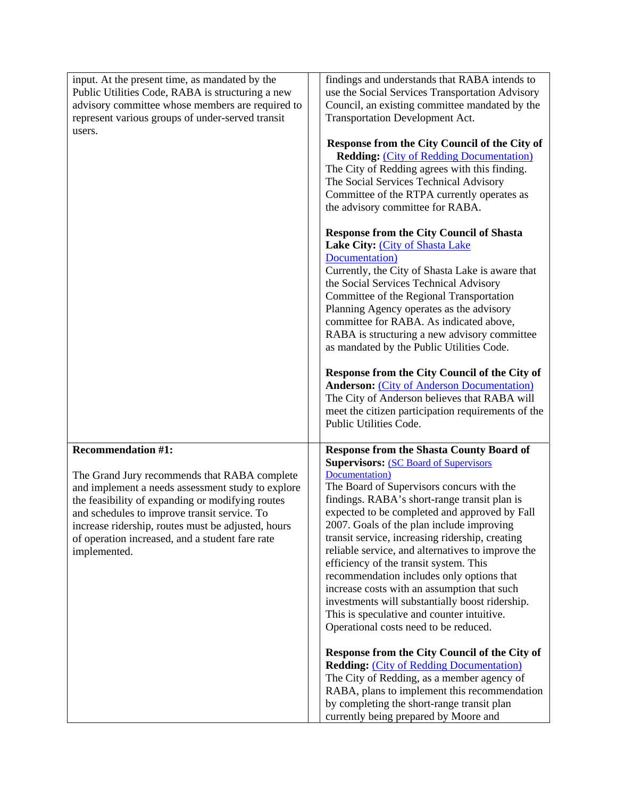| input. At the present time, as mandated by the                                                                                                                        | findings and understands that RABA intends to                                                                                                                                                                                                                                                                                                                                                                                                                                                                                    |
|-----------------------------------------------------------------------------------------------------------------------------------------------------------------------|----------------------------------------------------------------------------------------------------------------------------------------------------------------------------------------------------------------------------------------------------------------------------------------------------------------------------------------------------------------------------------------------------------------------------------------------------------------------------------------------------------------------------------|
| Public Utilities Code, RABA is structuring a new<br>advisory committee whose members are required to                                                                  | use the Social Services Transportation Advisory<br>Council, an existing committee mandated by the                                                                                                                                                                                                                                                                                                                                                                                                                                |
| represent various groups of under-served transit                                                                                                                      | Transportation Development Act.                                                                                                                                                                                                                                                                                                                                                                                                                                                                                                  |
| users.                                                                                                                                                                |                                                                                                                                                                                                                                                                                                                                                                                                                                                                                                                                  |
|                                                                                                                                                                       | Response from the City Council of the City of<br><b>Redding: (City of Redding Documentation)</b><br>The City of Redding agrees with this finding.<br>The Social Services Technical Advisory<br>Committee of the RTPA currently operates as<br>the advisory committee for RABA.<br><b>Response from the City Council of Shasta</b><br>Lake City: (City of Shasta Lake<br>Documentation)<br>Currently, the City of Shasta Lake is aware that<br>the Social Services Technical Advisory<br>Committee of the Regional Transportation |
|                                                                                                                                                                       | Planning Agency operates as the advisory<br>committee for RABA. As indicated above,<br>RABA is structuring a new advisory committee                                                                                                                                                                                                                                                                                                                                                                                              |
|                                                                                                                                                                       | as mandated by the Public Utilities Code.                                                                                                                                                                                                                                                                                                                                                                                                                                                                                        |
|                                                                                                                                                                       | Response from the City Council of the City of<br><b>Anderson:</b> (City of Anderson Documentation)<br>The City of Anderson believes that RABA will<br>meet the citizen participation requirements of the<br>Public Utilities Code.                                                                                                                                                                                                                                                                                               |
| <b>Recommendation #1:</b>                                                                                                                                             | <b>Response from the Shasta County Board of</b>                                                                                                                                                                                                                                                                                                                                                                                                                                                                                  |
|                                                                                                                                                                       | <b>Supervisors: (SC Board of Supervisors)</b>                                                                                                                                                                                                                                                                                                                                                                                                                                                                                    |
| The Grand Jury recommends that RABA complete<br>and implement a needs assessment study to explore<br>the feasibility of expanding or modifying routes                 | Documentation)<br>The Board of Supervisors concurs with the<br>findings. RABA's short-range transit plan is                                                                                                                                                                                                                                                                                                                                                                                                                      |
| and schedules to improve transit service. To<br>increase ridership, routes must be adjusted, hours<br>of operation increased, and a student fare rate<br>implemented. | expected to be completed and approved by Fall<br>2007. Goals of the plan include improving<br>transit service, increasing ridership, creating<br>reliable service, and alternatives to improve the<br>efficiency of the transit system. This<br>recommendation includes only options that<br>increase costs with an assumption that such<br>investments will substantially boost ridership.<br>This is speculative and counter intuitive.<br>Operational costs need to be reduced.                                               |
|                                                                                                                                                                       | Response from the City Council of the City of<br><b>Redding: (City of Redding Documentation)</b><br>The City of Redding, as a member agency of<br>RABA, plans to implement this recommendation<br>by completing the short-range transit plan<br>currently being prepared by Moore and                                                                                                                                                                                                                                            |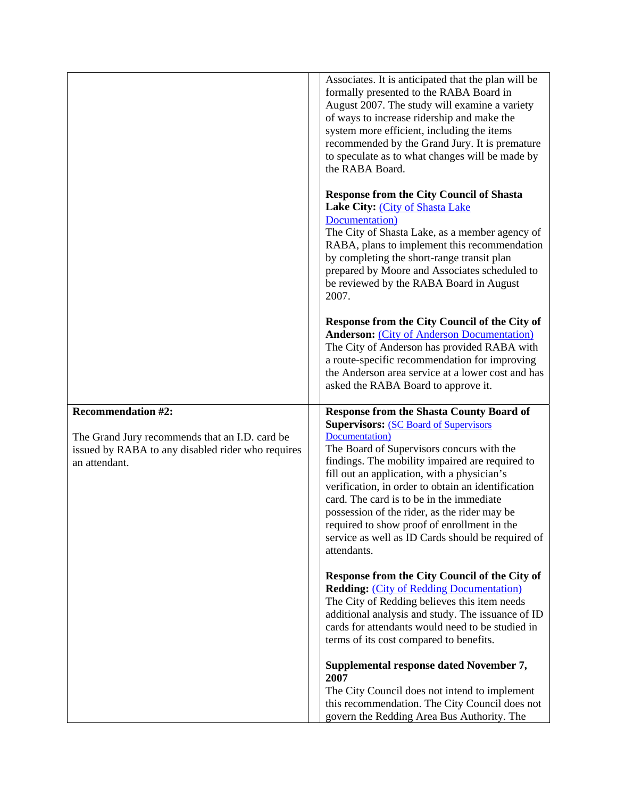|                                                                                                                                                   | Associates. It is anticipated that the plan will be<br>formally presented to the RABA Board in<br>August 2007. The study will examine a variety<br>of ways to increase ridership and make the<br>system more efficient, including the items<br>recommended by the Grand Jury. It is premature<br>to speculate as to what changes will be made by<br>the RABA Board.                                                                                                                                                                    |
|---------------------------------------------------------------------------------------------------------------------------------------------------|----------------------------------------------------------------------------------------------------------------------------------------------------------------------------------------------------------------------------------------------------------------------------------------------------------------------------------------------------------------------------------------------------------------------------------------------------------------------------------------------------------------------------------------|
|                                                                                                                                                   | <b>Response from the City Council of Shasta</b><br>Lake City: (City of Shasta Lake<br>Documentation)<br>The City of Shasta Lake, as a member agency of<br>RABA, plans to implement this recommendation<br>by completing the short-range transit plan<br>prepared by Moore and Associates scheduled to<br>be reviewed by the RABA Board in August<br>2007.                                                                                                                                                                              |
|                                                                                                                                                   | Response from the City Council of the City of<br><b>Anderson: (City of Anderson Documentation)</b><br>The City of Anderson has provided RABA with<br>a route-specific recommendation for improving<br>the Anderson area service at a lower cost and has<br>asked the RABA Board to approve it.                                                                                                                                                                                                                                         |
| <b>Recommendation #2:</b><br>The Grand Jury recommends that an I.D. card be<br>issued by RABA to any disabled rider who requires<br>an attendant. | <b>Response from the Shasta County Board of</b><br><b>Supervisors: (SC Board of Supervisors)</b><br>Documentation)<br>The Board of Supervisors concurs with the<br>findings. The mobility impaired are required to<br>fill out an application, with a physician's<br>verification, in order to obtain an identification<br>card. The card is to be in the immediate<br>possession of the rider, as the rider may be<br>required to show proof of enrollment in the<br>service as well as ID Cards should be required of<br>attendants. |
|                                                                                                                                                   | Response from the City Council of the City of<br><b>Redding: (City of Redding Documentation)</b><br>The City of Redding believes this item needs<br>additional analysis and study. The issuance of ID<br>cards for attendants would need to be studied in<br>terms of its cost compared to benefits.                                                                                                                                                                                                                                   |
|                                                                                                                                                   | Supplemental response dated November 7,<br>2007<br>The City Council does not intend to implement<br>this recommendation. The City Council does not                                                                                                                                                                                                                                                                                                                                                                                     |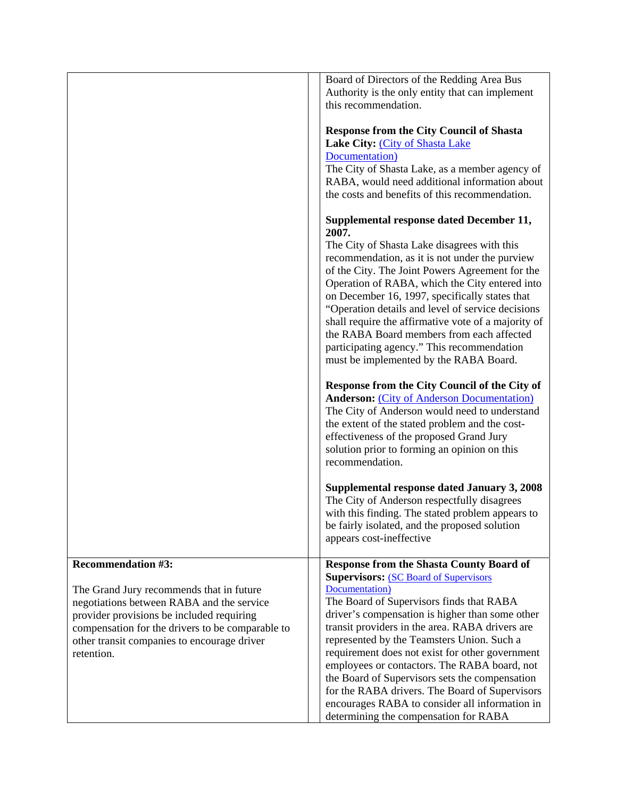|                                                                                                                                                                                                                                                                                  | Board of Directors of the Redding Area Bus<br>Authority is the only entity that can implement<br>this recommendation.<br><b>Response from the City Council of Shasta</b><br>Lake City: (City of Shasta Lake<br>Documentation)<br>The City of Shasta Lake, as a member agency of<br>RABA, would need additional information about<br>the costs and benefits of this recommendation.<br>Supplemental response dated December 11,<br>2007.<br>The City of Shasta Lake disagrees with this<br>recommendation, as it is not under the purview<br>of the City. The Joint Powers Agreement for the<br>Operation of RABA, which the City entered into<br>on December 16, 1997, specifically states that<br>"Operation details and level of service decisions<br>shall require the affirmative vote of a majority of<br>the RABA Board members from each affected<br>participating agency." This recommendation<br>must be implemented by the RABA Board.<br>Response from the City Council of the City of<br><b>Anderson: (City of Anderson Documentation)</b><br>The City of Anderson would need to understand<br>the extent of the stated problem and the cost-<br>effectiveness of the proposed Grand Jury<br>solution prior to forming an opinion on this<br>recommendation.<br>Supplemental response dated January 3, 2008<br>The City of Anderson respectfully disagrees<br>with this finding. The stated problem appears to<br>be fairly isolated, and the proposed solution<br>appears cost-ineffective |
|----------------------------------------------------------------------------------------------------------------------------------------------------------------------------------------------------------------------------------------------------------------------------------|---------------------------------------------------------------------------------------------------------------------------------------------------------------------------------------------------------------------------------------------------------------------------------------------------------------------------------------------------------------------------------------------------------------------------------------------------------------------------------------------------------------------------------------------------------------------------------------------------------------------------------------------------------------------------------------------------------------------------------------------------------------------------------------------------------------------------------------------------------------------------------------------------------------------------------------------------------------------------------------------------------------------------------------------------------------------------------------------------------------------------------------------------------------------------------------------------------------------------------------------------------------------------------------------------------------------------------------------------------------------------------------------------------------------------------------------------------------------------------------------------------|
| <b>Recommendation #3:</b><br>The Grand Jury recommends that in future<br>negotiations between RABA and the service<br>provider provisions be included requiring<br>compensation for the drivers to be comparable to<br>other transit companies to encourage driver<br>retention. | <b>Response from the Shasta County Board of</b><br><b>Supervisors: (SC Board of Supervisors)</b><br>Documentation)<br>The Board of Supervisors finds that RABA<br>driver's compensation is higher than some other<br>transit providers in the area. RABA drivers are<br>represented by the Teamsters Union. Such a<br>requirement does not exist for other government<br>employees or contactors. The RABA board, not<br>the Board of Supervisors sets the compensation<br>for the RABA drivers. The Board of Supervisors<br>encourages RABA to consider all information in<br>determining the compensation for RABA                                                                                                                                                                                                                                                                                                                                                                                                                                                                                                                                                                                                                                                                                                                                                                                                                                                                                    |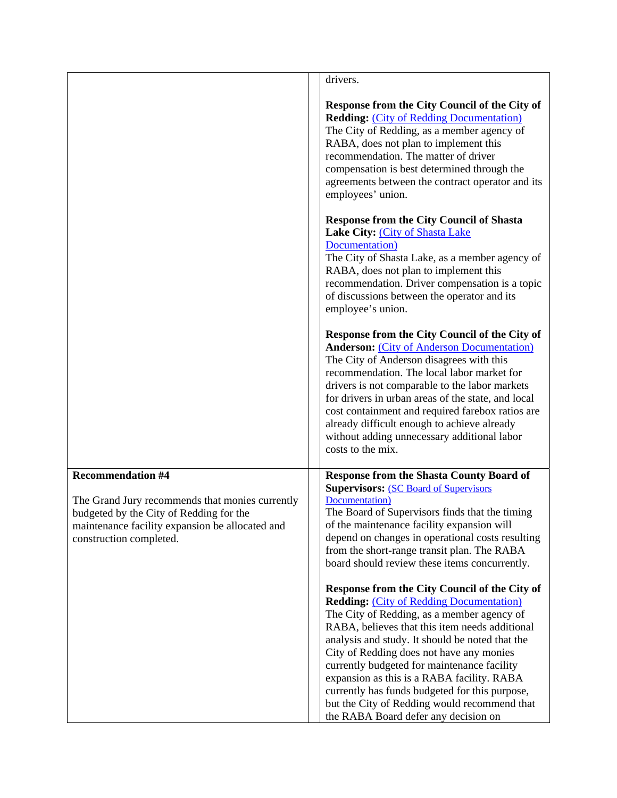|                                                                                                                                                                          | drivers.                                                                                                                                                                                                                                                                                                                                                                                                                                                                                                                                                                                                                                                                                                                                                                                                                                                                                                                                                                                                                                                                                    |
|--------------------------------------------------------------------------------------------------------------------------------------------------------------------------|---------------------------------------------------------------------------------------------------------------------------------------------------------------------------------------------------------------------------------------------------------------------------------------------------------------------------------------------------------------------------------------------------------------------------------------------------------------------------------------------------------------------------------------------------------------------------------------------------------------------------------------------------------------------------------------------------------------------------------------------------------------------------------------------------------------------------------------------------------------------------------------------------------------------------------------------------------------------------------------------------------------------------------------------------------------------------------------------|
|                                                                                                                                                                          | Response from the City Council of the City of<br><b>Redding: (City of Redding Documentation)</b><br>The City of Redding, as a member agency of<br>RABA, does not plan to implement this<br>recommendation. The matter of driver<br>compensation is best determined through the<br>agreements between the contract operator and its<br>employees' union.<br><b>Response from the City Council of Shasta</b><br>Lake City: (City of Shasta Lake<br>Documentation)<br>The City of Shasta Lake, as a member agency of<br>RABA, does not plan to implement this<br>recommendation. Driver compensation is a topic<br>of discussions between the operator and its<br>employee's union.<br>Response from the City Council of the City of<br><b>Anderson: (City of Anderson Documentation)</b><br>The City of Anderson disagrees with this<br>recommendation. The local labor market for<br>drivers is not comparable to the labor markets<br>for drivers in urban areas of the state, and local<br>cost containment and required farebox ratios are<br>already difficult enough to achieve already |
|                                                                                                                                                                          | without adding unnecessary additional labor<br>costs to the mix.                                                                                                                                                                                                                                                                                                                                                                                                                                                                                                                                                                                                                                                                                                                                                                                                                                                                                                                                                                                                                            |
| <b>Recommendation #4</b>                                                                                                                                                 |                                                                                                                                                                                                                                                                                                                                                                                                                                                                                                                                                                                                                                                                                                                                                                                                                                                                                                                                                                                                                                                                                             |
| The Grand Jury recommends that monies currently<br>budgeted by the City of Redding for the<br>maintenance facility expansion be allocated and<br>construction completed. | <b>Response from the Shasta County Board of</b><br><b>Supervisors: (SC Board of Supervisors)</b><br>Documentation)<br>The Board of Supervisors finds that the timing<br>of the maintenance facility expansion will<br>depend on changes in operational costs resulting<br>from the short-range transit plan. The RABA<br>board should review these items concurrently.                                                                                                                                                                                                                                                                                                                                                                                                                                                                                                                                                                                                                                                                                                                      |
|                                                                                                                                                                          | Response from the City Council of the City of<br><b>Redding: (City of Redding Documentation)</b><br>The City of Redding, as a member agency of<br>RABA, believes that this item needs additional<br>analysis and study. It should be noted that the<br>City of Redding does not have any monies<br>currently budgeted for maintenance facility<br>expansion as this is a RABA facility. RABA<br>currently has funds budgeted for this purpose,<br>but the City of Redding would recommend that<br>the RABA Board defer any decision on                                                                                                                                                                                                                                                                                                                                                                                                                                                                                                                                                      |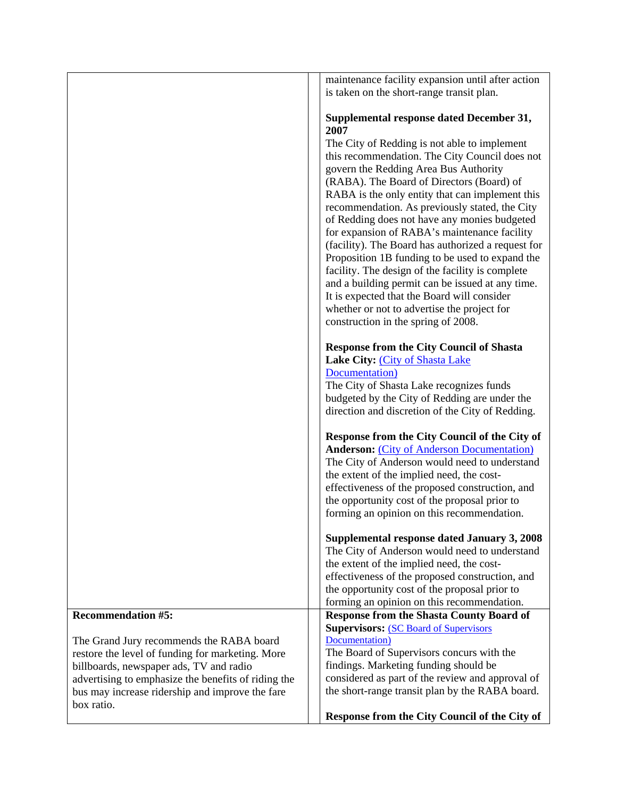|                                                     | maintenance facility expansion until after action                                                   |
|-----------------------------------------------------|-----------------------------------------------------------------------------------------------------|
|                                                     | is taken on the short-range transit plan.                                                           |
|                                                     |                                                                                                     |
|                                                     | Supplemental response dated December 31,<br>2007                                                    |
|                                                     | The City of Redding is not able to implement                                                        |
|                                                     | this recommendation. The City Council does not                                                      |
|                                                     | govern the Redding Area Bus Authority                                                               |
|                                                     | (RABA). The Board of Directors (Board) of                                                           |
|                                                     | RABA is the only entity that can implement this                                                     |
|                                                     |                                                                                                     |
|                                                     | recommendation. As previously stated, the City                                                      |
|                                                     | of Redding does not have any monies budgeted                                                        |
|                                                     | for expansion of RABA's maintenance facility                                                        |
|                                                     | (facility). The Board has authorized a request for                                                  |
|                                                     | Proposition 1B funding to be used to expand the<br>facility. The design of the facility is complete |
|                                                     | and a building permit can be issued at any time.                                                    |
|                                                     | It is expected that the Board will consider                                                         |
|                                                     | whether or not to advertise the project for                                                         |
|                                                     | construction in the spring of 2008.                                                                 |
|                                                     |                                                                                                     |
|                                                     | <b>Response from the City Council of Shasta</b>                                                     |
|                                                     | Lake City: (City of Shasta Lake                                                                     |
|                                                     | Documentation)                                                                                      |
|                                                     | The City of Shasta Lake recognizes funds                                                            |
|                                                     | budgeted by the City of Redding are under the                                                       |
|                                                     | direction and discretion of the City of Redding.                                                    |
|                                                     |                                                                                                     |
|                                                     | Response from the City Council of the City of                                                       |
|                                                     | <b>Anderson: (City of Anderson Documentation)</b>                                                   |
|                                                     | The City of Anderson would need to understand                                                       |
|                                                     | the extent of the implied need, the cost-                                                           |
|                                                     | effectiveness of the proposed construction, and                                                     |
|                                                     | the opportunity cost of the proposal prior to                                                       |
|                                                     | forming an opinion on this recommendation.                                                          |
|                                                     |                                                                                                     |
|                                                     | Supplemental response dated January 3, 2008                                                         |
|                                                     | The City of Anderson would need to understand                                                       |
|                                                     | the extent of the implied need, the cost-                                                           |
|                                                     | effectiveness of the proposed construction, and                                                     |
|                                                     | the opportunity cost of the proposal prior to                                                       |
| <b>Recommendation #5:</b>                           | forming an opinion on this recommendation.                                                          |
|                                                     | <b>Response from the Shasta County Board of</b><br><b>Supervisors: (SC Board of Supervisors)</b>    |
| The Grand Jury recommends the RABA board            | Documentation)                                                                                      |
| restore the level of funding for marketing. More    | The Board of Supervisors concurs with the                                                           |
| billboards, newspaper ads, TV and radio             | findings. Marketing funding should be                                                               |
| advertising to emphasize the benefits of riding the | considered as part of the review and approval of                                                    |
| bus may increase ridership and improve the fare     | the short-range transit plan by the RABA board.                                                     |
| box ratio.                                          |                                                                                                     |
|                                                     | Response from the City Council of the City of                                                       |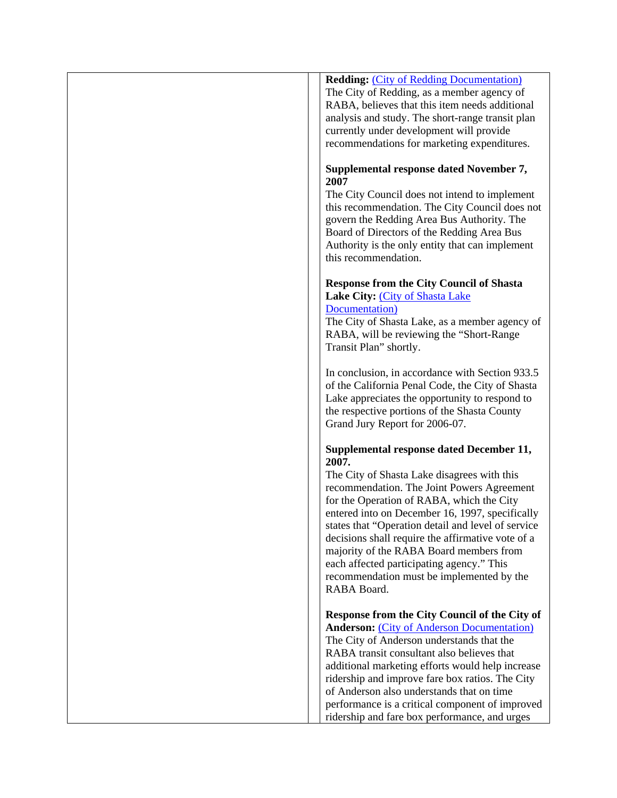# **Redding:** [\(City of Redding Documentation\)](http://www.co.shasta.ca.us/html/Grand_Jury/docs/0607_Responses/redding_responses.pdf) The City of Redding, as a member agency of RABA, believes that this item needs additional analysis and study. The short-range transit plan currently under development will provide recommendations for marketing expenditures. **Supplemental response dated November 7, 2007** The City Council does not intend to implement this recommendation. The City Council does not govern the Redding Area Bus Authority. The Board of Directors of the Redding Area Bus Authority is the only entity that can implement this recommendation. **Response from the City Council of Shasta Lake City:** [\(City of Shasta Lake](http://www.co.shasta.ca.us/html/Grand_Jury/docs/0607_Responses/shastalake_responses.pdf)  [Documentation\)](http://www.co.shasta.ca.us/html/Grand_Jury/docs/0607_Responses/shastalake_responses.pdf) The City of Shasta Lake, as a member agency of RABA, will be reviewing the "Short-Range Transit Plan" shortly. In conclusion, in accordance with Section 933.5 of the California Penal Code, the City of Shasta Lake appreciates the opportunity to respond to the respective portions of the Shasta County Grand Jury Report for 2006-07. **Supplemental response dated December 11, 2007.**

The City of Shasta Lake disagrees with this recommendation. The Joint Powers Agreement for the Operation of RABA, which the City entered into on December 16, 1997, specifically states that "Operation detail and level of service decisions shall require the affirmative vote of a majority of the RABA Board members from each affected participating agency." This recommendation must be implemented by the RABA Board.

**Response from the City Council of the City of Anderson:** [\(City of Anderson Documentation\)](http://www.co.shasta.ca.us/html/Grand_Jury/docs/0607_Responses/anderson_responses.pdf) The City of Anderson understands that the RABA transit consultant also believes that additional marketing efforts would help increase ridership and improve fare box ratios. The City of Anderson also understands that on time performance is a critical component of improved ridership and fare box performance, and urges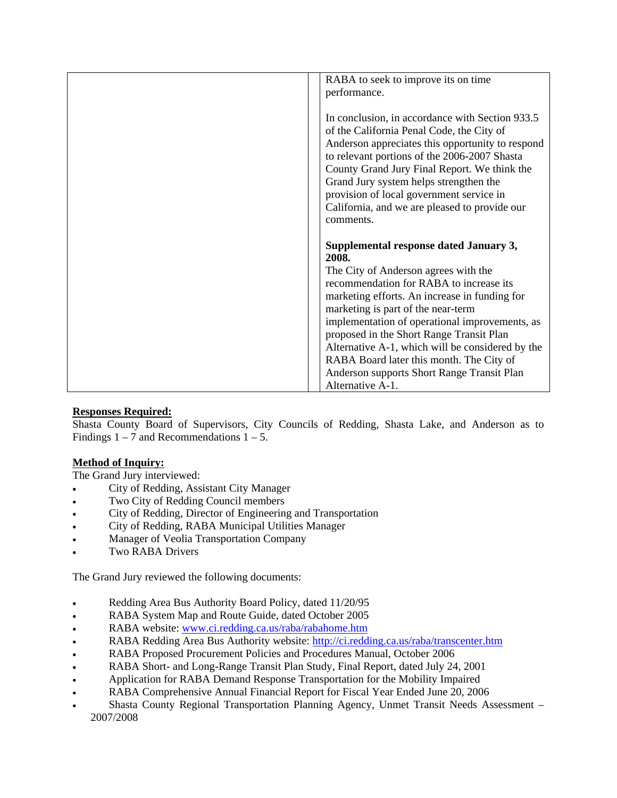| RABA to seek to improve its on time                                             |
|---------------------------------------------------------------------------------|
| performance.                                                                    |
|                                                                                 |
| In conclusion, in accordance with Section 933.5                                 |
| of the California Penal Code, the City of                                       |
| Anderson appreciates this opportunity to respond                                |
| to relevant portions of the 2006-2007 Shasta                                    |
| County Grand Jury Final Report. We think the                                    |
| Grand Jury system helps strengthen the                                          |
| provision of local government service in                                        |
| California, and we are pleased to provide our                                   |
| comments.                                                                       |
|                                                                                 |
|                                                                                 |
| Supplemental response dated January 3,                                          |
| 2008.                                                                           |
| The City of Anderson agrees with the<br>recommendation for RABA to increase its |
| marketing efforts. An increase in funding for                                   |
| marketing is part of the near-term                                              |
| implementation of operational improvements, as                                  |
| proposed in the Short Range Transit Plan                                        |
| Alternative A-1, which will be considered by the                                |
| RABA Board later this month. The City of                                        |
| Anderson supports Short Range Transit Plan<br>Alternative A-1.                  |

### **Responses Required:**

Shasta County Board of Supervisors, City Councils of Redding, Shasta Lake, and Anderson as to Findings  $1 - 7$  and Recommendations  $1 - 5$ .

### **Method of Inquiry:**

The Grand Jury interviewed:

- City of Redding, Assistant City Manager
- Two City of Redding Council members
- City of Redding, Director of Engineering and Transportation
- City of Redding, RABA Municipal Utilities Manager
- Manager of Veolia Transportation Company
- Two RABA Drivers

The Grand Jury reviewed the following documents:

- Redding Area Bus Authority Board Policy, dated 11/20/95
- RABA System Map and Route Guide, dated October 2005
- RABA website: [www.ci.redding.ca.us/raba/rabahome.htm](http://www.ci.redding.ca.us/raba/rabahome.htm)
- RABA Redding Area Bus Authority website:<http://ci.redding.ca.us/raba/transcenter.htm>
- RABA Proposed Procurement Policies and Procedures Manual, October 2006
- RABA Short- and Long-Range Transit Plan Study, Final Report, dated July 24, 2001
- Application for RABA Demand Response Transportation for the Mobility Impaired
- RABA Comprehensive Annual Financial Report for Fiscal Year Ended June 20, 2006
- Shasta County Regional Transportation Planning Agency, Unmet Transit Needs Assessment 2007/2008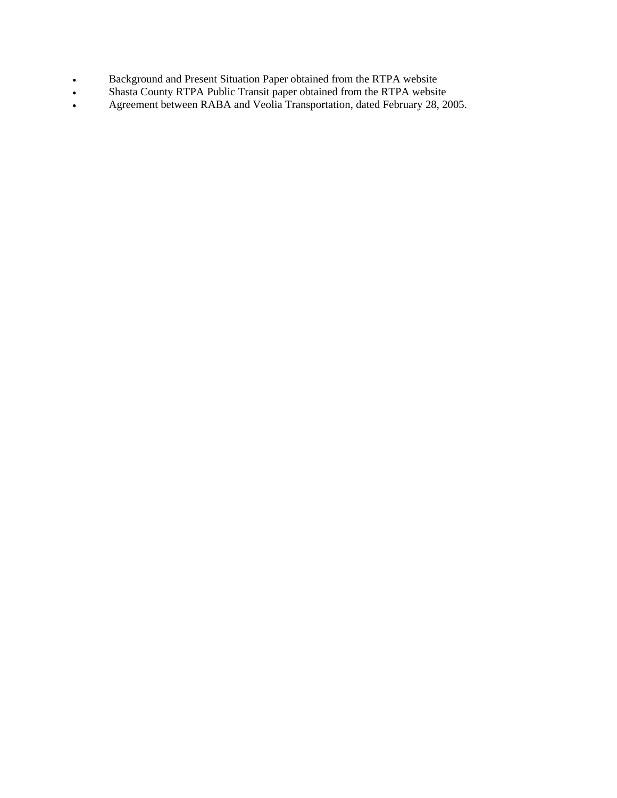- Background and Present Situation Paper obtained from the RTPA website
- Shasta County RTPA Public Transit paper obtained from the RTPA website
- Agreement between RABA and Veolia Transportation, dated February 28, 2005.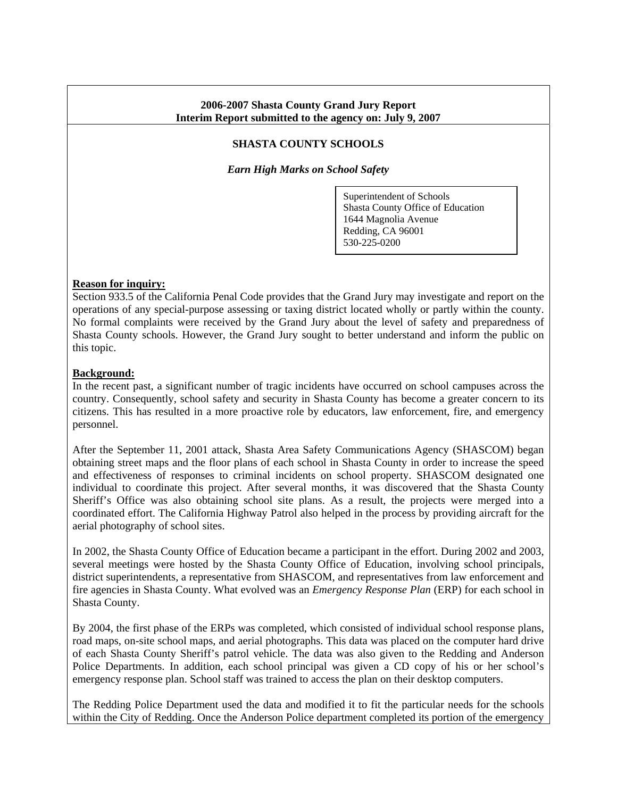### **2006-2007 Shasta County Grand Jury Report Interim Report submitted to the agency on: July 9, 2007**

# **SHASTA COUNTY SCHOOLS**

*Earn High Marks on School Safety* 

Superintendent of Schools Shasta County Office of Education 1644 Magnolia Avenue Redding, CA 96001 530-225-0200

#### **Reason for inquiry:**

Section 933.5 of the California Penal Code provides that the Grand Jury may investigate and report on the operations of any special-purpose assessing or taxing district located wholly or partly within the county. No formal complaints were received by the Grand Jury about the level of safety and preparedness of Shasta County schools. However, the Grand Jury sought to better understand and inform the public on this topic.

#### **Background:**

In the recent past, a significant number of tragic incidents have occurred on school campuses across the country. Consequently, school safety and security in Shasta County has become a greater concern to its citizens. This has resulted in a more proactive role by educators, law enforcement, fire, and emergency personnel.

After the September 11, 2001 attack, Shasta Area Safety Communications Agency (SHASCOM) began obtaining street maps and the floor plans of each school in Shasta County in order to increase the speed and effectiveness of responses to criminal incidents on school property. SHASCOM designated one individual to coordinate this project. After several months, it was discovered that the Shasta County Sheriff's Office was also obtaining school site plans. As a result, the projects were merged into a coordinated effort. The California Highway Patrol also helped in the process by providing aircraft for the aerial photography of school sites.

In 2002, the Shasta County Office of Education became a participant in the effort. During 2002 and 2003, several meetings were hosted by the Shasta County Office of Education, involving school principals, district superintendents, a representative from SHASCOM, and representatives from law enforcement and fire agencies in Shasta County. What evolved was an *Emergency Response Plan* (ERP) for each school in Shasta County.

By 2004, the first phase of the ERPs was completed, which consisted of individual school response plans, road maps, on-site school maps, and aerial photographs. This data was placed on the computer hard drive of each Shasta County Sheriff's patrol vehicle. The data was also given to the Redding and Anderson Police Departments. In addition, each school principal was given a CD copy of his or her school's emergency response plan. School staff was trained to access the plan on their desktop computers.

The Redding Police Department used the data and modified it to fit the particular needs for the schools within the City of Redding. Once the Anderson Police department completed its portion of the emergency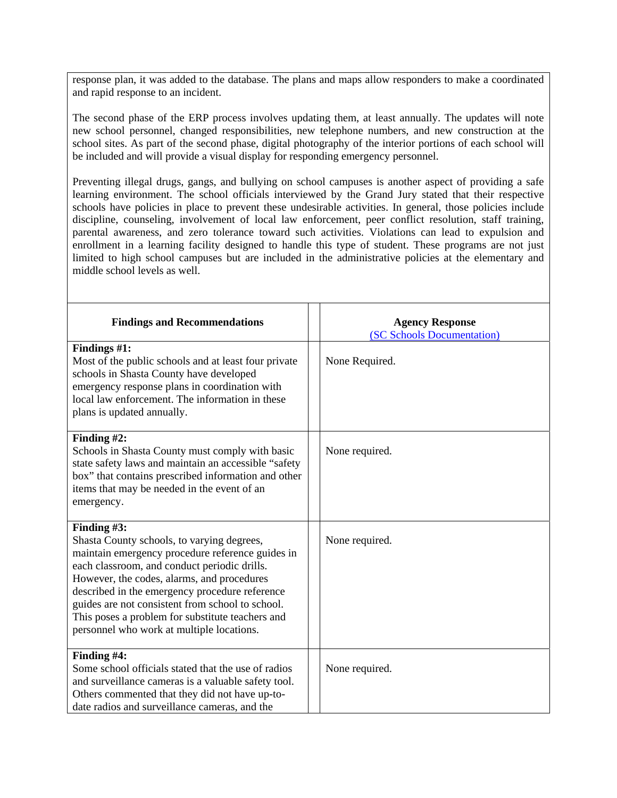response plan, it was added to the database. The plans and maps allow responders to make a coordinated and rapid response to an incident.

The second phase of the ERP process involves updating them, at least annually. The updates will note new school personnel, changed responsibilities, new telephone numbers, and new construction at the school sites. As part of the second phase, digital photography of the interior portions of each school will be included and will provide a visual display for responding emergency personnel.

Preventing illegal drugs, gangs, and bullying on school campuses is another aspect of providing a safe learning environment. The school officials interviewed by the Grand Jury stated that their respective schools have policies in place to prevent these undesirable activities. In general, those policies include discipline, counseling, involvement of local law enforcement, peer conflict resolution, staff training, parental awareness, and zero tolerance toward such activities. Violations can lead to expulsion and enrollment in a learning facility designed to handle this type of student. These programs are not just limited to high school campuses but are included in the administrative policies at the elementary and middle school levels as well.

| <b>Findings and Recommendations</b>                                                                                                                                                                                                                                                                                                                                                                                   | <b>Agency Response</b><br>(SC Schools Documentation) |
|-----------------------------------------------------------------------------------------------------------------------------------------------------------------------------------------------------------------------------------------------------------------------------------------------------------------------------------------------------------------------------------------------------------------------|------------------------------------------------------|
| Findings #1:<br>Most of the public schools and at least four private<br>schools in Shasta County have developed<br>emergency response plans in coordination with<br>local law enforcement. The information in these<br>plans is updated annually.                                                                                                                                                                     | None Required.                                       |
| Finding $#2$ :<br>Schools in Shasta County must comply with basic<br>state safety laws and maintain an accessible "safety<br>box" that contains prescribed information and other<br>items that may be needed in the event of an<br>emergency.                                                                                                                                                                         | None required.                                       |
| Finding $#3$ :<br>Shasta County schools, to varying degrees,<br>maintain emergency procedure reference guides in<br>each classroom, and conduct periodic drills.<br>However, the codes, alarms, and procedures<br>described in the emergency procedure reference<br>guides are not consistent from school to school.<br>This poses a problem for substitute teachers and<br>personnel who work at multiple locations. | None required.                                       |
| Finding #4:<br>Some school officials stated that the use of radios<br>and surveillance cameras is a valuable safety tool.<br>Others commented that they did not have up-to-<br>date radios and surveillance cameras, and the                                                                                                                                                                                          | None required.                                       |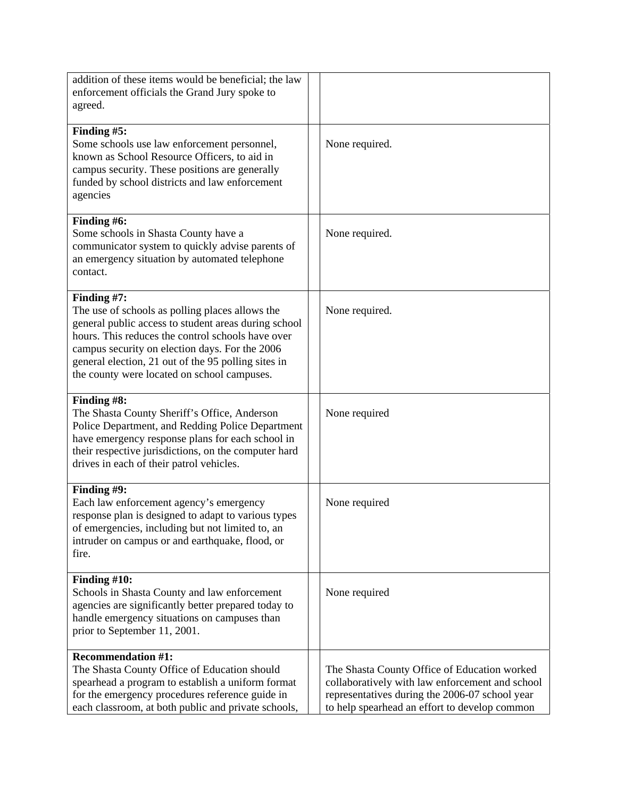| addition of these items would be beneficial; the law<br>enforcement officials the Grand Jury spoke to<br>agreed.                                                                                                                                                                                                                    |                                                                                                                                                                                                    |
|-------------------------------------------------------------------------------------------------------------------------------------------------------------------------------------------------------------------------------------------------------------------------------------------------------------------------------------|----------------------------------------------------------------------------------------------------------------------------------------------------------------------------------------------------|
| Finding #5:<br>Some schools use law enforcement personnel,<br>known as School Resource Officers, to aid in<br>campus security. These positions are generally<br>funded by school districts and law enforcement<br>agencies                                                                                                          | None required.                                                                                                                                                                                     |
| Finding #6:<br>Some schools in Shasta County have a<br>communicator system to quickly advise parents of<br>an emergency situation by automated telephone<br>contact.                                                                                                                                                                | None required.                                                                                                                                                                                     |
| Finding #7:<br>The use of schools as polling places allows the<br>general public access to student areas during school<br>hours. This reduces the control schools have over<br>campus security on election days. For the 2006<br>general election, 21 out of the 95 polling sites in<br>the county were located on school campuses. | None required.                                                                                                                                                                                     |
| Finding #8:<br>The Shasta County Sheriff's Office, Anderson<br>Police Department, and Redding Police Department<br>have emergency response plans for each school in<br>their respective jurisdictions, on the computer hard<br>drives in each of their patrol vehicles.                                                             | None required                                                                                                                                                                                      |
| Finding #9:<br>Each law enforcement agency's emergency<br>response plan is designed to adapt to various types<br>of emergencies, including but not limited to, an<br>intruder on campus or and earthquake, flood, or<br>fire.                                                                                                       | None required                                                                                                                                                                                      |
| Finding #10:<br>Schools in Shasta County and law enforcement<br>agencies are significantly better prepared today to<br>handle emergency situations on campuses than<br>prior to September 11, 2001.                                                                                                                                 | None required                                                                                                                                                                                      |
| <b>Recommendation #1:</b><br>The Shasta County Office of Education should<br>spearhead a program to establish a uniform format<br>for the emergency procedures reference guide in<br>each classroom, at both public and private schools,                                                                                            | The Shasta County Office of Education worked<br>collaboratively with law enforcement and school<br>representatives during the 2006-07 school year<br>to help spearhead an effort to develop common |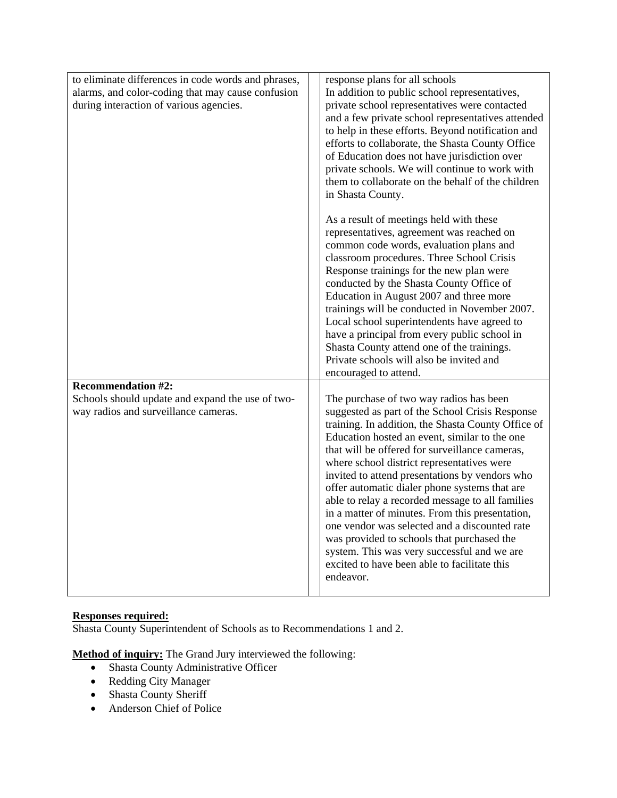| to eliminate differences in code words and phrases,<br>alarms, and color-coding that may cause confusion<br>during interaction of various agencies. | response plans for all schools<br>In addition to public school representatives,<br>private school representatives were contacted<br>and a few private school representatives attended                                                                                                                                                                                                                                                                                                                                                                                                                                                                                                                                  |
|-----------------------------------------------------------------------------------------------------------------------------------------------------|------------------------------------------------------------------------------------------------------------------------------------------------------------------------------------------------------------------------------------------------------------------------------------------------------------------------------------------------------------------------------------------------------------------------------------------------------------------------------------------------------------------------------------------------------------------------------------------------------------------------------------------------------------------------------------------------------------------------|
|                                                                                                                                                     | to help in these efforts. Beyond notification and<br>efforts to collaborate, the Shasta County Office<br>of Education does not have jurisdiction over<br>private schools. We will continue to work with<br>them to collaborate on the behalf of the children<br>in Shasta County.                                                                                                                                                                                                                                                                                                                                                                                                                                      |
|                                                                                                                                                     | As a result of meetings held with these<br>representatives, agreement was reached on<br>common code words, evaluation plans and<br>classroom procedures. Three School Crisis<br>Response trainings for the new plan were<br>conducted by the Shasta County Office of<br>Education in August 2007 and three more<br>trainings will be conducted in November 2007.<br>Local school superintendents have agreed to<br>have a principal from every public school in<br>Shasta County attend one of the trainings.<br>Private schools will also be invited and<br>encouraged to attend.                                                                                                                                     |
| <b>Recommendation #2:</b><br>Schools should update and expand the use of two-<br>way radios and surveillance cameras.                               | The purchase of two way radios has been<br>suggested as part of the School Crisis Response<br>training. In addition, the Shasta County Office of<br>Education hosted an event, similar to the one<br>that will be offered for surveillance cameras,<br>where school district representatives were<br>invited to attend presentations by vendors who<br>offer automatic dialer phone systems that are<br>able to relay a recorded message to all families<br>in a matter of minutes. From this presentation,<br>one vendor was selected and a discounted rate<br>was provided to schools that purchased the<br>system. This was very successful and we are<br>excited to have been able to facilitate this<br>endeavor. |

# **Responses required:**

Shasta County Superintendent of Schools as to Recommendations 1 and 2.

**Method of inquiry:** The Grand Jury interviewed the following:

- Shasta County Administrative Officer
- Redding City Manager
- Shasta County Sheriff
- Anderson Chief of Police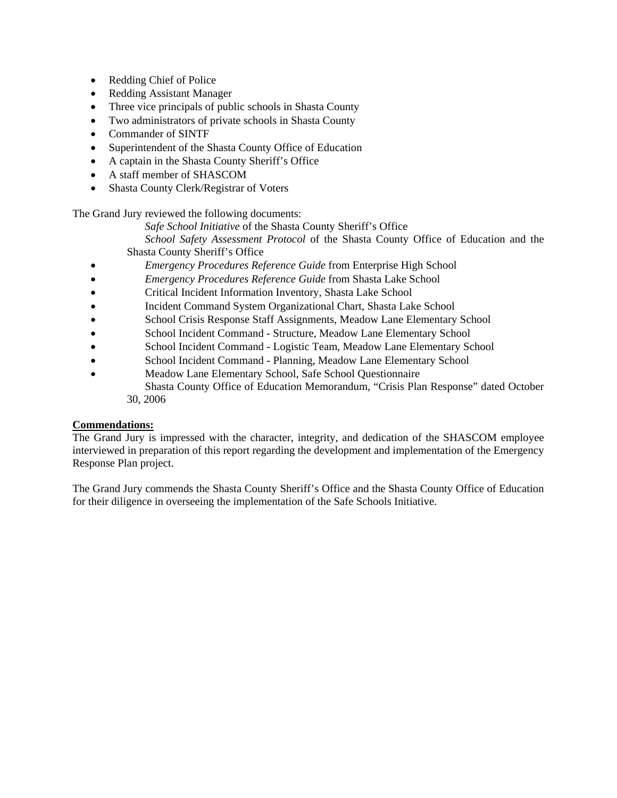- Redding Chief of Police
- Redding Assistant Manager
- Three vice principals of public schools in Shasta County
- Two administrators of private schools in Shasta County
- Commander of SINTF
- Superintendent of the Shasta County Office of Education
- A captain in the Shasta County Sheriff's Office
- A staff member of SHASCOM
- Shasta County Clerk/Registrar of Voters

The Grand Jury reviewed the following documents:

*Safe School Initiative* of the Shasta County Sheriff's Office

*School Safety Assessment Protocol* of the Shasta County Office of Education and the Shasta County Sheriff's Office

- *Emergency Procedures Reference Guide* from Enterprise High School
- *Emergency Procedures Reference Guide* from Shasta Lake School
- Critical Incident Information Inventory, Shasta Lake School
- Incident Command System Organizational Chart, Shasta Lake School
- School Crisis Response Staff Assignments, Meadow Lane Elementary School
- School Incident Command Structure, Meadow Lane Elementary School
- School Incident Command Logistic Team, Meadow Lane Elementary School
- School Incident Command Planning, Meadow Lane Elementary School
- Meadow Lane Elementary School, Safe School Questionnaire Shasta County Office of Education Memorandum, "Crisis Plan Response" dated October 30, 2006

# **Commendations:**

The Grand Jury is impressed with the character, integrity, and dedication of the SHASCOM employee interviewed in preparation of this report regarding the development and implementation of the Emergency Response Plan project.

The Grand Jury commends the Shasta County Sheriff's Office and the Shasta County Office of Education for their diligence in overseeing the implementation of the Safe Schools Initiative.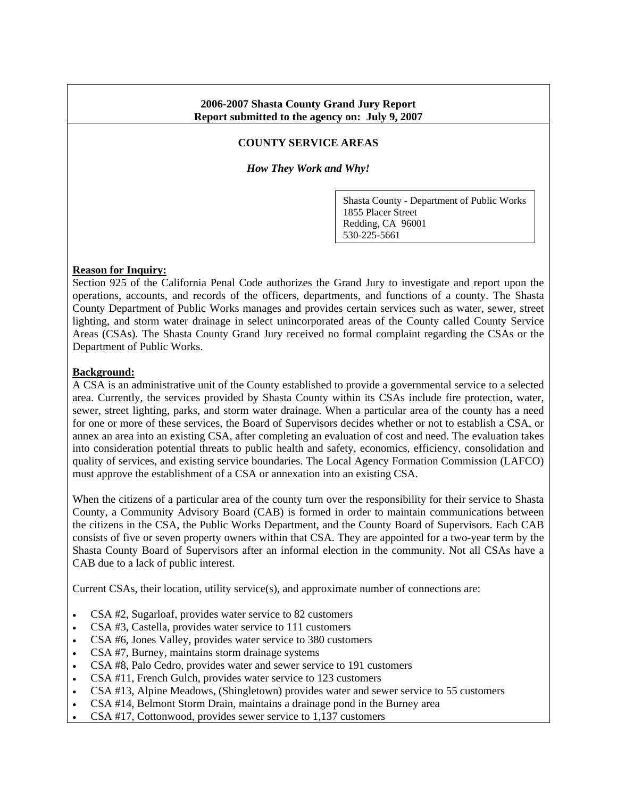## **2006-2007 Shasta County Grand Jury Report Report submitted to the agency on: July 9, 2007**

### **COUNTY SERVICE AREAS**

*How They Work and Why!* 

Shasta County - Department of Public Works 1855 Placer Street Redding, CA 96001 530-225-5661

### **Reason for Inquiry:**

Section 925 of the California Penal Code authorizes the Grand Jury to investigate and report upon the operations, accounts, and records of the officers, departments, and functions of a county. The Shasta County Department of Public Works manages and provides certain services such as water, sewer, street lighting, and storm water drainage in select unincorporated areas of the County called County Service Areas (CSAs). The Shasta County Grand Jury received no formal complaint regarding the CSAs or the Department of Public Works.

#### **Background:**

A CSA is an administrative unit of the County established to provide a governmental service to a selected area. Currently, the services provided by Shasta County within its CSAs include fire protection, water, sewer, street lighting, parks, and storm water drainage. When a particular area of the county has a need for one or more of these services, the Board of Supervisors decides whether or not to establish a CSA, or annex an area into an existing CSA, after completing an evaluation of cost and need. The evaluation takes into consideration potential threats to public health and safety, economics, efficiency, consolidation and quality of services, and existing service boundaries. The Local Agency Formation Commission (LAFCO) must approve the establishment of a CSA or annexation into an existing CSA.

When the citizens of a particular area of the county turn over the responsibility for their service to Shasta County, a Community Advisory Board (CAB) is formed in order to maintain communications between the citizens in the CSA, the Public Works Department, and the County Board of Supervisors. Each CAB consists of five or seven property owners within that CSA. They are appointed for a two-year term by the Shasta County Board of Supervisors after an informal election in the community. Not all CSAs have a CAB due to a lack of public interest.

Current CSAs, their location, utility service(s), and approximate number of connections are:

- CSA #2, Sugarloaf, provides water service to 82 customers
- CSA #3, Castella, provides water service to 111 customers
- CSA #6, Jones Valley, provides water service to 380 customers
- CSA #7, Burney, maintains storm drainage systems
- CSA #8, Palo Cedro, provides water and sewer service to 191 customers
- CSA #11, French Gulch, provides water service to 123 customers
- CSA #13, Alpine Meadows, (Shingletown) provides water and sewer service to 55 customers
- CSA #14, Belmont Storm Drain, maintains a drainage pond in the Burney area
- CSA #17, Cottonwood, provides sewer service to 1,137 customers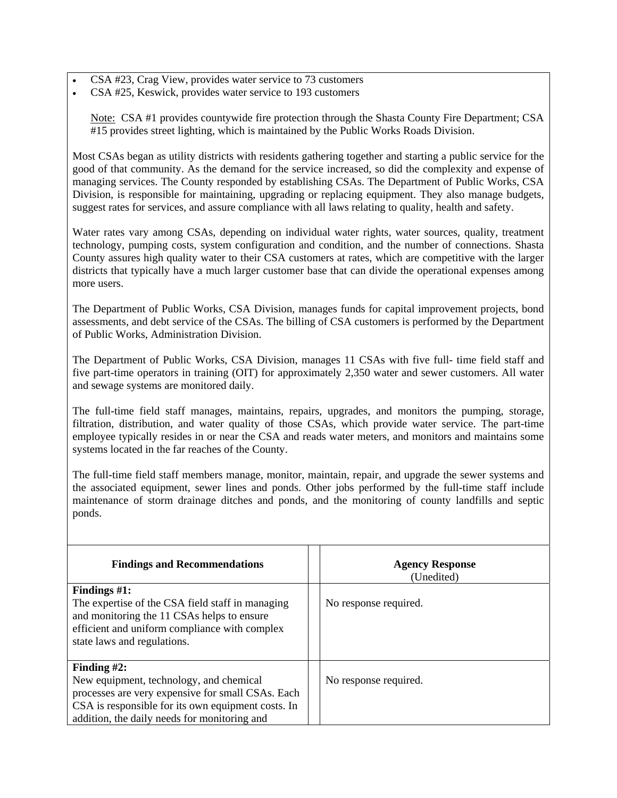• CSA #23, Crag View, provides water service to 73 customers

• CSA #25, Keswick, provides water service to 193 customers

Note: CSA #1 provides countywide fire protection through the Shasta County Fire Department; CSA #15 provides street lighting, which is maintained by the Public Works Roads Division.

Most CSAs began as utility districts with residents gathering together and starting a public service for the good of that community. As the demand for the service increased, so did the complexity and expense of managing services. The County responded by establishing CSAs. The Department of Public Works, CSA Division, is responsible for maintaining, upgrading or replacing equipment. They also manage budgets, suggest rates for services, and assure compliance with all laws relating to quality, health and safety.

Water rates vary among CSAs, depending on individual water rights, water sources, quality, treatment technology, pumping costs, system configuration and condition, and the number of connections. Shasta County assures high quality water to their CSA customers at rates, which are competitive with the larger districts that typically have a much larger customer base that can divide the operational expenses among more users.

The Department of Public Works, CSA Division, manages funds for capital improvement projects, bond assessments, and debt service of the CSAs. The billing of CSA customers is performed by the Department of Public Works, Administration Division.

The Department of Public Works, CSA Division, manages 11 CSAs with five full- time field staff and five part-time operators in training (OIT) for approximately 2,350 water and sewer customers. All water and sewage systems are monitored daily.

The full-time field staff manages, maintains, repairs, upgrades, and monitors the pumping, storage, filtration, distribution, and water quality of those CSAs, which provide water service. The part-time employee typically resides in or near the CSA and reads water meters, and monitors and maintains some systems located in the far reaches of the County.

The full-time field staff members manage, monitor, maintain, repair, and upgrade the sewer systems and the associated equipment, sewer lines and ponds. Other jobs performed by the full-time staff include maintenance of storm drainage ditches and ponds, and the monitoring of county landfills and septic ponds.

| <b>Findings and Recommendations</b>                                                                                                                                                                                  | <b>Agency Response</b><br>(Unedited) |
|----------------------------------------------------------------------------------------------------------------------------------------------------------------------------------------------------------------------|--------------------------------------|
| Findings $#1$ :<br>The expertise of the CSA field staff in managing<br>and monitoring the 11 CSAs helps to ensure<br>efficient and uniform compliance with complex<br>state laws and regulations.                    | No response required.                |
| Finding $#2$ :<br>New equipment, technology, and chemical<br>processes are very expensive for small CSAs. Each<br>CSA is responsible for its own equipment costs. In<br>addition, the daily needs for monitoring and | No response required.                |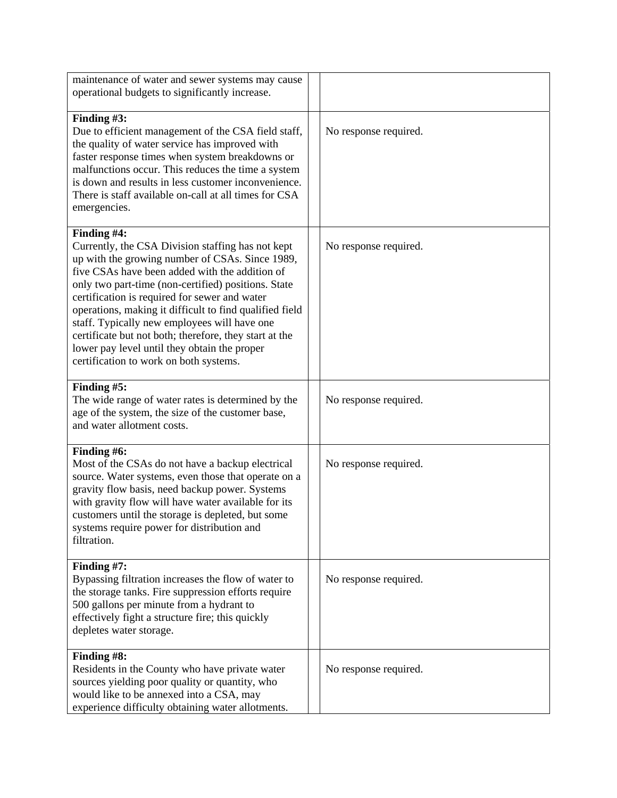| maintenance of water and sewer systems may cause<br>operational budgets to significantly increase.                                                                                                                                                                                                                                                                                                                                                                                                                                           |                       |
|----------------------------------------------------------------------------------------------------------------------------------------------------------------------------------------------------------------------------------------------------------------------------------------------------------------------------------------------------------------------------------------------------------------------------------------------------------------------------------------------------------------------------------------------|-----------------------|
| Finding #3:<br>Due to efficient management of the CSA field staff,<br>the quality of water service has improved with<br>faster response times when system breakdowns or<br>malfunctions occur. This reduces the time a system<br>is down and results in less customer inconvenience.<br>There is staff available on-call at all times for CSA<br>emergencies.                                                                                                                                                                                | No response required. |
| Finding #4:<br>Currently, the CSA Division staffing has not kept<br>up with the growing number of CSAs. Since 1989,<br>five CSAs have been added with the addition of<br>only two part-time (non-certified) positions. State<br>certification is required for sewer and water<br>operations, making it difficult to find qualified field<br>staff. Typically new employees will have one<br>certificate but not both; therefore, they start at the<br>lower pay level until they obtain the proper<br>certification to work on both systems. | No response required. |
| Finding #5:<br>The wide range of water rates is determined by the<br>age of the system, the size of the customer base,<br>and water allotment costs.                                                                                                                                                                                                                                                                                                                                                                                         | No response required. |
| Finding #6:<br>Most of the CSAs do not have a backup electrical<br>source. Water systems, even those that operate on a<br>gravity flow basis, need backup power. Systems<br>with gravity flow will have water available for its<br>customers until the storage is depleted, but some<br>systems require power for distribution and<br>filtration.                                                                                                                                                                                            | No response required. |
| Finding #7:<br>Bypassing filtration increases the flow of water to<br>the storage tanks. Fire suppression efforts require<br>500 gallons per minute from a hydrant to<br>effectively fight a structure fire; this quickly<br>depletes water storage.                                                                                                                                                                                                                                                                                         | No response required. |
| Finding #8:<br>Residents in the County who have private water<br>sources yielding poor quality or quantity, who<br>would like to be annexed into a CSA, may<br>experience difficulty obtaining water allotments.                                                                                                                                                                                                                                                                                                                             | No response required. |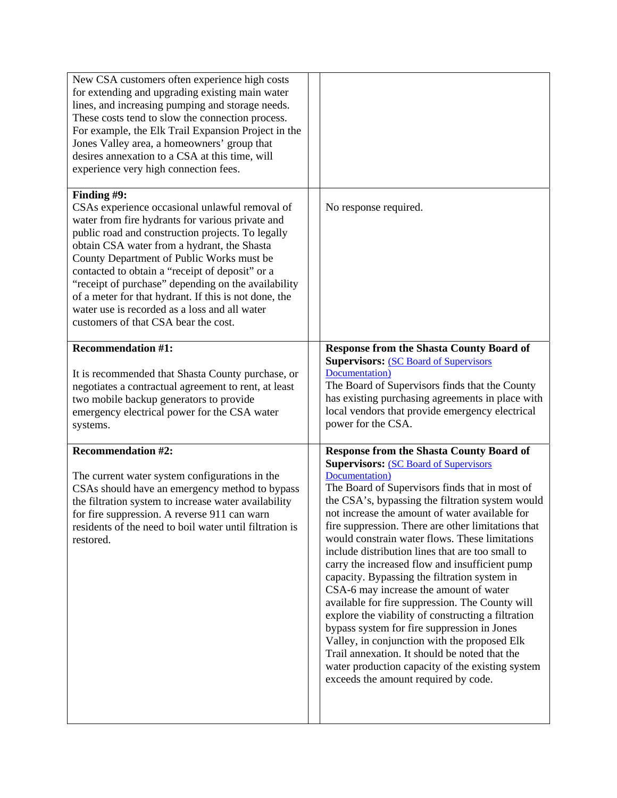| New CSA customers often experience high costs<br>for extending and upgrading existing main water<br>lines, and increasing pumping and storage needs.<br>These costs tend to slow the connection process.<br>For example, the Elk Trail Expansion Project in the<br>Jones Valley area, a homeowners' group that<br>desires annexation to a CSA at this time, will<br>experience very high connection fees.                                                                                                                      |                                                                                                                                                                                                                                                                                                                                                                                                                                                                                                                                                                                                                                                                                                                                                                                                                                                                                                                                         |
|--------------------------------------------------------------------------------------------------------------------------------------------------------------------------------------------------------------------------------------------------------------------------------------------------------------------------------------------------------------------------------------------------------------------------------------------------------------------------------------------------------------------------------|-----------------------------------------------------------------------------------------------------------------------------------------------------------------------------------------------------------------------------------------------------------------------------------------------------------------------------------------------------------------------------------------------------------------------------------------------------------------------------------------------------------------------------------------------------------------------------------------------------------------------------------------------------------------------------------------------------------------------------------------------------------------------------------------------------------------------------------------------------------------------------------------------------------------------------------------|
| Finding #9:<br>CSAs experience occasional unlawful removal of<br>water from fire hydrants for various private and<br>public road and construction projects. To legally<br>obtain CSA water from a hydrant, the Shasta<br>County Department of Public Works must be<br>contacted to obtain a "receipt of deposit" or a<br>"receipt of purchase" depending on the availability<br>of a meter for that hydrant. If this is not done, the<br>water use is recorded as a loss and all water<br>customers of that CSA bear the cost. | No response required.                                                                                                                                                                                                                                                                                                                                                                                                                                                                                                                                                                                                                                                                                                                                                                                                                                                                                                                   |
| <b>Recommendation #1:</b><br>It is recommended that Shasta County purchase, or<br>negotiates a contractual agreement to rent, at least<br>two mobile backup generators to provide<br>emergency electrical power for the CSA water<br>systems.                                                                                                                                                                                                                                                                                  | <b>Response from the Shasta County Board of</b><br><b>Supervisors: (SC Board of Supervisors)</b><br>Documentation)<br>The Board of Supervisors finds that the County<br>has existing purchasing agreements in place with<br>local vendors that provide emergency electrical<br>power for the CSA.                                                                                                                                                                                                                                                                                                                                                                                                                                                                                                                                                                                                                                       |
| <b>Recommendation #2:</b><br>The current water system configurations in the<br>CSAs should have an emergency method to bypass<br>the filtration system to increase water availability<br>for fire suppression. A reverse 911 can warn<br>residents of the need to boil water until filtration is<br>restored.                                                                                                                                                                                                                  | <b>Response from the Shasta County Board of</b><br><b>Supervisors: (SC Board of Supervisors)</b><br>Documentation)<br>The Board of Supervisors finds that in most of<br>the CSA's, bypassing the filtration system would<br>not increase the amount of water available for<br>fire suppression. There are other limitations that<br>would constrain water flows. These limitations<br>include distribution lines that are too small to<br>carry the increased flow and insufficient pump<br>capacity. Bypassing the filtration system in<br>CSA-6 may increase the amount of water<br>available for fire suppression. The County will<br>explore the viability of constructing a filtration<br>bypass system for fire suppression in Jones<br>Valley, in conjunction with the proposed Elk<br>Trail annexation. It should be noted that the<br>water production capacity of the existing system<br>exceeds the amount required by code. |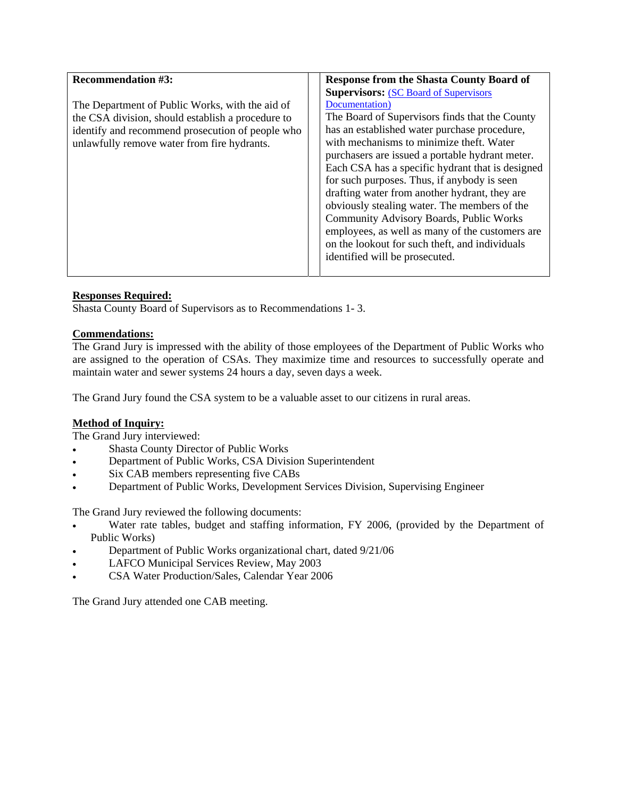| <b>Recommendation #3:</b>                                                                                                                                                                               | <b>Response from the Shasta County Board of</b>                                                                                                                                                                                                                                                                                                                                                                                                                                                                                                                                                                                                        |
|---------------------------------------------------------------------------------------------------------------------------------------------------------------------------------------------------------|--------------------------------------------------------------------------------------------------------------------------------------------------------------------------------------------------------------------------------------------------------------------------------------------------------------------------------------------------------------------------------------------------------------------------------------------------------------------------------------------------------------------------------------------------------------------------------------------------------------------------------------------------------|
| The Department of Public Works, with the aid of<br>the CSA division, should establish a procedure to<br>identify and recommend prosecution of people who<br>unlawfully remove water from fire hydrants. | <b>Supervisors: (SC Board of Supervisors)</b><br>Documentation)<br>The Board of Supervisors finds that the County<br>has an established water purchase procedure,<br>with mechanisms to minimize theft. Water<br>purchasers are issued a portable hydrant meter.<br>Each CSA has a specific hydrant that is designed<br>for such purposes. Thus, if anybody is seen<br>drafting water from another hydrant, they are<br>obviously stealing water. The members of the<br>Community Advisory Boards, Public Works<br>employees, as well as many of the customers are<br>on the lookout for such theft, and individuals<br>identified will be prosecuted. |

# **Responses Required:**

Shasta County Board of Supervisors as to Recommendations 1- 3.

## **Commendations:**

The Grand Jury is impressed with the ability of those employees of the Department of Public Works who are assigned to the operation of CSAs. They maximize time and resources to successfully operate and maintain water and sewer systems 24 hours a day, seven days a week.

The Grand Jury found the CSA system to be a valuable asset to our citizens in rural areas.

### **Method of Inquiry:**

The Grand Jury interviewed:

- Shasta County Director of Public Works
- Department of Public Works, CSA Division Superintendent
- Six CAB members representing five CABs
- Department of Public Works, Development Services Division, Supervising Engineer

The Grand Jury reviewed the following documents:

- Water rate tables, budget and staffing information, FY 2006, (provided by the Department of Public Works)
- Department of Public Works organizational chart, dated 9/21/06
- LAFCO Municipal Services Review, May 2003
- CSA Water Production/Sales, Calendar Year 2006

The Grand Jury attended one CAB meeting.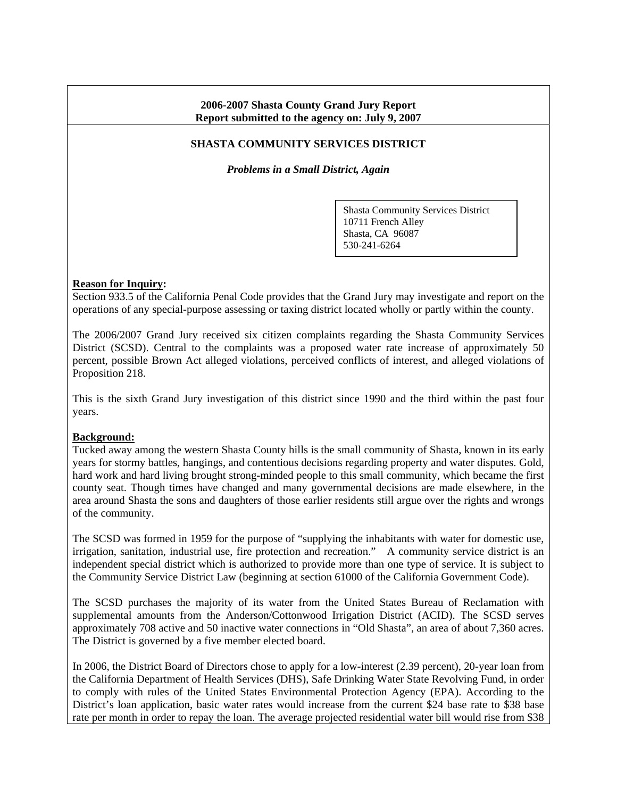## **2006-2007 Shasta County Grand Jury Report Report submitted to the agency on: July 9, 2007**

# **SHASTA COMMUNITY SERVICES DISTRICT**

*Problems in a Small District, Again*

Shasta Community Services District 10711 French Alley Shasta, CA 96087 530-241-6264

### **Reason for Inquiry:**

Section 933.5 of the California Penal Code provides that the Grand Jury may investigate and report on the operations of any special-purpose assessing or taxing district located wholly or partly within the county.

The 2006/2007 Grand Jury received six citizen complaints regarding the Shasta Community Services District (SCSD). Central to the complaints was a proposed water rate increase of approximately 50 percent, possible Brown Act alleged violations, perceived conflicts of interest, and alleged violations of Proposition 218.

This is the sixth Grand Jury investigation of this district since 1990 and the third within the past four years.

### **Background:**

Tucked away among the western Shasta County hills is the small community of Shasta, known in its early years for stormy battles, hangings, and contentious decisions regarding property and water disputes. Gold, hard work and hard living brought strong-minded people to this small community, which became the first county seat. Though times have changed and many governmental decisions are made elsewhere, in the area around Shasta the sons and daughters of those earlier residents still argue over the rights and wrongs of the community.

The SCSD was formed in 1959 for the purpose of "supplying the inhabitants with water for domestic use, irrigation, sanitation, industrial use, fire protection and recreation." A community service district is an independent special district which is authorized to provide more than one type of service. It is subject to the Community Service District Law (beginning at section 61000 of the California Government Code).

The SCSD purchases the majority of its water from the United States Bureau of Reclamation with supplemental amounts from the Anderson/Cottonwood Irrigation District (ACID). The SCSD serves approximately 708 active and 50 inactive water connections in "Old Shasta", an area of about 7,360 acres. The District is governed by a five member elected board.

In 2006, the District Board of Directors chose to apply for a low-interest (2.39 percent), 20-year loan from the California Department of Health Services (DHS), Safe Drinking Water State Revolving Fund, in order to comply with rules of the United States Environmental Protection Agency (EPA). According to the District's loan application, basic water rates would increase from the current \$24 base rate to \$38 base rate per month in order to repay the loan. The average projected residential water bill would rise from \$38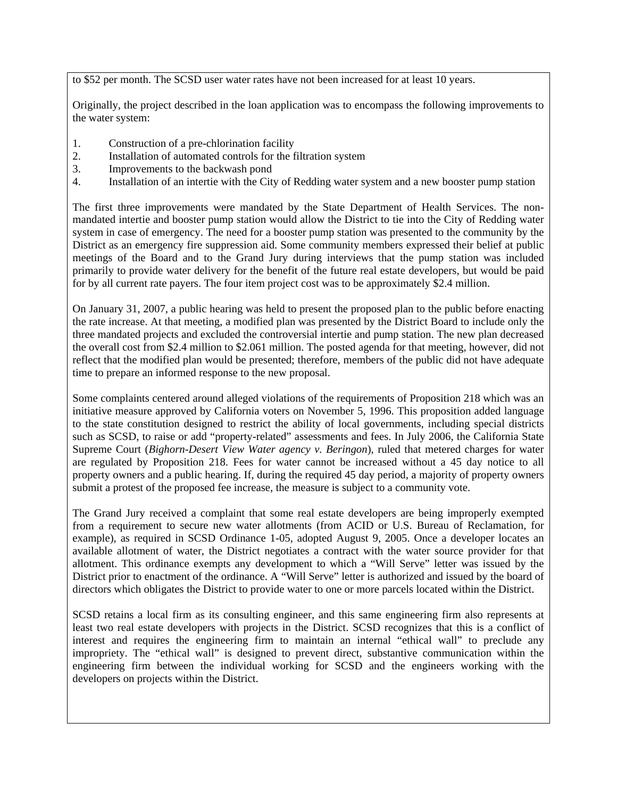to \$52 per month. The SCSD user water rates have not been increased for at least 10 years.

Originally, the project described in the loan application was to encompass the following improvements to the water system:

- 1. Construction of a pre-chlorination facility
- 2. Installation of automated controls for the filtration system
- 3. Improvements to the backwash pond
- 4. Installation of an intertie with the City of Redding water system and a new booster pump station

The first three improvements were mandated by the State Department of Health Services. The nonmandated intertie and booster pump station would allow the District to tie into the City of Redding water system in case of emergency. The need for a booster pump station was presented to the community by the District as an emergency fire suppression aid. Some community members expressed their belief at public meetings of the Board and to the Grand Jury during interviews that the pump station was included primarily to provide water delivery for the benefit of the future real estate developers, but would be paid for by all current rate payers. The four item project cost was to be approximately \$2.4 million.

On January 31, 2007, a public hearing was held to present the proposed plan to the public before enacting the rate increase. At that meeting, a modified plan was presented by the District Board to include only the three mandated projects and excluded the controversial intertie and pump station. The new plan decreased the overall cost from \$2.4 million to \$2.061 million. The posted agenda for that meeting, however, did not reflect that the modified plan would be presented; therefore, members of the public did not have adequate time to prepare an informed response to the new proposal.

Some complaints centered around alleged violations of the requirements of Proposition 218 which was an initiative measure approved by California voters on November 5, 1996. This proposition added language to the state constitution designed to restrict the ability of local governments, including special districts such as SCSD, to raise or add "property-related" assessments and fees. In July 2006, the California State Supreme Court (*Bighorn-Desert View Water agency v. Beringon*), ruled that metered charges for water are regulated by Proposition 218. Fees for water cannot be increased without a 45 day notice to all property owners and a public hearing. If, during the required 45 day period, a majority of property owners submit a protest of the proposed fee increase, the measure is subject to a community vote.

The Grand Jury received a complaint that some real estate developers are being improperly exempted from a requirement to secure new water allotments (from ACID or U.S. Bureau of Reclamation, for example), as required in SCSD Ordinance 1-05, adopted August 9, 2005. Once a developer locates an available allotment of water, the District negotiates a contract with the water source provider for that allotment. This ordinance exempts any development to which a "Will Serve" letter was issued by the District prior to enactment of the ordinance. A "Will Serve" letter is authorized and issued by the board of directors which obligates the District to provide water to one or more parcels located within the District.

SCSD retains a local firm as its consulting engineer, and this same engineering firm also represents at least two real estate developers with projects in the District. SCSD recognizes that this is a conflict of interest and requires the engineering firm to maintain an internal "ethical wall" to preclude any impropriety. The "ethical wall" is designed to prevent direct, substantive communication within the engineering firm between the individual working for SCSD and the engineers working with the developers on projects within the District.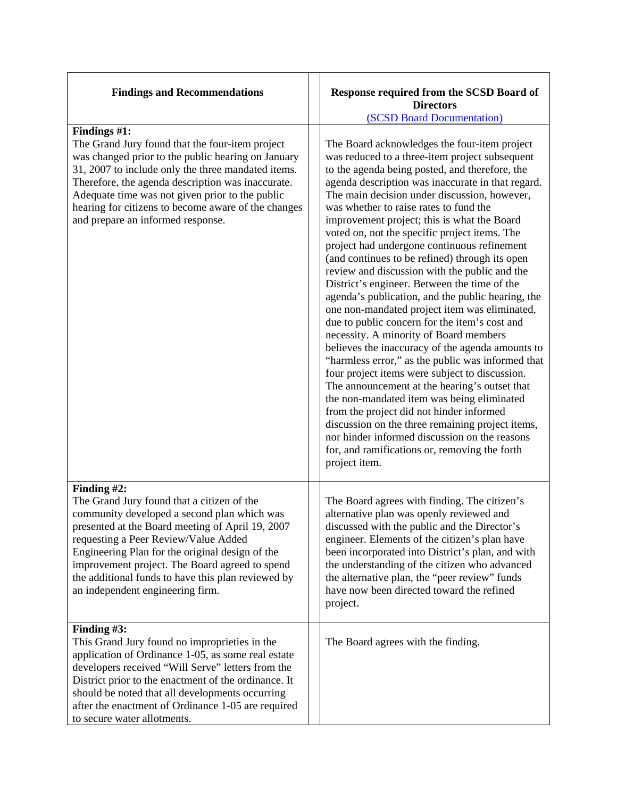| <b>Findings and Recommendations</b>                                                                                                                                                                                                                                                                                                                                                                 | Response required from the SCSD Board of<br><b>Directors</b><br>(SCSD Board Documentation)                                                                                                                                                                                                                                                                                                                                                                                                                                                                                                                                                                                                                                                                                                                                                                                                                                                                                                                                                                                                                                                                                                                                                                                      |
|-----------------------------------------------------------------------------------------------------------------------------------------------------------------------------------------------------------------------------------------------------------------------------------------------------------------------------------------------------------------------------------------------------|---------------------------------------------------------------------------------------------------------------------------------------------------------------------------------------------------------------------------------------------------------------------------------------------------------------------------------------------------------------------------------------------------------------------------------------------------------------------------------------------------------------------------------------------------------------------------------------------------------------------------------------------------------------------------------------------------------------------------------------------------------------------------------------------------------------------------------------------------------------------------------------------------------------------------------------------------------------------------------------------------------------------------------------------------------------------------------------------------------------------------------------------------------------------------------------------------------------------------------------------------------------------------------|
| Findings #1:<br>The Grand Jury found that the four-item project<br>was changed prior to the public hearing on January<br>31, 2007 to include only the three mandated items.<br>Therefore, the agenda description was inaccurate.<br>Adequate time was not given prior to the public<br>hearing for citizens to become aware of the changes<br>and prepare an informed response.                     | The Board acknowledges the four-item project<br>was reduced to a three-item project subsequent<br>to the agenda being posted, and therefore, the<br>agenda description was inaccurate in that regard.<br>The main decision under discussion, however,<br>was whether to raise rates to fund the<br>improvement project; this is what the Board<br>voted on, not the specific project items. The<br>project had undergone continuous refinement<br>(and continues to be refined) through its open<br>review and discussion with the public and the<br>District's engineer. Between the time of the<br>agenda's publication, and the public hearing, the<br>one non-mandated project item was eliminated,<br>due to public concern for the item's cost and<br>necessity. A minority of Board members<br>believes the inaccuracy of the agenda amounts to<br>"harmless error," as the public was informed that<br>four project items were subject to discussion.<br>The announcement at the hearing's outset that<br>the non-mandated item was being eliminated<br>from the project did not hinder informed<br>discussion on the three remaining project items,<br>nor hinder informed discussion on the reasons<br>for, and ramifications or, removing the forth<br>project item. |
| Finding #2:<br>The Grand Jury found that a citizen of the<br>community developed a second plan which was<br>presented at the Board meeting of April 19, 2007<br>requesting a Peer Review/Value Added<br>Engineering Plan for the original design of the<br>improvement project. The Board agreed to spend<br>the additional funds to have this plan reviewed by<br>an independent engineering firm. | The Board agrees with finding. The citizen's<br>alternative plan was openly reviewed and<br>discussed with the public and the Director's<br>engineer. Elements of the citizen's plan have<br>been incorporated into District's plan, and with<br>the understanding of the citizen who advanced<br>the alternative plan, the "peer review" funds<br>have now been directed toward the refined<br>project.                                                                                                                                                                                                                                                                                                                                                                                                                                                                                                                                                                                                                                                                                                                                                                                                                                                                        |
| Finding #3:<br>This Grand Jury found no improprieties in the<br>application of Ordinance 1-05, as some real estate<br>developers received "Will Serve" letters from the<br>District prior to the enactment of the ordinance. It<br>should be noted that all developments occurring<br>after the enactment of Ordinance 1-05 are required<br>to secure water allotments.                             | The Board agrees with the finding.                                                                                                                                                                                                                                                                                                                                                                                                                                                                                                                                                                                                                                                                                                                                                                                                                                                                                                                                                                                                                                                                                                                                                                                                                                              |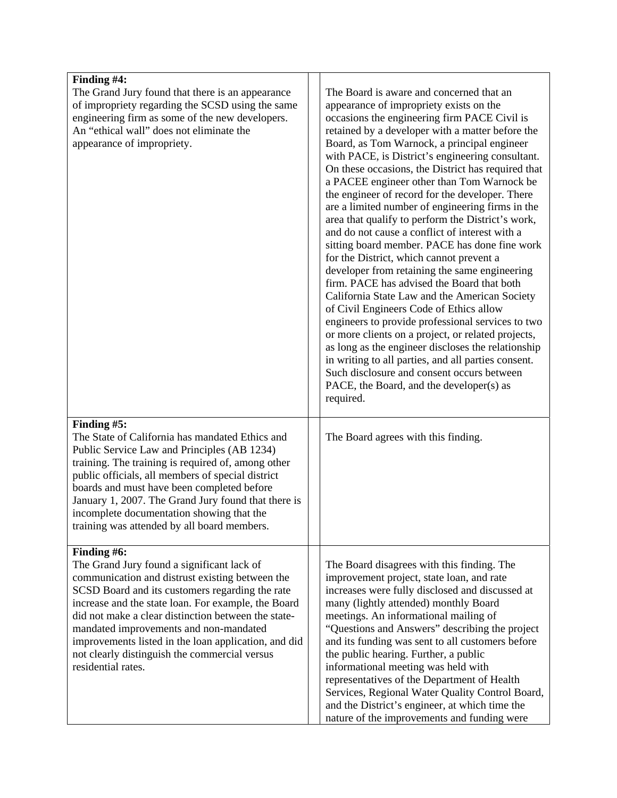| Finding #4:                                                                                                                                                                                                                                                                                                                                                                                                                                            |                                                                                                                                                                                                                                                                                                                                                                                                                                                                                                                                                                                                                                                                                                                                                                                                                                                                                                                                                                                                                                                                                                                                                                                                                                     |
|--------------------------------------------------------------------------------------------------------------------------------------------------------------------------------------------------------------------------------------------------------------------------------------------------------------------------------------------------------------------------------------------------------------------------------------------------------|-------------------------------------------------------------------------------------------------------------------------------------------------------------------------------------------------------------------------------------------------------------------------------------------------------------------------------------------------------------------------------------------------------------------------------------------------------------------------------------------------------------------------------------------------------------------------------------------------------------------------------------------------------------------------------------------------------------------------------------------------------------------------------------------------------------------------------------------------------------------------------------------------------------------------------------------------------------------------------------------------------------------------------------------------------------------------------------------------------------------------------------------------------------------------------------------------------------------------------------|
| The Grand Jury found that there is an appearance<br>of impropriety regarding the SCSD using the same<br>engineering firm as some of the new developers.<br>An "ethical wall" does not eliminate the<br>appearance of impropriety.                                                                                                                                                                                                                      | The Board is aware and concerned that an<br>appearance of impropriety exists on the<br>occasions the engineering firm PACE Civil is<br>retained by a developer with a matter before the<br>Board, as Tom Warnock, a principal engineer<br>with PACE, is District's engineering consultant.<br>On these occasions, the District has required that<br>a PACEE engineer other than Tom Warnock be<br>the engineer of record for the developer. There<br>are a limited number of engineering firms in the<br>area that qualify to perform the District's work,<br>and do not cause a conflict of interest with a<br>sitting board member. PACE has done fine work<br>for the District, which cannot prevent a<br>developer from retaining the same engineering<br>firm. PACE has advised the Board that both<br>California State Law and the American Society<br>of Civil Engineers Code of Ethics allow<br>engineers to provide professional services to two<br>or more clients on a project, or related projects,<br>as long as the engineer discloses the relationship<br>in writing to all parties, and all parties consent.<br>Such disclosure and consent occurs between<br>PACE, the Board, and the developer(s) as<br>required. |
| Finding #5:<br>The State of California has mandated Ethics and<br>Public Service Law and Principles (AB 1234)<br>training. The training is required of, among other<br>public officials, all members of special district<br>boards and must have been completed before<br>January 1, 2007. The Grand Jury found that there is<br>incomplete documentation showing that the<br>training was attended by all board members.                              | The Board agrees with this finding.                                                                                                                                                                                                                                                                                                                                                                                                                                                                                                                                                                                                                                                                                                                                                                                                                                                                                                                                                                                                                                                                                                                                                                                                 |
| Finding #6:<br>The Grand Jury found a significant lack of<br>communication and distrust existing between the<br>SCSD Board and its customers regarding the rate<br>increase and the state loan. For example, the Board<br>did not make a clear distinction between the state-<br>mandated improvements and non-mandated<br>improvements listed in the loan application, and did<br>not clearly distinguish the commercial versus<br>residential rates. | The Board disagrees with this finding. The<br>improvement project, state loan, and rate<br>increases were fully disclosed and discussed at<br>many (lightly attended) monthly Board<br>meetings. An informational mailing of<br>"Questions and Answers" describing the project<br>and its funding was sent to all customers before<br>the public hearing. Further, a public<br>informational meeting was held with<br>representatives of the Department of Health<br>Services, Regional Water Quality Control Board,<br>and the District's engineer, at which time the<br>nature of the improvements and funding were                                                                                                                                                                                                                                                                                                                                                                                                                                                                                                                                                                                                               |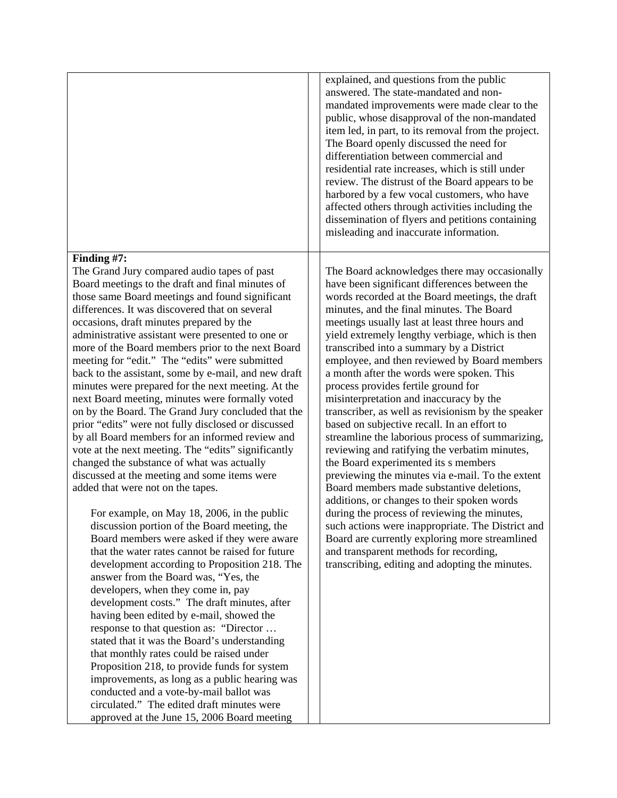|                                                                                                                                                                                                                                                                                                                                                                                                                                                                                                                                                                                                                                                                                                                                                                                                                                                                                                                                                                                                                                                                                                                                                                                                                                                                                                                                                                                                                                                                                                                                                                                                                                                                                                                                                                     | explained, and questions from the public<br>answered. The state-mandated and non-<br>mandated improvements were made clear to the<br>public, whose disapproval of the non-mandated<br>item led, in part, to its removal from the project.<br>The Board openly discussed the need for<br>differentiation between commercial and<br>residential rate increases, which is still under<br>review. The distrust of the Board appears to be<br>harbored by a few vocal customers, who have<br>affected others through activities including the<br>dissemination of flyers and petitions containing<br>misleading and inaccurate information.                                                                                                                                                                                                                                                                                                                                                                                                                                                                                                                                               |
|---------------------------------------------------------------------------------------------------------------------------------------------------------------------------------------------------------------------------------------------------------------------------------------------------------------------------------------------------------------------------------------------------------------------------------------------------------------------------------------------------------------------------------------------------------------------------------------------------------------------------------------------------------------------------------------------------------------------------------------------------------------------------------------------------------------------------------------------------------------------------------------------------------------------------------------------------------------------------------------------------------------------------------------------------------------------------------------------------------------------------------------------------------------------------------------------------------------------------------------------------------------------------------------------------------------------------------------------------------------------------------------------------------------------------------------------------------------------------------------------------------------------------------------------------------------------------------------------------------------------------------------------------------------------------------------------------------------------------------------------------------------------|--------------------------------------------------------------------------------------------------------------------------------------------------------------------------------------------------------------------------------------------------------------------------------------------------------------------------------------------------------------------------------------------------------------------------------------------------------------------------------------------------------------------------------------------------------------------------------------------------------------------------------------------------------------------------------------------------------------------------------------------------------------------------------------------------------------------------------------------------------------------------------------------------------------------------------------------------------------------------------------------------------------------------------------------------------------------------------------------------------------------------------------------------------------------------------------|
| Finding #7:<br>The Grand Jury compared audio tapes of past<br>Board meetings to the draft and final minutes of<br>those same Board meetings and found significant<br>differences. It was discovered that on several<br>occasions, draft minutes prepared by the<br>administrative assistant were presented to one or<br>more of the Board members prior to the next Board<br>meeting for "edit." The "edits" were submitted<br>back to the assistant, some by e-mail, and new draft<br>minutes were prepared for the next meeting. At the<br>next Board meeting, minutes were formally voted<br>on by the Board. The Grand Jury concluded that the<br>prior "edits" were not fully disclosed or discussed<br>by all Board members for an informed review and<br>vote at the next meeting. The "edits" significantly<br>changed the substance of what was actually<br>discussed at the meeting and some items were<br>added that were not on the tapes.<br>For example, on May 18, 2006, in the public<br>discussion portion of the Board meeting, the<br>Board members were asked if they were aware<br>that the water rates cannot be raised for future<br>development according to Proposition 218. The<br>answer from the Board was, "Yes, the<br>developers, when they come in, pay<br>development costs." The draft minutes, after<br>having been edited by e-mail, showed the<br>response to that question as: "Director<br>stated that it was the Board's understanding<br>that monthly rates could be raised under<br>Proposition 218, to provide funds for system<br>improvements, as long as a public hearing was<br>conducted and a vote-by-mail ballot was<br>circulated." The edited draft minutes were<br>approved at the June 15, 2006 Board meeting | The Board acknowledges there may occasionally<br>have been significant differences between the<br>words recorded at the Board meetings, the draft<br>minutes, and the final minutes. The Board<br>meetings usually last at least three hours and<br>yield extremely lengthy verbiage, which is then<br>transcribed into a summary by a District<br>employee, and then reviewed by Board members<br>a month after the words were spoken. This<br>process provides fertile ground for<br>misinterpretation and inaccuracy by the<br>transcriber, as well as revisionism by the speaker<br>based on subjective recall. In an effort to<br>streamline the laborious process of summarizing,<br>reviewing and ratifying the verbatim minutes,<br>the Board experimented its s members<br>previewing the minutes via e-mail. To the extent<br>Board members made substantive deletions,<br>additions, or changes to their spoken words<br>during the process of reviewing the minutes,<br>such actions were inappropriate. The District and<br>Board are currently exploring more streamlined<br>and transparent methods for recording,<br>transcribing, editing and adopting the minutes. |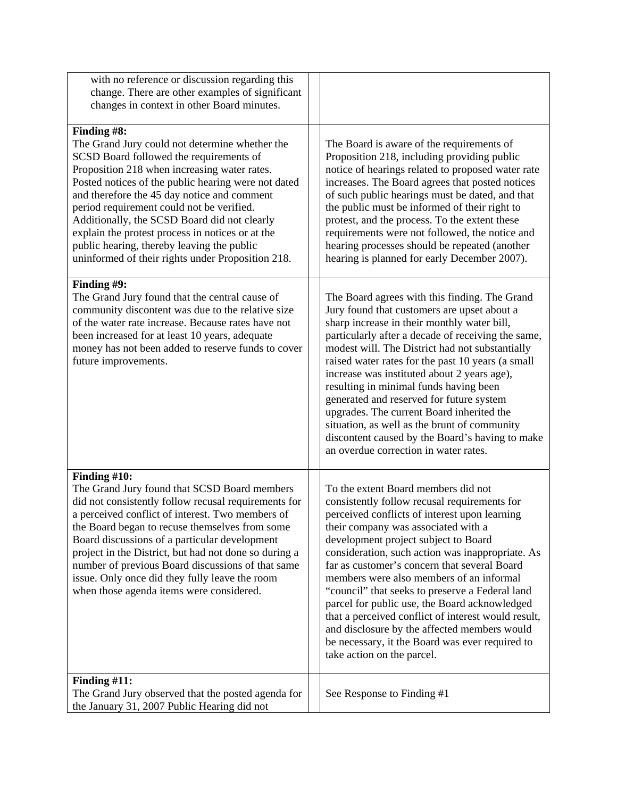| with no reference or discussion regarding this<br>change. There are other examples of significant<br>changes in context in other Board minutes.                                                                                                                                                                                                                                                                                                                                                                    |                                                                                                                                                                                                                                                                                                                                                                                                                                                                                                                                                                                                                                                                 |
|--------------------------------------------------------------------------------------------------------------------------------------------------------------------------------------------------------------------------------------------------------------------------------------------------------------------------------------------------------------------------------------------------------------------------------------------------------------------------------------------------------------------|-----------------------------------------------------------------------------------------------------------------------------------------------------------------------------------------------------------------------------------------------------------------------------------------------------------------------------------------------------------------------------------------------------------------------------------------------------------------------------------------------------------------------------------------------------------------------------------------------------------------------------------------------------------------|
| Finding #8:<br>The Grand Jury could not determine whether the<br>SCSD Board followed the requirements of<br>Proposition 218 when increasing water rates.<br>Posted notices of the public hearing were not dated<br>and therefore the 45 day notice and comment<br>period requirement could not be verified.<br>Additionally, the SCSD Board did not clearly<br>explain the protest process in notices or at the<br>public hearing, thereby leaving the public<br>uninformed of their rights under Proposition 218. | The Board is aware of the requirements of<br>Proposition 218, including providing public<br>notice of hearings related to proposed water rate<br>increases. The Board agrees that posted notices<br>of such public hearings must be dated, and that<br>the public must be informed of their right to<br>protest, and the process. To the extent these<br>requirements were not followed, the notice and<br>hearing processes should be repeated (another<br>hearing is planned for early December 2007).                                                                                                                                                        |
| Finding #9:<br>The Grand Jury found that the central cause of<br>community discontent was due to the relative size<br>of the water rate increase. Because rates have not<br>been increased for at least 10 years, adequate<br>money has not been added to reserve funds to cover<br>future improvements.                                                                                                                                                                                                           | The Board agrees with this finding. The Grand<br>Jury found that customers are upset about a<br>sharp increase in their monthly water bill,<br>particularly after a decade of receiving the same,<br>modest will. The District had not substantially<br>raised water rates for the past 10 years (a small<br>increase was instituted about 2 years age),<br>resulting in minimal funds having been<br>generated and reserved for future system<br>upgrades. The current Board inherited the<br>situation, as well as the brunt of community<br>discontent caused by the Board's having to make<br>an overdue correction in water rates.                         |
| Finding #10:<br>The Grand Jury found that SCSD Board members<br>did not consistently follow recusal requirements for<br>a perceived conflict of interest. Two members of<br>the Board began to recuse themselves from some<br>Board discussions of a particular development<br>project in the District, but had not done so during a<br>number of previous Board discussions of that same<br>issue. Only once did they fully leave the room<br>when those agenda items were considered.                            | To the extent Board members did not<br>consistently follow recusal requirements for<br>perceived conflicts of interest upon learning<br>their company was associated with a<br>development project subject to Board<br>consideration, such action was inappropriate. As<br>far as customer's concern that several Board<br>members were also members of an informal<br>"council" that seeks to preserve a Federal land<br>parcel for public use, the Board acknowledged<br>that a perceived conflict of interest would result,<br>and disclosure by the affected members would<br>be necessary, it the Board was ever required to<br>take action on the parcel. |
| Finding #11:<br>The Grand Jury observed that the posted agenda for<br>the January 31, 2007 Public Hearing did not                                                                                                                                                                                                                                                                                                                                                                                                  | See Response to Finding #1                                                                                                                                                                                                                                                                                                                                                                                                                                                                                                                                                                                                                                      |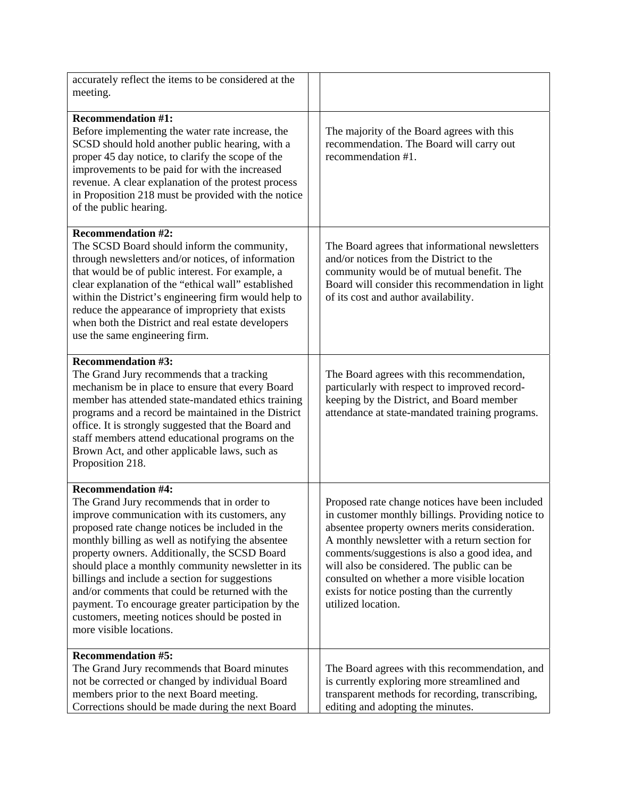| accurately reflect the items to be considered at the                                                                                                                                                                                                                                                                                                                                                                                                                                                                                                                            |                                                                                                                                                                                                                                                                                                                                                                                                                               |
|---------------------------------------------------------------------------------------------------------------------------------------------------------------------------------------------------------------------------------------------------------------------------------------------------------------------------------------------------------------------------------------------------------------------------------------------------------------------------------------------------------------------------------------------------------------------------------|-------------------------------------------------------------------------------------------------------------------------------------------------------------------------------------------------------------------------------------------------------------------------------------------------------------------------------------------------------------------------------------------------------------------------------|
| meeting.                                                                                                                                                                                                                                                                                                                                                                                                                                                                                                                                                                        |                                                                                                                                                                                                                                                                                                                                                                                                                               |
| <b>Recommendation #1:</b><br>Before implementing the water rate increase, the<br>SCSD should hold another public hearing, with a<br>proper 45 day notice, to clarify the scope of the<br>improvements to be paid for with the increased<br>revenue. A clear explanation of the protest process<br>in Proposition 218 must be provided with the notice<br>of the public hearing.                                                                                                                                                                                                 | The majority of the Board agrees with this<br>recommendation. The Board will carry out<br>recommendation #1.                                                                                                                                                                                                                                                                                                                  |
| <b>Recommendation #2:</b><br>The SCSD Board should inform the community,<br>through newsletters and/or notices, of information<br>that would be of public interest. For example, a<br>clear explanation of the "ethical wall" established<br>within the District's engineering firm would help to<br>reduce the appearance of impropriety that exists<br>when both the District and real estate developers<br>use the same engineering firm.                                                                                                                                    | The Board agrees that informational newsletters<br>and/or notices from the District to the<br>community would be of mutual benefit. The<br>Board will consider this recommendation in light<br>of its cost and author availability.                                                                                                                                                                                           |
| <b>Recommendation #3:</b><br>The Grand Jury recommends that a tracking<br>mechanism be in place to ensure that every Board<br>member has attended state-mandated ethics training<br>programs and a record be maintained in the District<br>office. It is strongly suggested that the Board and<br>staff members attend educational programs on the<br>Brown Act, and other applicable laws, such as<br>Proposition 218.                                                                                                                                                         | The Board agrees with this recommendation,<br>particularly with respect to improved record-<br>keeping by the District, and Board member<br>attendance at state-mandated training programs.                                                                                                                                                                                                                                   |
| <b>Recommendation #4:</b><br>The Grand Jury recommends that in order to<br>improve communication with its customers, any<br>proposed rate change notices be included in the<br>monthly billing as well as notifying the absentee<br>property owners. Additionally, the SCSD Board<br>should place a monthly community newsletter in its<br>billings and include a section for suggestions<br>and/or comments that could be returned with the<br>payment. To encourage greater participation by the<br>customers, meeting notices should be posted in<br>more visible locations. | Proposed rate change notices have been included<br>in customer monthly billings. Providing notice to<br>absentee property owners merits consideration.<br>A monthly newsletter with a return section for<br>comments/suggestions is also a good idea, and<br>will also be considered. The public can be<br>consulted on whether a more visible location<br>exists for notice posting than the currently<br>utilized location. |
| <b>Recommendation #5:</b><br>The Grand Jury recommends that Board minutes<br>not be corrected or changed by individual Board<br>members prior to the next Board meeting.<br>Corrections should be made during the next Board                                                                                                                                                                                                                                                                                                                                                    | The Board agrees with this recommendation, and<br>is currently exploring more streamlined and<br>transparent methods for recording, transcribing,<br>editing and adopting the minutes.                                                                                                                                                                                                                                        |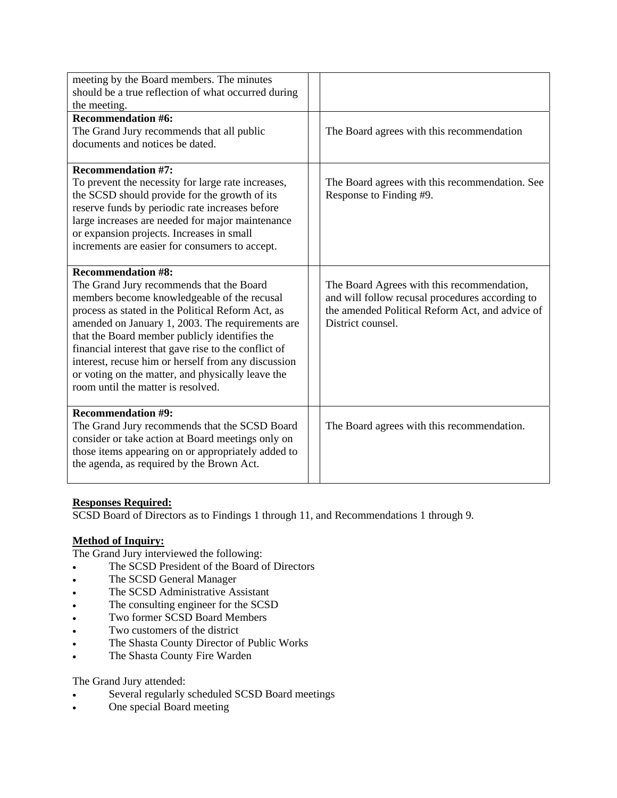| meeting by the Board members. The minutes<br>should be a true reflection of what occurred during<br>the meeting.                                                                                                                                                                                                                                                                                                                                                                         |                                                                                                                                                                       |
|------------------------------------------------------------------------------------------------------------------------------------------------------------------------------------------------------------------------------------------------------------------------------------------------------------------------------------------------------------------------------------------------------------------------------------------------------------------------------------------|-----------------------------------------------------------------------------------------------------------------------------------------------------------------------|
| <b>Recommendation #6:</b><br>The Grand Jury recommends that all public<br>documents and notices be dated.                                                                                                                                                                                                                                                                                                                                                                                | The Board agrees with this recommendation                                                                                                                             |
| <b>Recommendation #7:</b><br>To prevent the necessity for large rate increases,<br>the SCSD should provide for the growth of its<br>reserve funds by periodic rate increases before<br>large increases are needed for major maintenance<br>or expansion projects. Increases in small<br>increments are easier for consumers to accept.                                                                                                                                                   | The Board agrees with this recommendation. See<br>Response to Finding #9.                                                                                             |
| <b>Recommendation #8:</b><br>The Grand Jury recommends that the Board<br>members become knowledgeable of the recusal<br>process as stated in the Political Reform Act, as<br>amended on January 1, 2003. The requirements are<br>that the Board member publicly identifies the<br>financial interest that gave rise to the conflict of<br>interest, recuse him or herself from any discussion<br>or voting on the matter, and physically leave the<br>room until the matter is resolved. | The Board Agrees with this recommendation,<br>and will follow recusal procedures according to<br>the amended Political Reform Act, and advice of<br>District counsel. |
| <b>Recommendation #9:</b><br>The Grand Jury recommends that the SCSD Board<br>consider or take action at Board meetings only on<br>those items appearing on or appropriately added to<br>the agenda, as required by the Brown Act.                                                                                                                                                                                                                                                       | The Board agrees with this recommendation.                                                                                                                            |

# **Responses Required:**

SCSD Board of Directors as to Findings 1 through 11, and Recommendations 1 through 9.

# **Method of Inquiry:**

The Grand Jury interviewed the following:

- The SCSD President of the Board of Directors
- The SCSD General Manager
- The SCSD Administrative Assistant
- The consulting engineer for the SCSD
- Two former SCSD Board Members
- Two customers of the district
- The Shasta County Director of Public Works
- The Shasta County Fire Warden

### The Grand Jury attended:

- Several regularly scheduled SCSD Board meetings
- One special Board meeting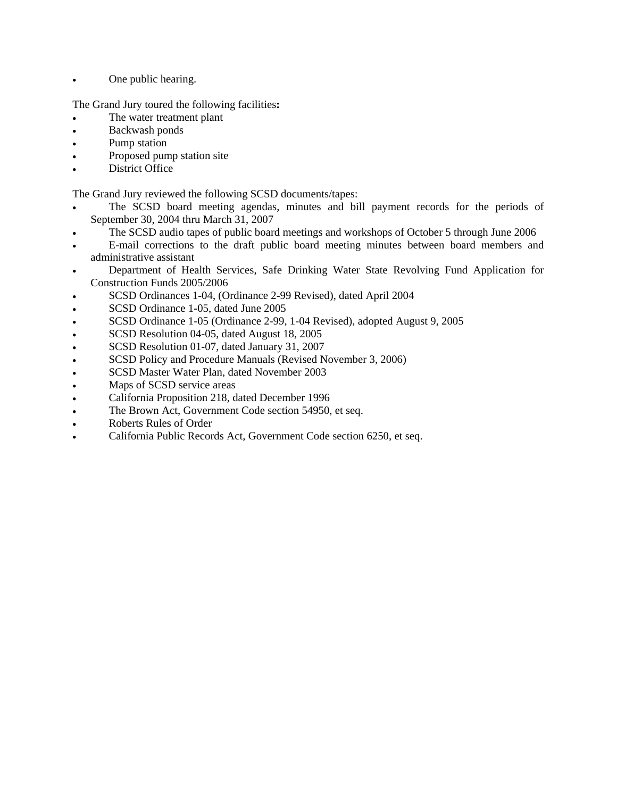• One public hearing.

The Grand Jury toured the following facilities**:** 

- The water treatment plant
- Backwash ponds
- Pump station
- Proposed pump station site
- District Office

The Grand Jury reviewed the following SCSD documents/tapes:

- The SCSD board meeting agendas, minutes and bill payment records for the periods of September 30, 2004 thru March 31, 2007
- The SCSD audio tapes of public board meetings and workshops of October 5 through June 2006
- E-mail corrections to the draft public board meeting minutes between board members and administrative assistant
- Department of Health Services, Safe Drinking Water State Revolving Fund Application for Construction Funds 2005/2006
- SCSD Ordinances 1-04, (Ordinance 2-99 Revised), dated April 2004
- SCSD Ordinance 1-05, dated June 2005
- SCSD Ordinance 1-05 (Ordinance 2-99, 1-04 Revised), adopted August 9, 2005
- SCSD Resolution 04-05, dated August 18, 2005
- SCSD Resolution 01-07, dated January 31, 2007
- SCSD Policy and Procedure Manuals (Revised November 3, 2006)
- SCSD Master Water Plan, dated November 2003
- Maps of SCSD service areas
- California Proposition 218, dated December 1996
- The Brown Act, Government Code section 54950, et seq.
- Roberts Rules of Order
- California Public Records Act, Government Code section 6250, et seq.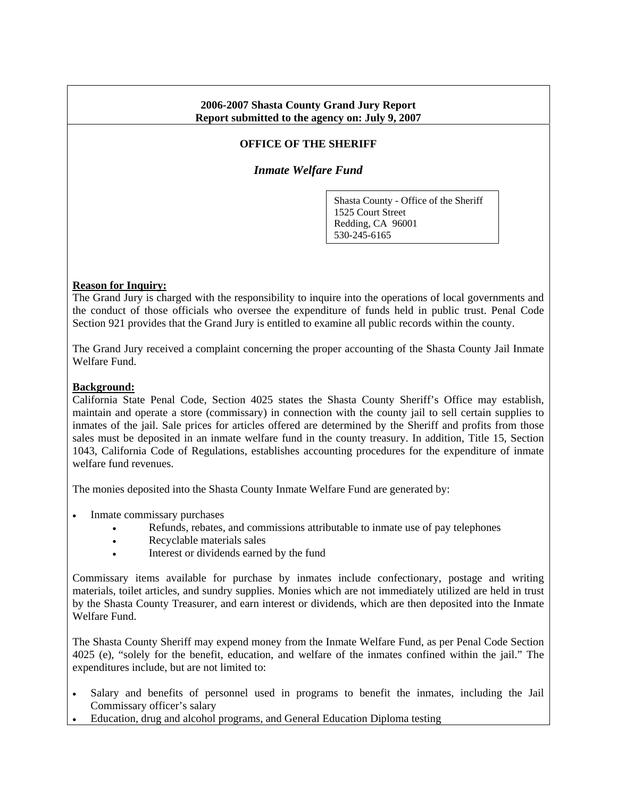## **2006-2007 Shasta County Grand Jury Report Report submitted to the agency on: July 9, 2007**

# **OFFICE OF THE SHERIFF**

*Inmate Welfare Fund* 

Shasta County - Office of the Sheriff 1525 Court Street Redding, CA 96001 530-245-6165

### **Reason for Inquiry:**

The Grand Jury is charged with the responsibility to inquire into the operations of local governments and the conduct of those officials who oversee the expenditure of funds held in public trust. Penal Code Section 921 provides that the Grand Jury is entitled to examine all public records within the county.

The Grand Jury received a complaint concerning the proper accounting of the Shasta County Jail Inmate Welfare Fund.

### **Background:**

California State Penal Code, Section 4025 states the Shasta County Sheriff's Office may establish, maintain and operate a store (commissary) in connection with the county jail to sell certain supplies to inmates of the jail. Sale prices for articles offered are determined by the Sheriff and profits from those sales must be deposited in an inmate welfare fund in the county treasury. In addition, Title 15, Section 1043, California Code of Regulations, establishes accounting procedures for the expenditure of inmate welfare fund revenues.

The monies deposited into the Shasta County Inmate Welfare Fund are generated by:

- Inmate commissary purchases
	- Refunds, rebates, and commissions attributable to inmate use of pay telephones
	- Recyclable materials sales
	- Interest or dividends earned by the fund

Commissary items available for purchase by inmates include confectionary, postage and writing materials, toilet articles, and sundry supplies. Monies which are not immediately utilized are held in trust by the Shasta County Treasurer, and earn interest or dividends, which are then deposited into the Inmate Welfare Fund.

The Shasta County Sheriff may expend money from the Inmate Welfare Fund, as per Penal Code Section 4025 (e), "solely for the benefit, education, and welfare of the inmates confined within the jail." The expenditures include, but are not limited to:

- Salary and benefits of personnel used in programs to benefit the inmates, including the Jail Commissary officer's salary
- Education, drug and alcohol programs, and General Education Diploma testing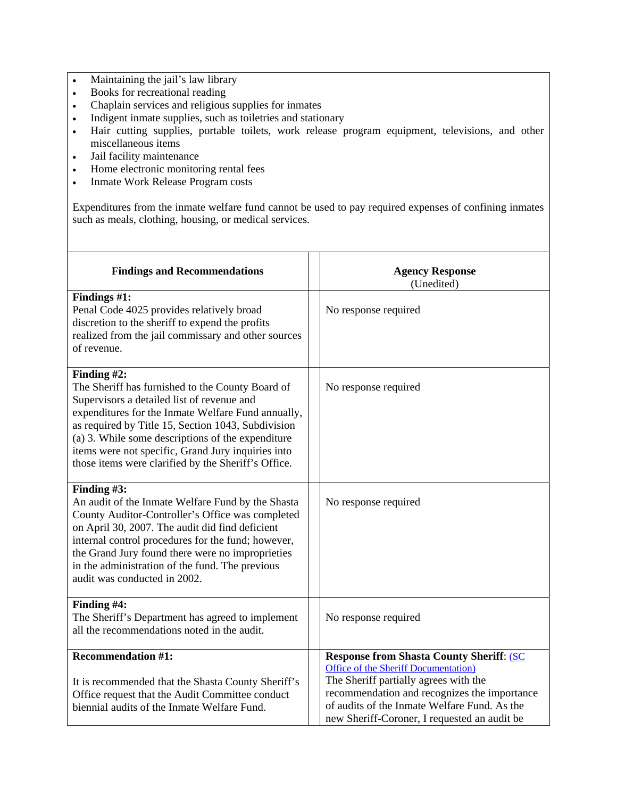- Maintaining the jail's law library
- Books for recreational reading
- Chaplain services and religious supplies for inmates
- Indigent inmate supplies, such as toiletries and stationary
- Hair cutting supplies, portable toilets, work release program equipment, televisions, and other miscellaneous items
- Jail facility maintenance
- Home electronic monitoring rental fees
- Inmate Work Release Program costs

Expenditures from the inmate welfare fund cannot be used to pay required expenses of confining inmates such as meals, clothing, housing, or medical services.

| <b>Findings and Recommendations</b>                                                                                                                                                                                                                                                                                                                                                         | <b>Agency Response</b><br>(Unedited)                                                                                                                                                                                                                                              |
|---------------------------------------------------------------------------------------------------------------------------------------------------------------------------------------------------------------------------------------------------------------------------------------------------------------------------------------------------------------------------------------------|-----------------------------------------------------------------------------------------------------------------------------------------------------------------------------------------------------------------------------------------------------------------------------------|
| Findings #1:<br>Penal Code 4025 provides relatively broad<br>discretion to the sheriff to expend the profits<br>realized from the jail commissary and other sources<br>of revenue.                                                                                                                                                                                                          | No response required                                                                                                                                                                                                                                                              |
| Finding #2:<br>The Sheriff has furnished to the County Board of<br>Supervisors a detailed list of revenue and<br>expenditures for the Inmate Welfare Fund annually,<br>as required by Title 15, Section 1043, Subdivision<br>(a) 3. While some descriptions of the expenditure<br>items were not specific, Grand Jury inquiries into<br>those items were clarified by the Sheriff's Office. | No response required                                                                                                                                                                                                                                                              |
| Finding #3:<br>An audit of the Inmate Welfare Fund by the Shasta<br>County Auditor-Controller's Office was completed<br>on April 30, 2007. The audit did find deficient<br>internal control procedures for the fund; however,<br>the Grand Jury found there were no improprieties<br>in the administration of the fund. The previous<br>audit was conducted in 2002.                        | No response required                                                                                                                                                                                                                                                              |
| Finding #4:<br>The Sheriff's Department has agreed to implement<br>all the recommendations noted in the audit.                                                                                                                                                                                                                                                                              | No response required                                                                                                                                                                                                                                                              |
| <b>Recommendation #1:</b><br>It is recommended that the Shasta County Sheriff's<br>Office request that the Audit Committee conduct<br>biennial audits of the Inmate Welfare Fund.                                                                                                                                                                                                           | <b>Response from Shasta County Sheriff: (SC)</b><br>Office of the Sheriff Documentation)<br>The Sheriff partially agrees with the<br>recommendation and recognizes the importance<br>of audits of the Inmate Welfare Fund. As the<br>new Sheriff-Coroner, I requested an audit be |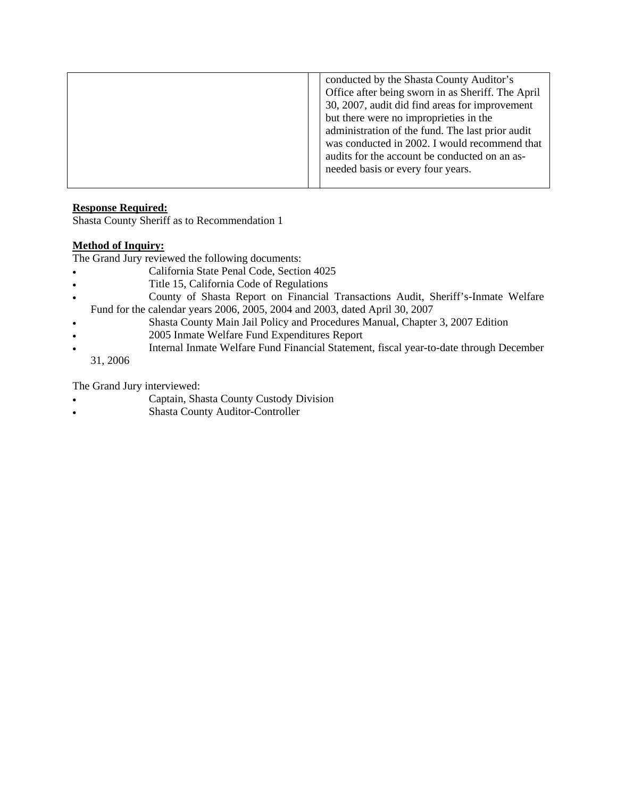| conducted by the Shasta County Auditor's<br>Office after being sworn in as Sheriff. The April<br>30, 2007, audit did find areas for improvement<br>but there were no improprieties in the<br>administration of the fund. The last prior audit<br>was conducted in 2002. I would recommend that<br>audits for the account be conducted on an as-<br>needed basis or every four years. |
|--------------------------------------------------------------------------------------------------------------------------------------------------------------------------------------------------------------------------------------------------------------------------------------------------------------------------------------------------------------------------------------|
|                                                                                                                                                                                                                                                                                                                                                                                      |

# **Response Required:**

Shasta County Sheriff as to Recommendation 1

## **Method of Inquiry:**

The Grand Jury reviewed the following documents:

- California State Penal Code, Section 4025
- Title 15, California Code of Regulations
- County of Shasta Report on Financial Transactions Audit, Sheriff's-Inmate Welfare Fund for the calendar years 2006, 2005, 2004 and 2003, dated April 30, 2007
- Shasta County Main Jail Policy and Procedures Manual, Chapter 3, 2007 Edition
- 2005 Inmate Welfare Fund Expenditures Report
- Internal Inmate Welfare Fund Financial Statement, fiscal year-to-date through December 31, 2006

The Grand Jury interviewed:

- Captain, Shasta County Custody Division
- Shasta County Auditor-Controller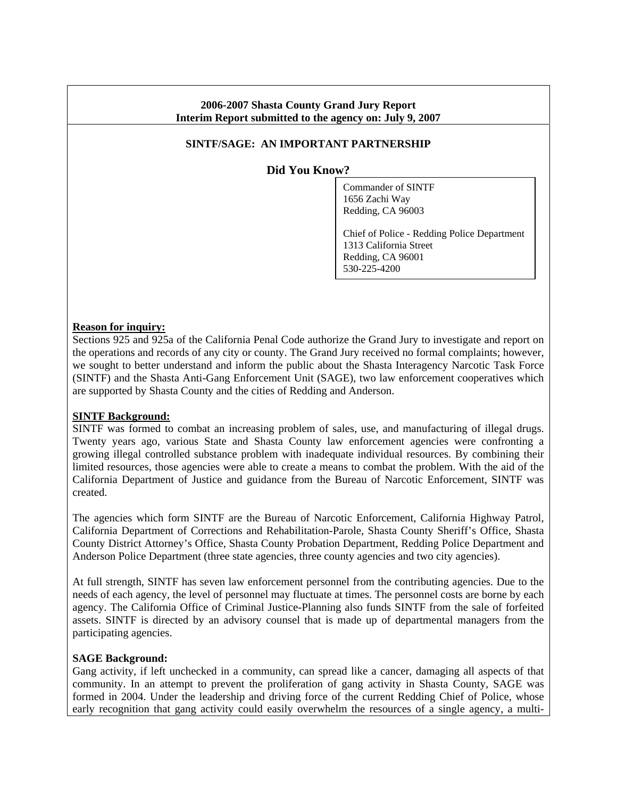# **2006-2007 Shasta County Grand Jury Report Interim Report submitted to the agency on: July 9, 2007**

# **SINTF/SAGE: AN IMPORTANT PARTNERSHIP**

**Did You Know?**

Commander of SINTF 1656 Zachi Way Redding, CA 96003

Chief of Police - Redding Police Department 1313 California Street Redding, CA 96001 530-225-4200

### **Reason for inquiry:**

Sections 925 and 925a of the California Penal Code authorize the Grand Jury to investigate and report on the operations and records of any city or county. The Grand Jury received no formal complaints; however, we sought to better understand and inform the public about the Shasta Interagency Narcotic Task Force (SINTF) and the Shasta Anti-Gang Enforcement Unit (SAGE), two law enforcement cooperatives which are supported by Shasta County and the cities of Redding and Anderson.

### **SINTF Background:**

SINTF was formed to combat an increasing problem of sales, use, and manufacturing of illegal drugs. Twenty years ago, various State and Shasta County law enforcement agencies were confronting a growing illegal controlled substance problem with inadequate individual resources. By combining their limited resources, those agencies were able to create a means to combat the problem. With the aid of the California Department of Justice and guidance from the Bureau of Narcotic Enforcement, SINTF was created.

The agencies which form SINTF are the Bureau of Narcotic Enforcement, California Highway Patrol, California Department of Corrections and Rehabilitation-Parole, Shasta County Sheriff's Office, Shasta County District Attorney's Office, Shasta County Probation Department, Redding Police Department and Anderson Police Department (three state agencies, three county agencies and two city agencies).

At full strength, SINTF has seven law enforcement personnel from the contributing agencies. Due to the needs of each agency, the level of personnel may fluctuate at times. The personnel costs are borne by each agency. The California Office of Criminal Justice-Planning also funds SINTF from the sale of forfeited assets. SINTF is directed by an advisory counsel that is made up of departmental managers from the participating agencies.

### **SAGE Background:**

Gang activity, if left unchecked in a community, can spread like a cancer, damaging all aspects of that community. In an attempt to prevent the proliferation of gang activity in Shasta County, SAGE was formed in 2004. Under the leadership and driving force of the current Redding Chief of Police, whose early recognition that gang activity could easily overwhelm the resources of a single agency, a multi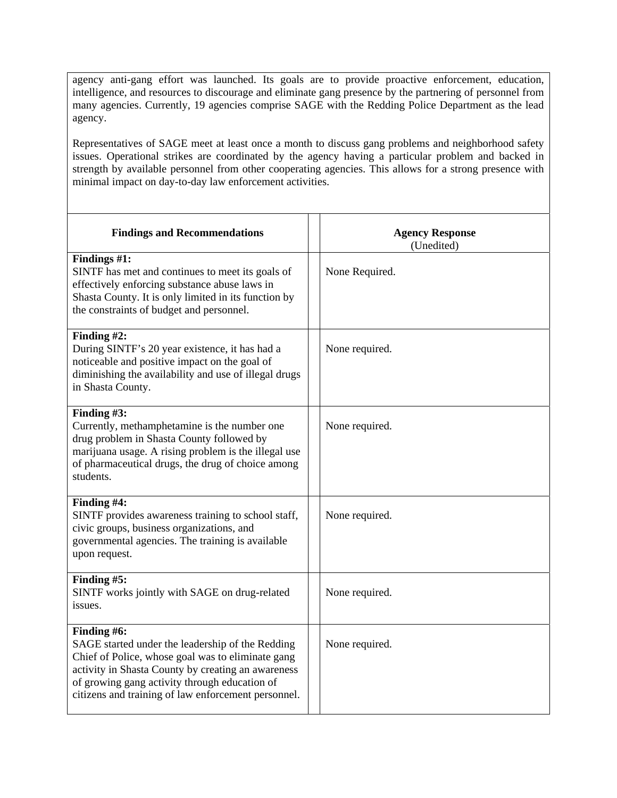agency anti-gang effort was launched. Its goals are to provide proactive enforcement, education, intelligence, and resources to discourage and eliminate gang presence by the partnering of personnel from many agencies. Currently, 19 agencies comprise SAGE with the Redding Police Department as the lead agency.

Representatives of SAGE meet at least once a month to discuss gang problems and neighborhood safety issues. Operational strikes are coordinated by the agency having a particular problem and backed in strength by available personnel from other cooperating agencies. This allows for a strong presence with minimal impact on day-to-day law enforcement activities.

| <b>Findings and Recommendations</b>                                                                                                                                                                                                                                                | <b>Agency Response</b><br>(Unedited) |
|------------------------------------------------------------------------------------------------------------------------------------------------------------------------------------------------------------------------------------------------------------------------------------|--------------------------------------|
| Findings #1:<br>SINTF has met and continues to meet its goals of<br>effectively enforcing substance abuse laws in<br>Shasta County. It is only limited in its function by<br>the constraints of budget and personnel.                                                              | None Required.                       |
| Finding #2:<br>During SINTF's 20 year existence, it has had a<br>noticeable and positive impact on the goal of<br>diminishing the availability and use of illegal drugs<br>in Shasta County.                                                                                       | None required.                       |
| Finding #3:<br>Currently, methamphetamine is the number one<br>drug problem in Shasta County followed by<br>marijuana usage. A rising problem is the illegal use<br>of pharmaceutical drugs, the drug of choice among<br>students.                                                 | None required.                       |
| Finding #4:<br>SINTF provides awareness training to school staff,<br>civic groups, business organizations, and<br>governmental agencies. The training is available<br>upon request.                                                                                                | None required.                       |
| Finding #5:<br>SINTF works jointly with SAGE on drug-related<br>issues.                                                                                                                                                                                                            | None required.                       |
| Finding #6:<br>SAGE started under the leadership of the Redding<br>Chief of Police, whose goal was to eliminate gang<br>activity in Shasta County by creating an awareness<br>of growing gang activity through education of<br>citizens and training of law enforcement personnel. | None required.                       |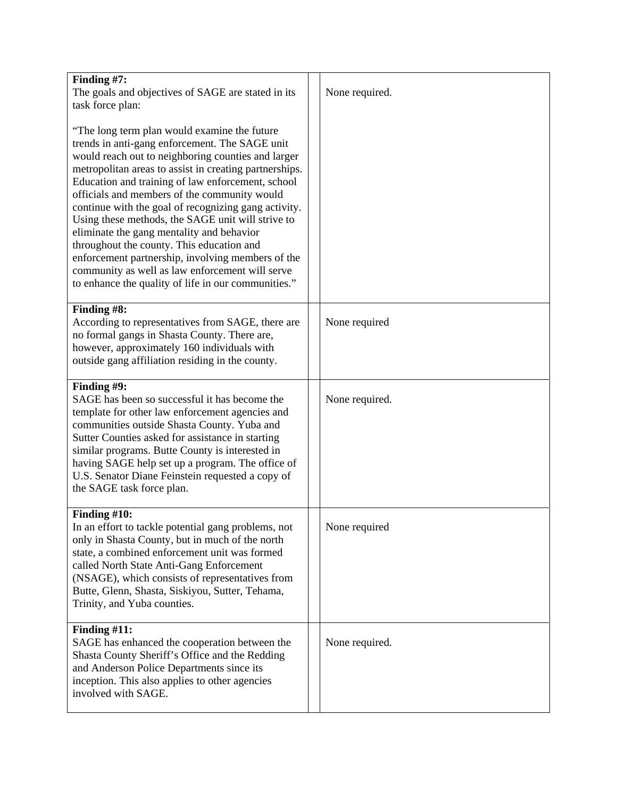| Finding #7:                                                                                                                                                                                                                                                                                                                                                                                                                                                                                                                                                                                                                                                                                                    |                |
|----------------------------------------------------------------------------------------------------------------------------------------------------------------------------------------------------------------------------------------------------------------------------------------------------------------------------------------------------------------------------------------------------------------------------------------------------------------------------------------------------------------------------------------------------------------------------------------------------------------------------------------------------------------------------------------------------------------|----------------|
| The goals and objectives of SAGE are stated in its                                                                                                                                                                                                                                                                                                                                                                                                                                                                                                                                                                                                                                                             | None required. |
| task force plan:<br>"The long term plan would examine the future"<br>trends in anti-gang enforcement. The SAGE unit<br>would reach out to neighboring counties and larger<br>metropolitan areas to assist in creating partnerships.<br>Education and training of law enforcement, school<br>officials and members of the community would<br>continue with the goal of recognizing gang activity.<br>Using these methods, the SAGE unit will strive to<br>eliminate the gang mentality and behavior<br>throughout the county. This education and<br>enforcement partnership, involving members of the<br>community as well as law enforcement will serve<br>to enhance the quality of life in our communities." |                |
| Finding #8:                                                                                                                                                                                                                                                                                                                                                                                                                                                                                                                                                                                                                                                                                                    |                |
| According to representatives from SAGE, there are<br>no formal gangs in Shasta County. There are,<br>however, approximately 160 individuals with<br>outside gang affiliation residing in the county.                                                                                                                                                                                                                                                                                                                                                                                                                                                                                                           | None required  |
| Finding #9:                                                                                                                                                                                                                                                                                                                                                                                                                                                                                                                                                                                                                                                                                                    |                |
| SAGE has been so successful it has become the<br>template for other law enforcement agencies and<br>communities outside Shasta County. Yuba and<br>Sutter Counties asked for assistance in starting<br>similar programs. Butte County is interested in<br>having SAGE help set up a program. The office of<br>U.S. Senator Diane Feinstein requested a copy of<br>the SAGE task force plan.                                                                                                                                                                                                                                                                                                                    | None required. |
| Finding $#10$ :<br>In an effort to tackle potential gang problems, not<br>only in Shasta County, but in much of the north<br>state, a combined enforcement unit was formed<br>called North State Anti-Gang Enforcement<br>(NSAGE), which consists of representatives from<br>Butte, Glenn, Shasta, Siskiyou, Sutter, Tehama,<br>Trinity, and Yuba counties.                                                                                                                                                                                                                                                                                                                                                    | None required  |
| Finding $#11$ :<br>SAGE has enhanced the cooperation between the<br>Shasta County Sheriff's Office and the Redding<br>and Anderson Police Departments since its<br>inception. This also applies to other agencies<br>involved with SAGE.                                                                                                                                                                                                                                                                                                                                                                                                                                                                       | None required. |
|                                                                                                                                                                                                                                                                                                                                                                                                                                                                                                                                                                                                                                                                                                                |                |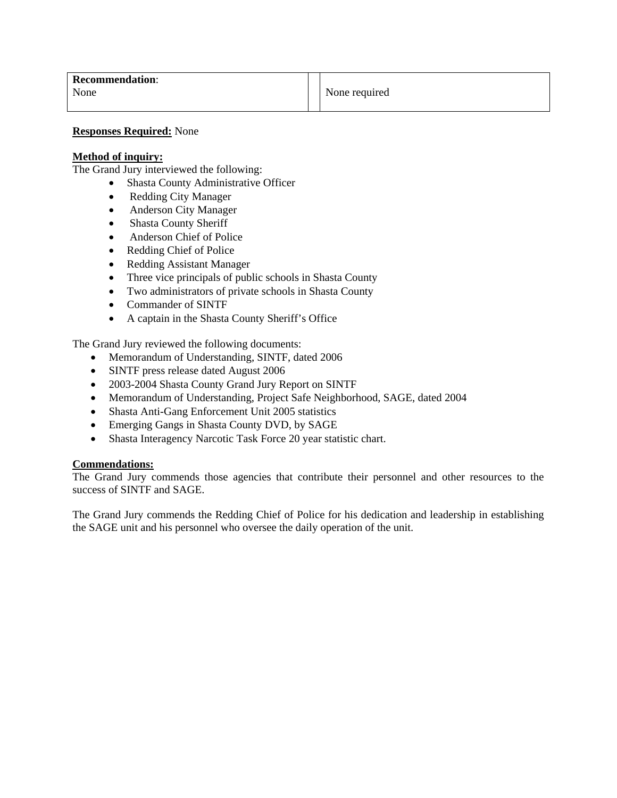#### **Responses Required:** None

#### **Method of inquiry:**

The Grand Jury interviewed the following:

- Shasta County Administrative Officer
- Redding City Manager
- Anderson City Manager
- Shasta County Sheriff
- Anderson Chief of Police
- Redding Chief of Police
- Redding Assistant Manager
- Three vice principals of public schools in Shasta County
- Two administrators of private schools in Shasta County
- Commander of SINTF
- A captain in the Shasta County Sheriff's Office

The Grand Jury reviewed the following documents:

- Memorandum of Understanding, SINTF, dated 2006
- SINTF press release dated August 2006
- 2003-2004 Shasta County Grand Jury Report on SINTF
- Memorandum of Understanding, Project Safe Neighborhood, SAGE, dated 2004
- Shasta Anti-Gang Enforcement Unit 2005 statistics
- Emerging Gangs in Shasta County DVD, by SAGE
- Shasta Interagency Narcotic Task Force 20 year statistic chart.

#### **Commendations:**

The Grand Jury commends those agencies that contribute their personnel and other resources to the success of SINTF and SAGE.

The Grand Jury commends the Redding Chief of Police for his dedication and leadership in establishing the SAGE unit and his personnel who oversee the daily operation of the unit.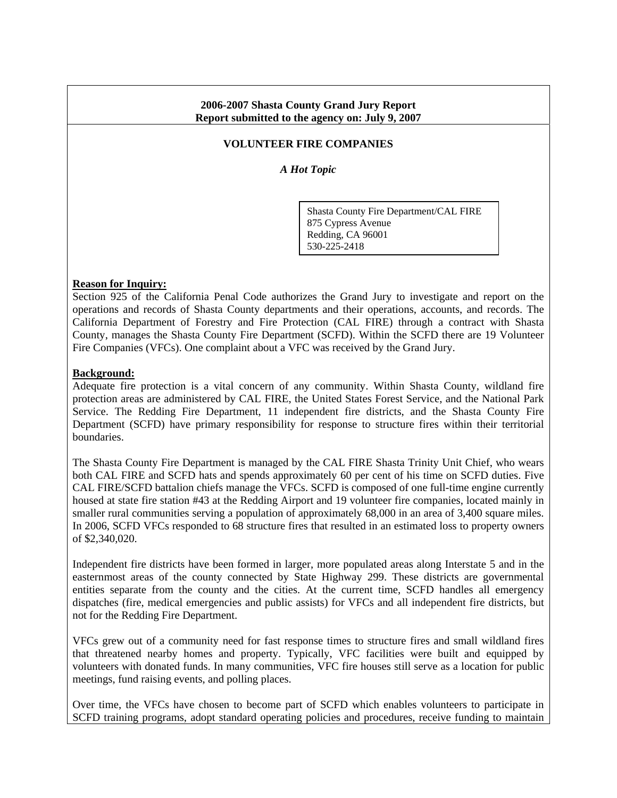### **2006-2007 Shasta County Grand Jury Report Report submitted to the agency on: July 9, 2007**

## **VOLUNTEER FIRE COMPANIES**

*A Hot Topic* 

Shasta County Fire Department/CAL FIRE 875 Cypress Avenue Redding, CA 96001 530-225-2418

#### **Reason for Inquiry:**

Section 925 of the California Penal Code authorizes the Grand Jury to investigate and report on the operations and records of Shasta County departments and their operations, accounts, and records. The California Department of Forestry and Fire Protection (CAL FIRE) through a contract with Shasta County, manages the Shasta County Fire Department (SCFD). Within the SCFD there are 19 Volunteer Fire Companies (VFCs). One complaint about a VFC was received by the Grand Jury.

#### **Background:**

Adequate fire protection is a vital concern of any community. Within Shasta County, wildland fire protection areas are administered by CAL FIRE, the United States Forest Service, and the National Park Service. The Redding Fire Department, 11 independent fire districts, and the Shasta County Fire Department (SCFD) have primary responsibility for response to structure fires within their territorial boundaries.

The Shasta County Fire Department is managed by the CAL FIRE Shasta Trinity Unit Chief, who wears both CAL FIRE and SCFD hats and spends approximately 60 per cent of his time on SCFD duties. Five CAL FIRE/SCFD battalion chiefs manage the VFCs. SCFD is composed of one full-time engine currently housed at state fire station #43 at the Redding Airport and 19 volunteer fire companies, located mainly in smaller rural communities serving a population of approximately 68,000 in an area of 3,400 square miles. In 2006, SCFD VFCs responded to 68 structure fires that resulted in an estimated loss to property owners of \$2,340,020.

Independent fire districts have been formed in larger, more populated areas along Interstate 5 and in the easternmost areas of the county connected by State Highway 299. These districts are governmental entities separate from the county and the cities. At the current time, SCFD handles all emergency dispatches (fire, medical emergencies and public assists) for VFCs and all independent fire districts, but not for the Redding Fire Department.

VFCs grew out of a community need for fast response times to structure fires and small wildland fires that threatened nearby homes and property. Typically, VFC facilities were built and equipped by volunteers with donated funds. In many communities, VFC fire houses still serve as a location for public meetings, fund raising events, and polling places.

Over time, the VFCs have chosen to become part of SCFD which enables volunteers to participate in SCFD training programs, adopt standard operating policies and procedures, receive funding to maintain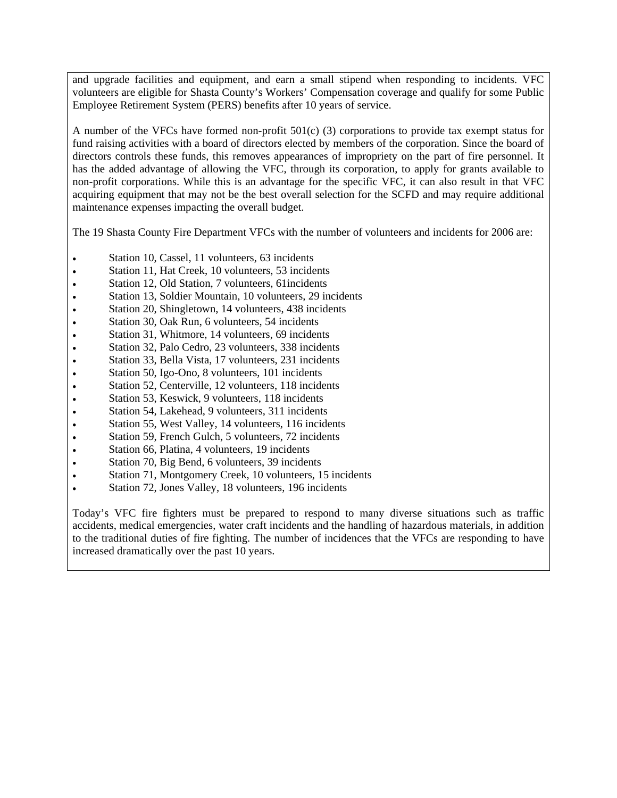and upgrade facilities and equipment, and earn a small stipend when responding to incidents. VFC volunteers are eligible for Shasta County's Workers' Compensation coverage and qualify for some Public Employee Retirement System (PERS) benefits after 10 years of service.

A number of the VFCs have formed non-profit 501(c) (3) corporations to provide tax exempt status for fund raising activities with a board of directors elected by members of the corporation. Since the board of directors controls these funds, this removes appearances of impropriety on the part of fire personnel. It has the added advantage of allowing the VFC, through its corporation, to apply for grants available to non-profit corporations. While this is an advantage for the specific VFC, it can also result in that VFC acquiring equipment that may not be the best overall selection for the SCFD and may require additional maintenance expenses impacting the overall budget.

The 19 Shasta County Fire Department VFCs with the number of volunteers and incidents for 2006 are:

- Station 10, Cassel, 11 volunteers, 63 incidents
- Station 11, Hat Creek, 10 volunteers, 53 incidents
- Station 12, Old Station, 7 volunteers, 61 incidents
- Station 13, Soldier Mountain, 10 volunteers, 29 incidents
- Station 20, Shingletown, 14 volunteers, 438 incidents
- Station 30, Oak Run, 6 volunteers, 54 incidents
- Station 31, Whitmore, 14 volunteers, 69 incidents
- Station 32, Palo Cedro, 23 volunteers, 338 incidents
- Station 33, Bella Vista, 17 volunteers, 231 incidents
- Station 50, Igo-Ono, 8 volunteers, 101 incidents
- Station 52, Centerville, 12 volunteers, 118 incidents
- Station 53, Keswick, 9 volunteers, 118 incidents
- Station 54, Lakehead, 9 volunteers, 311 incidents
- Station 55, West Valley, 14 volunteers, 116 incidents
- Station 59, French Gulch, 5 volunteers, 72 incidents
- Station 66, Platina, 4 volunteers, 19 incidents
- Station 70, Big Bend, 6 volunteers, 39 incidents
- Station 71, Montgomery Creek, 10 volunteers, 15 incidents
- Station 72, Jones Valley, 18 volunteers, 196 incidents

Today's VFC fire fighters must be prepared to respond to many diverse situations such as traffic accidents, medical emergencies, water craft incidents and the handling of hazardous materials, in addition to the traditional duties of fire fighting. The number of incidences that the VFCs are responding to have increased dramatically over the past 10 years.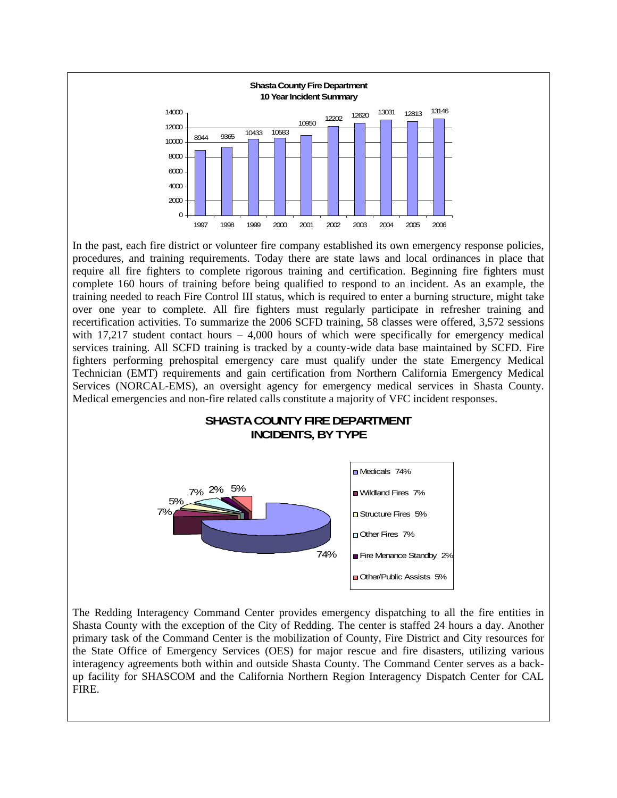

In the past, each fire district or volunteer fire company established its own emergency response policies, procedures, and training requirements. Today there are state laws and local ordinances in place that require all fire fighters to complete rigorous training and certification. Beginning fire fighters must complete 160 hours of training before being qualified to respond to an incident. As an example, the training needed to reach Fire Control III status, which is required to enter a burning structure, might take over one year to complete. All fire fighters must regularly participate in refresher training and recertification activities. To summarize the 2006 SCFD training, 58 classes were offered, 3,572 sessions with  $17,217$  student contact hours – 4,000 hours of which were specifically for emergency medical services training. All SCFD training is tracked by a county-wide data base maintained by SCFD. Fire fighters performing prehospital emergency care must qualify under the state Emergency Medical Technician (EMT) requirements and gain certification from Northern California Emergency Medical Services (NORCAL-EMS), an oversight agency for emergency medical services in Shasta County. Medical emergencies and non-fire related calls constitute a majority of VFC incident responses.

## **SHASTA COUNTY FIRE DEPARTMENT INCIDENTS, BY TYPE**



The Redding Interagency Command Center provides emergency dispatching to all the fire entities in Shasta County with the exception of the City of Redding. The center is staffed 24 hours a day. Another primary task of the Command Center is the mobilization of County, Fire District and City resources for the State Office of Emergency Services (OES) for major rescue and fire disasters, utilizing various interagency agreements both within and outside Shasta County. The Command Center serves as a backup facility for SHASCOM and the California Northern Region Interagency Dispatch Center for CAL FIRE.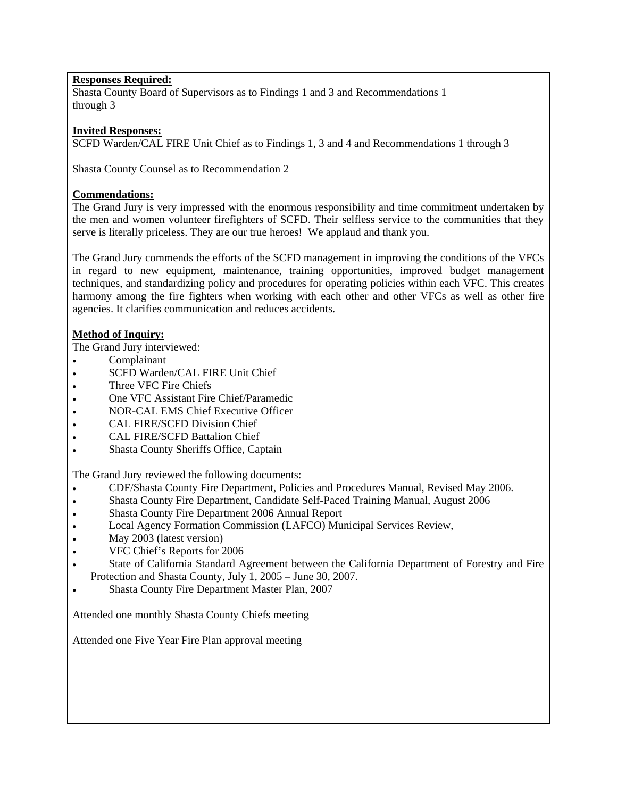# **Responses Required:**

Shasta County Board of Supervisors as to Findings 1 and 3 and Recommendations 1 through 3

#### **Invited Responses:**

SCFD Warden/CAL FIRE Unit Chief as to Findings 1, 3 and 4 and Recommendations 1 through 3

Shasta County Counsel as to Recommendation 2

### **Commendations:**

The Grand Jury is very impressed with the enormous responsibility and time commitment undertaken by the men and women volunteer firefighters of SCFD. Their selfless service to the communities that they serve is literally priceless. They are our true heroes! We applaud and thank you.

The Grand Jury commends the efforts of the SCFD management in improving the conditions of the VFCs in regard to new equipment, maintenance, training opportunities, improved budget management techniques, and standardizing policy and procedures for operating policies within each VFC. This creates harmony among the fire fighters when working with each other and other VFCs as well as other fire agencies. It clarifies communication and reduces accidents.

## **Method of Inquiry:**

The Grand Jury interviewed:

- Complainant
- SCFD Warden/CAL FIRE Unit Chief
- Three VFC Fire Chiefs
- One VFC Assistant Fire Chief/Paramedic
- NOR-CAL EMS Chief Executive Officer
- CAL FIRE/SCFD Division Chief
- CAL FIRE/SCFD Battalion Chief
- Shasta County Sheriffs Office, Captain

The Grand Jury reviewed the following documents:

- CDF/Shasta County Fire Department, Policies and Procedures Manual, Revised May 2006.
- Shasta County Fire Department, Candidate Self-Paced Training Manual, August 2006
- Shasta County Fire Department 2006 Annual Report
- Local Agency Formation Commission (LAFCO) Municipal Services Review,
- May 2003 (latest version)
- VFC Chief's Reports for 2006
- State of California Standard Agreement between the California Department of Forestry and Fire Protection and Shasta County, July 1, 2005 – June 30, 2007.
- Shasta County Fire Department Master Plan, 2007

Attended one monthly Shasta County Chiefs meeting

Attended one Five Year Fire Plan approval meeting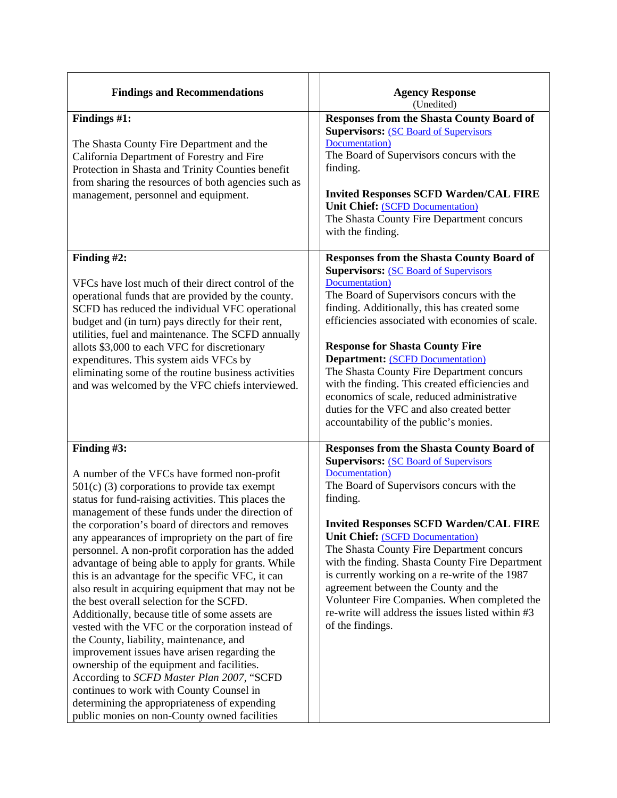| <b>Findings and Recommendations</b>                                                                                                                                                                                                                                                                                                                                                                                                                                                                                                                                                                                                                                                                                                                                                                                                                                                                                                                                                                                                           | <b>Agency Response</b><br>(Unedited)                                                                                                                                                                                                                                                                                                                                                                                                                                                                                                                                                            |
|-----------------------------------------------------------------------------------------------------------------------------------------------------------------------------------------------------------------------------------------------------------------------------------------------------------------------------------------------------------------------------------------------------------------------------------------------------------------------------------------------------------------------------------------------------------------------------------------------------------------------------------------------------------------------------------------------------------------------------------------------------------------------------------------------------------------------------------------------------------------------------------------------------------------------------------------------------------------------------------------------------------------------------------------------|-------------------------------------------------------------------------------------------------------------------------------------------------------------------------------------------------------------------------------------------------------------------------------------------------------------------------------------------------------------------------------------------------------------------------------------------------------------------------------------------------------------------------------------------------------------------------------------------------|
| Findings #1:<br>The Shasta County Fire Department and the<br>California Department of Forestry and Fire<br>Protection in Shasta and Trinity Counties benefit<br>from sharing the resources of both agencies such as<br>management, personnel and equipment.                                                                                                                                                                                                                                                                                                                                                                                                                                                                                                                                                                                                                                                                                                                                                                                   | <b>Responses from the Shasta County Board of</b><br><b>Supervisors: (SC Board of Supervisors)</b><br>Documentation)<br>The Board of Supervisors concurs with the<br>finding.<br><b>Invited Responses SCFD Warden/CAL FIRE</b><br><b>Unit Chief: (SCFD Documentation)</b><br>The Shasta County Fire Department concurs<br>with the finding.                                                                                                                                                                                                                                                      |
| Finding #2:<br>VFCs have lost much of their direct control of the<br>operational funds that are provided by the county.<br>SCFD has reduced the individual VFC operational<br>budget and (in turn) pays directly for their rent,<br>utilities, fuel and maintenance. The SCFD annually<br>allots \$3,000 to each VFC for discretionary<br>expenditures. This system aids VFCs by<br>eliminating some of the routine business activities<br>and was welcomed by the VFC chiefs interviewed.                                                                                                                                                                                                                                                                                                                                                                                                                                                                                                                                                    | <b>Responses from the Shasta County Board of</b><br><b>Supervisors: (SC Board of Supervisors)</b><br>Documentation)<br>The Board of Supervisors concurs with the<br>finding. Additionally, this has created some<br>efficiencies associated with economies of scale.<br><b>Response for Shasta County Fire</b><br><b>Department: (SCFD Documentation)</b><br>The Shasta County Fire Department concurs<br>with the finding. This created efficiencies and<br>economics of scale, reduced administrative<br>duties for the VFC and also created better<br>accountability of the public's monies. |
| Finding #3:<br>A number of the VFCs have formed non-profit<br>$501(c)$ (3) corporations to provide tax exempt<br>status for fund-raising activities. This places the<br>management of these funds under the direction of<br>the corporation's board of directors and removes<br>any appearances of impropriety on the part of fire<br>personnel. A non-profit corporation has the added<br>advantage of being able to apply for grants. While<br>this is an advantage for the specific VFC, it can<br>also result in acquiring equipment that may not be<br>the best overall selection for the SCFD.<br>Additionally, because title of some assets are<br>vested with the VFC or the corporation instead of<br>the County, liability, maintenance, and<br>improvement issues have arisen regarding the<br>ownership of the equipment and facilities.<br>According to SCFD Master Plan 2007, "SCFD<br>continues to work with County Counsel in<br>determining the appropriateness of expending<br>public monies on non-County owned facilities | <b>Responses from the Shasta County Board of</b><br><b>Supervisors: (SC Board of Supervisors)</b><br>Documentation)<br>The Board of Supervisors concurs with the<br>finding.<br><b>Invited Responses SCFD Warden/CAL FIRE</b><br><b>Unit Chief: (SCFD Documentation)</b><br>The Shasta County Fire Department concurs<br>with the finding. Shasta County Fire Department<br>is currently working on a re-write of the 1987<br>agreement between the County and the<br>Volunteer Fire Companies. When completed the<br>re-write will address the issues listed within #3<br>of the findings.     |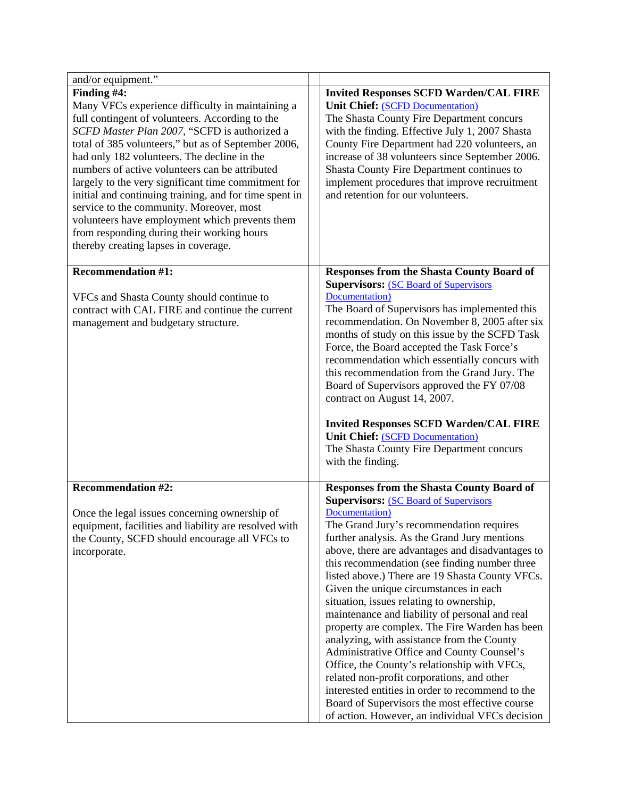| and/or equipment."                                                                                                                                                                                                                                                                                                                                                                                                                                                                                                                                                                                                              |                                                                                                                                                                                                                                                                                                                                                                                                                                                                                                                                                                                                                                                                                                                                                                                                                                                                                                                      |
|---------------------------------------------------------------------------------------------------------------------------------------------------------------------------------------------------------------------------------------------------------------------------------------------------------------------------------------------------------------------------------------------------------------------------------------------------------------------------------------------------------------------------------------------------------------------------------------------------------------------------------|----------------------------------------------------------------------------------------------------------------------------------------------------------------------------------------------------------------------------------------------------------------------------------------------------------------------------------------------------------------------------------------------------------------------------------------------------------------------------------------------------------------------------------------------------------------------------------------------------------------------------------------------------------------------------------------------------------------------------------------------------------------------------------------------------------------------------------------------------------------------------------------------------------------------|
| Finding #4:<br>Many VFCs experience difficulty in maintaining a<br>full contingent of volunteers. According to the<br>SCFD Master Plan 2007, "SCFD is authorized a<br>total of 385 volunteers," but as of September 2006,<br>had only 182 volunteers. The decline in the<br>numbers of active volunteers can be attributed<br>largely to the very significant time commitment for<br>initial and continuing training, and for time spent in<br>service to the community. Moreover, most<br>volunteers have employment which prevents them<br>from responding during their working hours<br>thereby creating lapses in coverage. | <b>Invited Responses SCFD Warden/CAL FIRE</b><br><b>Unit Chief: (SCFD Documentation)</b><br>The Shasta County Fire Department concurs<br>with the finding. Effective July 1, 2007 Shasta<br>County Fire Department had 220 volunteers, an<br>increase of 38 volunteers since September 2006.<br>Shasta County Fire Department continues to<br>implement procedures that improve recruitment<br>and retention for our volunteers.                                                                                                                                                                                                                                                                                                                                                                                                                                                                                     |
| <b>Recommendation #1:</b><br>VFCs and Shasta County should continue to<br>contract with CAL FIRE and continue the current<br>management and budgetary structure.                                                                                                                                                                                                                                                                                                                                                                                                                                                                | <b>Responses from the Shasta County Board of</b><br><b>Supervisors: (SC Board of Supervisors)</b><br>Documentation)<br>The Board of Supervisors has implemented this<br>recommendation. On November 8, 2005 after six<br>months of study on this issue by the SCFD Task<br>Force, the Board accepted the Task Force's<br>recommendation which essentially concurs with<br>this recommendation from the Grand Jury. The<br>Board of Supervisors approved the FY 07/08<br>contract on August 14, 2007.<br><b>Invited Responses SCFD Warden/CAL FIRE</b><br><b>Unit Chief: (SCFD Documentation)</b><br>The Shasta County Fire Department concurs<br>with the finding.                                                                                                                                                                                                                                                   |
| <b>Recommendation #2:</b><br>Once the legal issues concerning ownership of<br>equipment, facilities and liability are resolved with<br>the County, SCFD should encourage all VFCs to<br>incorporate.                                                                                                                                                                                                                                                                                                                                                                                                                            | <b>Responses from the Shasta County Board of</b><br><b>Supervisors: (SC Board of Supervisors)</b><br>Documentation)<br>The Grand Jury's recommendation requires<br>further analysis. As the Grand Jury mentions<br>above, there are advantages and disadvantages to<br>this recommendation (see finding number three<br>listed above.) There are 19 Shasta County VFCs.<br>Given the unique circumstances in each<br>situation, issues relating to ownership,<br>maintenance and liability of personal and real<br>property are complex. The Fire Warden has been<br>analyzing, with assistance from the County<br>Administrative Office and County Counsel's<br>Office, the County's relationship with VFCs,<br>related non-profit corporations, and other<br>interested entities in order to recommend to the<br>Board of Supervisors the most effective course<br>of action. However, an individual VFCs decision |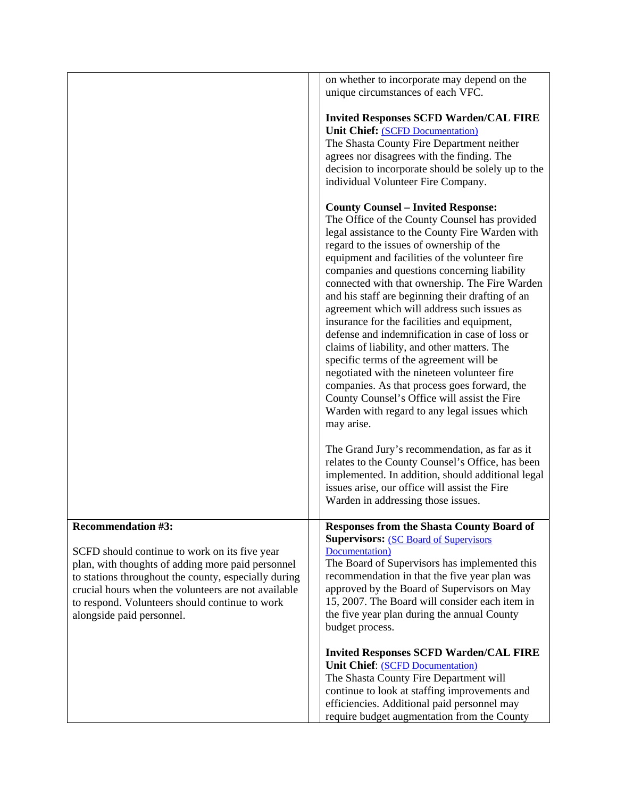|                                                                                                                                                                                                                                                                                                                               | <b>Invited Responses SCFD Warden/CAL FIRE</b><br><b>Unit Chief: (SCFD Documentation)</b><br>The Shasta County Fire Department will<br>continue to look at staffing improvements and<br>efficiencies. Additional paid personnel may<br>require budget augmentation from the County                                                                                                                                                                                                                                                                                                                                                                                                                                                                                                                                                                        |
|-------------------------------------------------------------------------------------------------------------------------------------------------------------------------------------------------------------------------------------------------------------------------------------------------------------------------------|----------------------------------------------------------------------------------------------------------------------------------------------------------------------------------------------------------------------------------------------------------------------------------------------------------------------------------------------------------------------------------------------------------------------------------------------------------------------------------------------------------------------------------------------------------------------------------------------------------------------------------------------------------------------------------------------------------------------------------------------------------------------------------------------------------------------------------------------------------|
| <b>Recommendation #3:</b><br>SCFD should continue to work on its five year<br>plan, with thoughts of adding more paid personnel<br>to stations throughout the county, especially during<br>crucial hours when the volunteers are not available<br>to respond. Volunteers should continue to work<br>alongside paid personnel. | <b>Responses from the Shasta County Board of</b><br><b>Supervisors: (SC Board of Supervisors)</b><br>Documentation)<br>The Board of Supervisors has implemented this<br>recommendation in that the five year plan was<br>approved by the Board of Supervisors on May<br>15, 2007. The Board will consider each item in<br>the five year plan during the annual County<br>budget process.                                                                                                                                                                                                                                                                                                                                                                                                                                                                 |
|                                                                                                                                                                                                                                                                                                                               | The Grand Jury's recommendation, as far as it<br>relates to the County Counsel's Office, has been<br>implemented. In addition, should additional legal<br>issues arise, our office will assist the Fire<br>Warden in addressing those issues.                                                                                                                                                                                                                                                                                                                                                                                                                                                                                                                                                                                                            |
|                                                                                                                                                                                                                                                                                                                               | <b>County Counsel - Invited Response:</b><br>The Office of the County Counsel has provided<br>legal assistance to the County Fire Warden with<br>regard to the issues of ownership of the<br>equipment and facilities of the volunteer fire<br>companies and questions concerning liability<br>connected with that ownership. The Fire Warden<br>and his staff are beginning their drafting of an<br>agreement which will address such issues as<br>insurance for the facilities and equipment,<br>defense and indemnification in case of loss or<br>claims of liability, and other matters. The<br>specific terms of the agreement will be<br>negotiated with the nineteen volunteer fire<br>companies. As that process goes forward, the<br>County Counsel's Office will assist the Fire<br>Warden with regard to any legal issues which<br>may arise. |
|                                                                                                                                                                                                                                                                                                                               | <b>Invited Responses SCFD Warden/CAL FIRE</b><br><b>Unit Chief: (SCFD Documentation)</b><br>The Shasta County Fire Department neither<br>agrees nor disagrees with the finding. The<br>decision to incorporate should be solely up to the<br>individual Volunteer Fire Company.                                                                                                                                                                                                                                                                                                                                                                                                                                                                                                                                                                          |
|                                                                                                                                                                                                                                                                                                                               | on whether to incorporate may depend on the<br>unique circumstances of each VFC.                                                                                                                                                                                                                                                                                                                                                                                                                                                                                                                                                                                                                                                                                                                                                                         |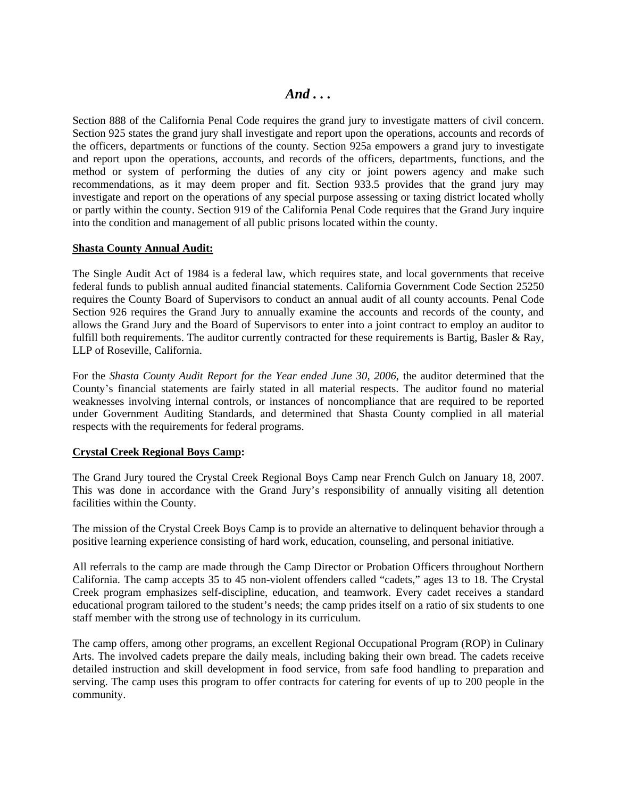Section 888 of the California Penal Code requires the grand jury to investigate matters of civil concern. Section 925 states the grand jury shall investigate and report upon the operations, accounts and records of the officers, departments or functions of the county. Section 925a empowers a grand jury to investigate and report upon the operations, accounts, and records of the officers, departments, functions, and the method or system of performing the duties of any city or joint powers agency and make such recommendations, as it may deem proper and fit. Section 933.5 provides that the grand jury may investigate and report on the operations of any special purpose assessing or taxing district located wholly or partly within the county. Section 919 of the California Penal Code requires that the Grand Jury inquire into the condition and management of all public prisons located within the county.

### **Shasta County Annual Audit:**

The Single Audit Act of 1984 is a federal law, which requires state, and local governments that receive federal funds to publish annual audited financial statements. California Government Code Section 25250 requires the County Board of Supervisors to conduct an annual audit of all county accounts. Penal Code Section 926 requires the Grand Jury to annually examine the accounts and records of the county, and allows the Grand Jury and the Board of Supervisors to enter into a joint contract to employ an auditor to fulfill both requirements. The auditor currently contracted for these requirements is Bartig, Basler & Ray, LLP of Roseville, California.

For the *Shasta County Audit Report for the Year ended June 30, 2006*, the auditor determined that the County's financial statements are fairly stated in all material respects. The auditor found no material weaknesses involving internal controls, or instances of noncompliance that are required to be reported under Government Auditing Standards, and determined that Shasta County complied in all material respects with the requirements for federal programs.

### **Crystal Creek Regional Boys Camp:**

The Grand Jury toured the Crystal Creek Regional Boys Camp near French Gulch on January 18, 2007. This was done in accordance with the Grand Jury's responsibility of annually visiting all detention facilities within the County.

The mission of the Crystal Creek Boys Camp is to provide an alternative to delinquent behavior through a positive learning experience consisting of hard work, education, counseling, and personal initiative.

All referrals to the camp are made through the Camp Director or Probation Officers throughout Northern California. The camp accepts 35 to 45 non-violent offenders called "cadets," ages 13 to 18. The Crystal Creek program emphasizes self-discipline, education, and teamwork. Every cadet receives a standard educational program tailored to the student's needs; the camp prides itself on a ratio of six students to one staff member with the strong use of technology in its curriculum.

The camp offers, among other programs, an excellent Regional Occupational Program (ROP) in Culinary Arts. The involved cadets prepare the daily meals, including baking their own bread. The cadets receive detailed instruction and skill development in food service, from safe food handling to preparation and serving. The camp uses this program to offer contracts for catering for events of up to 200 people in the community.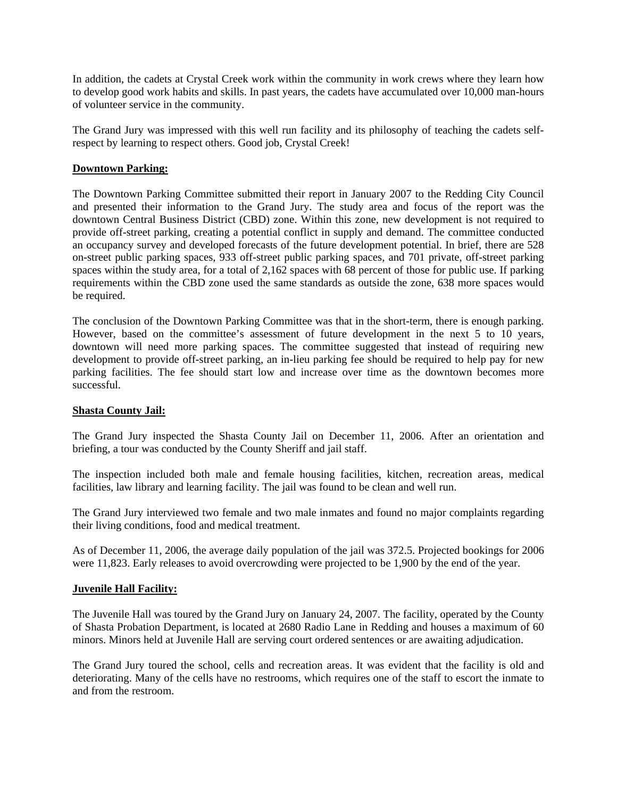In addition, the cadets at Crystal Creek work within the community in work crews where they learn how to develop good work habits and skills. In past years, the cadets have accumulated over 10,000 man-hours of volunteer service in the community.

The Grand Jury was impressed with this well run facility and its philosophy of teaching the cadets selfrespect by learning to respect others. Good job, Crystal Creek!

### **Downtown Parking:**

The Downtown Parking Committee submitted their report in January 2007 to the Redding City Council and presented their information to the Grand Jury. The study area and focus of the report was the downtown Central Business District (CBD) zone. Within this zone, new development is not required to provide off-street parking, creating a potential conflict in supply and demand. The committee conducted an occupancy survey and developed forecasts of the future development potential. In brief, there are 528 on-street public parking spaces, 933 off-street public parking spaces, and 701 private, off-street parking spaces within the study area, for a total of 2,162 spaces with 68 percent of those for public use. If parking requirements within the CBD zone used the same standards as outside the zone, 638 more spaces would be required.

The conclusion of the Downtown Parking Committee was that in the short-term, there is enough parking. However, based on the committee's assessment of future development in the next 5 to 10 years, downtown will need more parking spaces. The committee suggested that instead of requiring new development to provide off-street parking, an in-lieu parking fee should be required to help pay for new parking facilities. The fee should start low and increase over time as the downtown becomes more successful.

#### **Shasta County Jail:**

The Grand Jury inspected the Shasta County Jail on December 11, 2006. After an orientation and briefing, a tour was conducted by the County Sheriff and jail staff.

The inspection included both male and female housing facilities, kitchen, recreation areas, medical facilities, law library and learning facility. The jail was found to be clean and well run.

The Grand Jury interviewed two female and two male inmates and found no major complaints regarding their living conditions, food and medical treatment.

As of December 11, 2006, the average daily population of the jail was 372.5. Projected bookings for 2006 were 11,823. Early releases to avoid overcrowding were projected to be 1,900 by the end of the year.

#### **Juvenile Hall Facility:**

The Juvenile Hall was toured by the Grand Jury on January 24, 2007. The facility, operated by the County of Shasta Probation Department, is located at 2680 Radio Lane in Redding and houses a maximum of 60 minors. Minors held at Juvenile Hall are serving court ordered sentences or are awaiting adjudication.

The Grand Jury toured the school, cells and recreation areas. It was evident that the facility is old and deteriorating. Many of the cells have no restrooms, which requires one of the staff to escort the inmate to and from the restroom.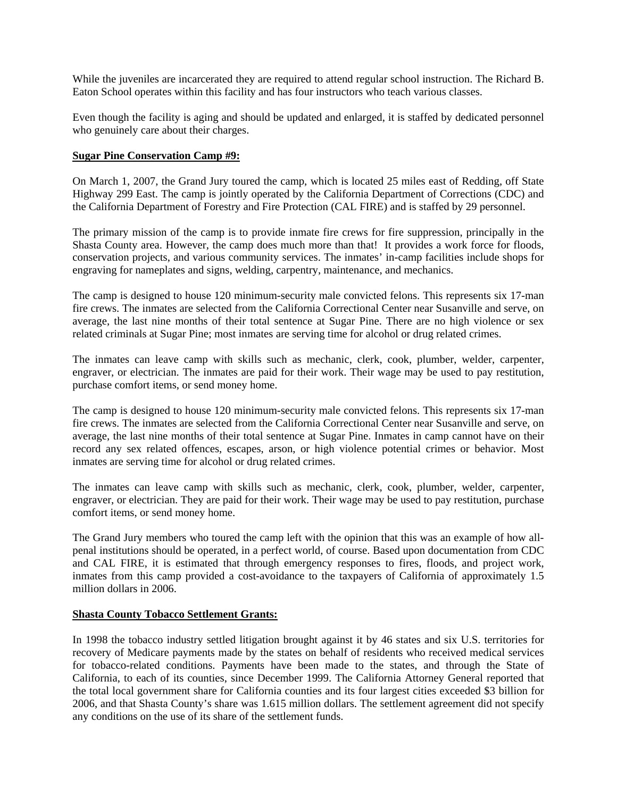While the juveniles are incarcerated they are required to attend regular school instruction. The Richard B. Eaton School operates within this facility and has four instructors who teach various classes.

Even though the facility is aging and should be updated and enlarged, it is staffed by dedicated personnel who genuinely care about their charges.

#### **Sugar Pine Conservation Camp #9:**

On March 1, 2007, the Grand Jury toured the camp, which is located 25 miles east of Redding, off State Highway 299 East. The camp is jointly operated by the California Department of Corrections (CDC) and the California Department of Forestry and Fire Protection (CAL FIRE) and is staffed by 29 personnel.

The primary mission of the camp is to provide inmate fire crews for fire suppression, principally in the Shasta County area. However, the camp does much more than that! It provides a work force for floods, conservation projects, and various community services. The inmates' in-camp facilities include shops for engraving for nameplates and signs, welding, carpentry, maintenance, and mechanics.

The camp is designed to house 120 minimum-security male convicted felons. This represents six 17-man fire crews. The inmates are selected from the California Correctional Center near Susanville and serve, on average, the last nine months of their total sentence at Sugar Pine. There are no high violence or sex related criminals at Sugar Pine; most inmates are serving time for alcohol or drug related crimes.

The inmates can leave camp with skills such as mechanic, clerk, cook, plumber, welder, carpenter, engraver, or electrician. The inmates are paid for their work. Their wage may be used to pay restitution, purchase comfort items, or send money home.

The camp is designed to house 120 minimum-security male convicted felons. This represents six 17-man fire crews. The inmates are selected from the California Correctional Center near Susanville and serve, on average, the last nine months of their total sentence at Sugar Pine. Inmates in camp cannot have on their record any sex related offences, escapes, arson, or high violence potential crimes or behavior. Most inmates are serving time for alcohol or drug related crimes.

The inmates can leave camp with skills such as mechanic, clerk, cook, plumber, welder, carpenter, engraver, or electrician. They are paid for their work. Their wage may be used to pay restitution, purchase comfort items, or send money home.

The Grand Jury members who toured the camp left with the opinion that this was an example of how allpenal institutions should be operated, in a perfect world, of course. Based upon documentation from CDC and CAL FIRE, it is estimated that through emergency responses to fires, floods, and project work, inmates from this camp provided a cost-avoidance to the taxpayers of California of approximately 1.5 million dollars in 2006.

### **Shasta County Tobacco Settlement Grants:**

In 1998 the tobacco industry settled litigation brought against it by 46 states and six U.S. territories for recovery of Medicare payments made by the states on behalf of residents who received medical services for tobacco-related conditions. Payments have been made to the states, and through the State of California, to each of its counties, since December 1999. The California Attorney General reported that the total local government share for California counties and its four largest cities exceeded \$3 billion for 2006, and that Shasta County's share was 1.615 million dollars. The settlement agreement did not specify any conditions on the use of its share of the settlement funds.